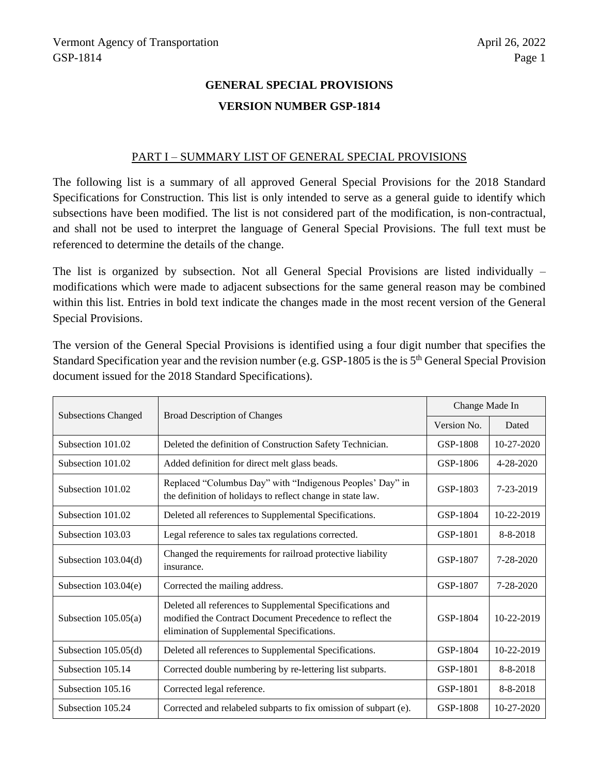# **GENERAL SPECIAL PROVISIONS VERSION NUMBER GSP-1814**

### PART I – SUMMARY LIST OF GENERAL SPECIAL PROVISIONS

The following list is a summary of all approved General Special Provisions for the 2018 Standard Specifications for Construction. This list is only intended to serve as a general guide to identify which subsections have been modified. The list is not considered part of the modification, is non-contractual, and shall not be used to interpret the language of General Special Provisions. The full text must be referenced to determine the details of the change.

The list is organized by subsection. Not all General Special Provisions are listed individually – modifications which were made to adjacent subsections for the same general reason may be combined within this list. Entries in bold text indicate the changes made in the most recent version of the General Special Provisions.

The version of the General Special Provisions is identified using a four digit number that specifies the Standard Specification year and the revision number (e.g. GSP-1805 is the is 5th General Special Provision document issued for the 2018 Standard Specifications).

|                            | <b>Broad Description of Changes</b>                                                                                                                                  | Change Made In |                  |
|----------------------------|----------------------------------------------------------------------------------------------------------------------------------------------------------------------|----------------|------------------|
| <b>Subsections Changed</b> |                                                                                                                                                                      | Version No.    | Dated            |
| Subsection 101.02          | Deleted the definition of Construction Safety Technician.                                                                                                            | GSP-1808       | $10 - 27 - 2020$ |
| Subsection 101.02          | Added definition for direct melt glass beads.                                                                                                                        | GSP-1806       | $4 - 28 - 2020$  |
| Subsection 101.02          | Replaced "Columbus Day" with "Indigenous Peoples' Day" in<br>the definition of holidays to reflect change in state law.                                              | GSP-1803       | 7-23-2019        |
| Subsection 101.02          | Deleted all references to Supplemental Specifications.                                                                                                               |                | 10-22-2019       |
| Subsection 103.03          | Legal reference to sales tax regulations corrected.                                                                                                                  | GSP-1801       | $8 - 8 - 2018$   |
| Subsection $103.04(d)$     | Changed the requirements for railroad protective liability<br>insurance.                                                                                             |                | $7 - 28 - 2020$  |
| Subsection $103.04(e)$     | Corrected the mailing address.                                                                                                                                       | GSP-1807       | $7 - 28 - 2020$  |
| Subsection $105.05(a)$     | Deleted all references to Supplemental Specifications and<br>modified the Contract Document Precedence to reflect the<br>elimination of Supplemental Specifications. | GSP-1804       | 10-22-2019       |
| Subsection $105.05(d)$     | Deleted all references to Supplemental Specifications.                                                                                                               | GSP-1804       | 10-22-2019       |
| Subsection 105.14          | Corrected double numbering by re-lettering list subparts.                                                                                                            | GSP-1801       | $8 - 8 - 2018$   |
| Subsection 105.16          | Corrected legal reference.                                                                                                                                           | GSP-1801       | $8 - 8 - 2018$   |
| Subsection 105.24          | Corrected and relabeled subparts to fix omission of subpart (e).                                                                                                     | GSP-1808       | 10-27-2020       |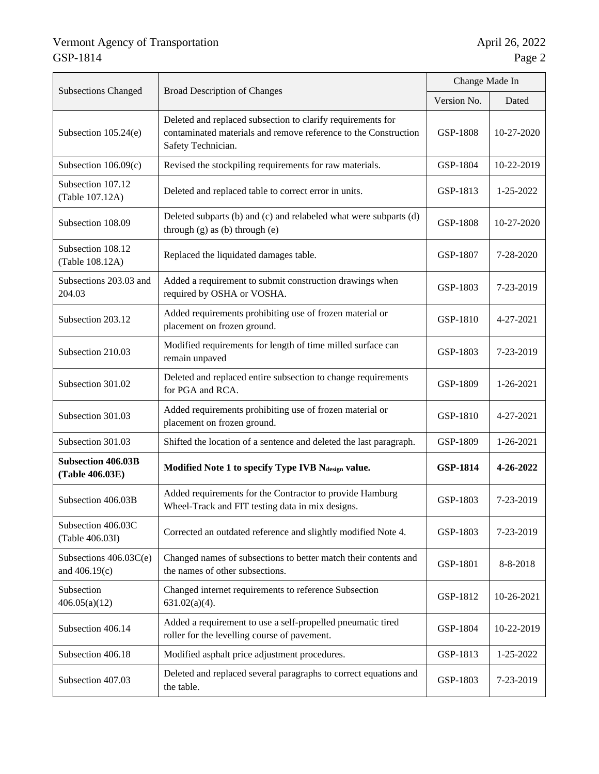|                                                                                                     |                                                                                                                                                      | Change Made In  |            |
|-----------------------------------------------------------------------------------------------------|------------------------------------------------------------------------------------------------------------------------------------------------------|-----------------|------------|
| <b>Subsections Changed</b>                                                                          | <b>Broad Description of Changes</b>                                                                                                                  |                 | Dated      |
| Subsection 105.24(e)                                                                                | Deleted and replaced subsection to clarify requirements for<br>contaminated materials and remove reference to the Construction<br>Safety Technician. | GSP-1808        | 10-27-2020 |
| Subsection $106.09(c)$                                                                              | Revised the stockpiling requirements for raw materials.                                                                                              | GSP-1804        | 10-22-2019 |
| Subsection 107.12<br>(Table 107.12A)                                                                | Deleted and replaced table to correct error in units.                                                                                                | GSP-1813        | 1-25-2022  |
| Subsection 108.09                                                                                   | Deleted subparts (b) and (c) and relabeled what were subparts (d)<br>through $(g)$ as $(b)$ through $(e)$                                            | GSP-1808        | 10-27-2020 |
| Subsection 108.12<br>(Table 108.12A)                                                                | Replaced the liquidated damages table.                                                                                                               | GSP-1807        | 7-28-2020  |
| Subsections 203.03 and<br>204.03                                                                    | Added a requirement to submit construction drawings when<br>required by OSHA or VOSHA.                                                               |                 | 7-23-2019  |
| Subsection 203.12                                                                                   | Added requirements prohibiting use of frozen material or<br>placement on frozen ground.                                                              |                 | 4-27-2021  |
| Subsection 210.03                                                                                   | Modified requirements for length of time milled surface can<br>remain unpaved                                                                        |                 | 7-23-2019  |
| Subsection 301.02                                                                                   | Deleted and replaced entire subsection to change requirements<br>for PGA and RCA.                                                                    |                 | 1-26-2021  |
| Subsection 301.03                                                                                   | Added requirements prohibiting use of frozen material or<br>placement on frozen ground.                                                              |                 | 4-27-2021  |
| Subsection 301.03                                                                                   | Shifted the location of a sentence and deleted the last paragraph.                                                                                   |                 | 1-26-2021  |
| <b>Subsection 406.03B</b><br>Modified Note 1 to specify Type IVB Ndesign value.<br>(Table 406.03E)  |                                                                                                                                                      | <b>GSP-1814</b> | 4-26-2022  |
| Subsection 406.03B                                                                                  | Added requirements for the Contractor to provide Hamburg<br>Wheel-Track and FIT testing data in mix designs.                                         |                 | 7-23-2019  |
| Subsection 406.03C<br>(Table 406.03I)                                                               | Corrected an outdated reference and slightly modified Note 4.                                                                                        |                 | 7-23-2019  |
| Subsections 406.03C(e)<br>and 406.19(c)                                                             | Changed names of subsections to better match their contents and<br>the names of other subsections.                                                   |                 | 8-8-2018   |
| Subsection<br>406.05(a)(12)                                                                         | Changed internet requirements to reference Subsection<br>$631.02(a)(4)$ .                                                                            |                 | 10-26-2021 |
| Subsection 406.14                                                                                   | Added a requirement to use a self-propelled pneumatic tired<br>roller for the levelling course of pavement.                                          |                 | 10-22-2019 |
| Subsection 406.18                                                                                   | Modified asphalt price adjustment procedures.                                                                                                        |                 | 1-25-2022  |
| Deleted and replaced several paragraphs to correct equations and<br>Subsection 407.03<br>the table. |                                                                                                                                                      | GSP-1803        | 7-23-2019  |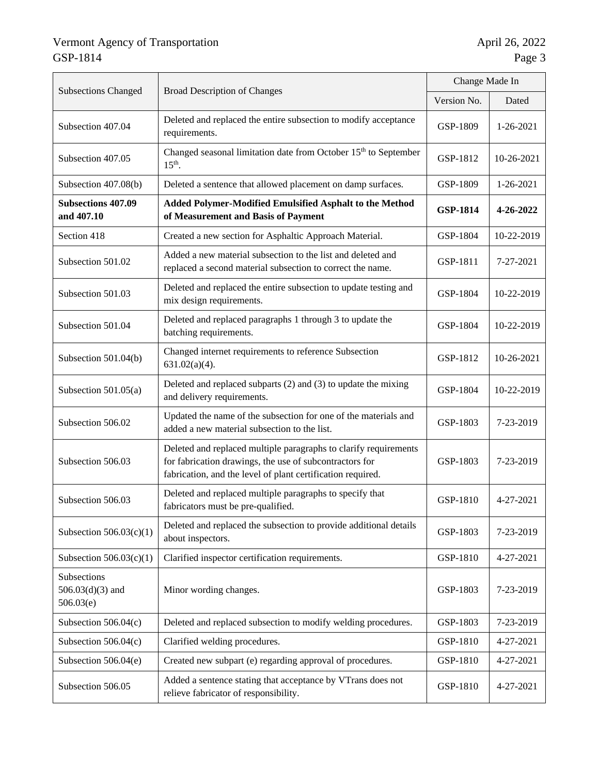|                                                                                                                           |                                                                                                                                                                                            | Change Made In  |            |
|---------------------------------------------------------------------------------------------------------------------------|--------------------------------------------------------------------------------------------------------------------------------------------------------------------------------------------|-----------------|------------|
| <b>Subsections Changed</b>                                                                                                | <b>Broad Description of Changes</b>                                                                                                                                                        |                 | Dated      |
| Subsection 407.04                                                                                                         | Deleted and replaced the entire subsection to modify acceptance<br>requirements.                                                                                                           | GSP-1809        | 1-26-2021  |
| Subsection 407.05                                                                                                         | Changed seasonal limitation date from October 15 <sup>th</sup> to September<br>$15th$ .                                                                                                    | GSP-1812        | 10-26-2021 |
| Subsection 407.08(b)                                                                                                      | Deleted a sentence that allowed placement on damp surfaces.                                                                                                                                | GSP-1809        | 1-26-2021  |
| <b>Subsections 407.09</b><br>and 407.10                                                                                   | Added Polymer-Modified Emulsified Asphalt to the Method<br>of Measurement and Basis of Payment                                                                                             | <b>GSP-1814</b> | 4-26-2022  |
| Section 418                                                                                                               | Created a new section for Asphaltic Approach Material.                                                                                                                                     | GSP-1804        | 10-22-2019 |
| Subsection 501.02                                                                                                         | Added a new material subsection to the list and deleted and<br>replaced a second material subsection to correct the name.                                                                  | GSP-1811        | 7-27-2021  |
| Subsection 501.03                                                                                                         | Deleted and replaced the entire subsection to update testing and<br>mix design requirements.                                                                                               |                 | 10-22-2019 |
| Subsection 501.04                                                                                                         | Deleted and replaced paragraphs 1 through 3 to update the<br>batching requirements.                                                                                                        |                 | 10-22-2019 |
| Subsection 501.04(b)                                                                                                      | Changed internet requirements to reference Subsection<br>$631.02(a)(4)$ .                                                                                                                  |                 | 10-26-2021 |
| Subsection $501.05(a)$                                                                                                    | Deleted and replaced subparts (2) and (3) to update the mixing<br>and delivery requirements.                                                                                               |                 | 10-22-2019 |
| Subsection 506.02                                                                                                         | Updated the name of the subsection for one of the materials and<br>added a new material subsection to the list.                                                                            |                 | 7-23-2019  |
| Subsection 506.03                                                                                                         | Deleted and replaced multiple paragraphs to clarify requirements<br>for fabrication drawings, the use of subcontractors for<br>fabrication, and the level of plant certification required. |                 | 7-23-2019  |
| Subsection 506.03                                                                                                         | Deleted and replaced multiple paragraphs to specify that<br>fabricators must be pre-qualified.                                                                                             |                 | 4-27-2021  |
| Subsection $506.03(c)(1)$                                                                                                 | Deleted and replaced the subsection to provide additional details<br>about inspectors.                                                                                                     |                 | 7-23-2019  |
| Subsection $506.03(c)(1)$                                                                                                 | Clarified inspector certification requirements.                                                                                                                                            |                 | 4-27-2021  |
| Subsections<br>$506.03(d)(3)$ and<br>506.03(e)                                                                            | Minor wording changes.                                                                                                                                                                     | GSP-1803        | 7-23-2019  |
| Subsection $506.04(c)$                                                                                                    | Deleted and replaced subsection to modify welding procedures.                                                                                                                              | GSP-1803        | 7-23-2019  |
| Subsection $506.04(c)$                                                                                                    | Clarified welding procedures.                                                                                                                                                              | GSP-1810        | 4-27-2021  |
| Subsection 506.04(e)                                                                                                      | Created new subpart (e) regarding approval of procedures.                                                                                                                                  | GSP-1810        | 4-27-2021  |
| Added a sentence stating that acceptance by VTrans does not<br>Subsection 506.05<br>relieve fabricator of responsibility. |                                                                                                                                                                                            | GSP-1810        | 4-27-2021  |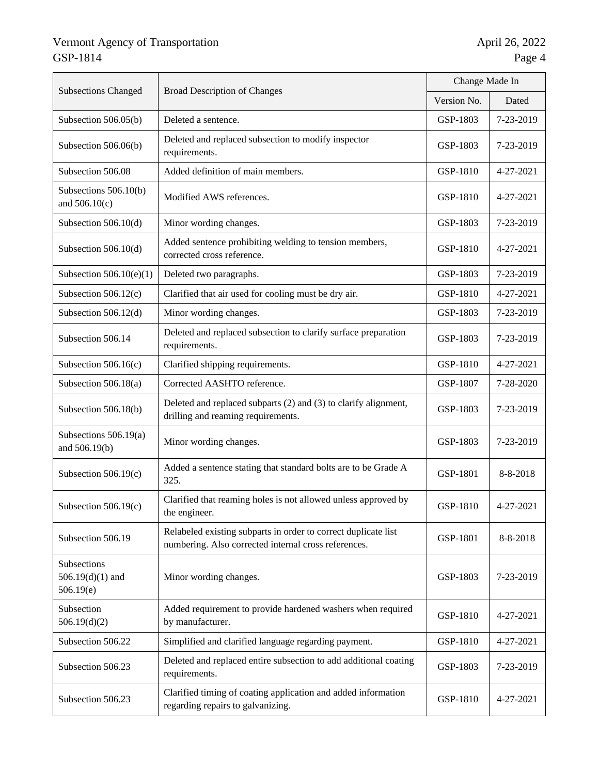| <b>Subsections Changed</b>                                                                                              |                                                                                                                        | Change Made In |           |
|-------------------------------------------------------------------------------------------------------------------------|------------------------------------------------------------------------------------------------------------------------|----------------|-----------|
| <b>Broad Description of Changes</b>                                                                                     |                                                                                                                        | Version No.    | Dated     |
| Subsection 506.05(b)                                                                                                    | Deleted a sentence.                                                                                                    | GSP-1803       | 7-23-2019 |
| Subsection 506.06(b)                                                                                                    | Deleted and replaced subsection to modify inspector<br>requirements.                                                   | GSP-1803       | 7-23-2019 |
| Subsection 506.08                                                                                                       | Added definition of main members.                                                                                      | GSP-1810       | 4-27-2021 |
| Subsections 506.10(b)<br>and $506.10(c)$                                                                                | Modified AWS references.                                                                                               | GSP-1810       | 4-27-2021 |
| Subsection 506.10(d)                                                                                                    | Minor wording changes.                                                                                                 | GSP-1803       | 7-23-2019 |
| Subsection 506.10(d)                                                                                                    | Added sentence prohibiting welding to tension members,<br>corrected cross reference.                                   | GSP-1810       | 4-27-2021 |
| Subsection $506.10(e)(1)$                                                                                               | Deleted two paragraphs.                                                                                                | GSP-1803       | 7-23-2019 |
| Subsection $506.12(c)$                                                                                                  | Clarified that air used for cooling must be dry air.                                                                   | GSP-1810       | 4-27-2021 |
| Subsection 506.12(d)                                                                                                    | Minor wording changes.                                                                                                 | GSP-1803       | 7-23-2019 |
| Subsection 506.14                                                                                                       | Deleted and replaced subsection to clarify surface preparation<br>requirements.                                        |                | 7-23-2019 |
| Subsection $506.16(c)$                                                                                                  | Clarified shipping requirements.                                                                                       |                | 4-27-2021 |
| Subsection $506.18(a)$                                                                                                  | Corrected AASHTO reference.                                                                                            | GSP-1807       | 7-28-2020 |
| Subsection 506.18(b)                                                                                                    | Deleted and replaced subparts (2) and (3) to clarify alignment,<br>drilling and reaming requirements.                  | GSP-1803       | 7-23-2019 |
| Subsections $506.19(a)$<br>and 506.19(b)                                                                                | Minor wording changes.                                                                                                 | GSP-1803       | 7-23-2019 |
| Subsection $506.19(c)$                                                                                                  | Added a sentence stating that standard bolts are to be Grade A<br>325.                                                 |                | 8-8-2018  |
| Subsection $506.19(c)$                                                                                                  | Clarified that reaming holes is not allowed unless approved by<br>the engineer.                                        | GSP-1810       | 4-27-2021 |
| Subsection 506.19                                                                                                       | Relabeled existing subparts in order to correct duplicate list<br>numbering. Also corrected internal cross references. | GSP-1801       | 8-8-2018  |
| Subsections<br>$506.19(d)(1)$ and<br>506.19(e)                                                                          | Minor wording changes.                                                                                                 | GSP-1803       | 7-23-2019 |
| Subsection<br>506.19(d)(2)                                                                                              | Added requirement to provide hardened washers when required<br>by manufacturer.                                        | GSP-1810       | 4-27-2021 |
| Subsection 506.22                                                                                                       | Simplified and clarified language regarding payment.                                                                   | GSP-1810       | 4-27-2021 |
| Subsection 506.23                                                                                                       | Deleted and replaced entire subsection to add additional coating<br>requirements.                                      | GSP-1803       | 7-23-2019 |
| Clarified timing of coating application and added information<br>Subsection 506.23<br>regarding repairs to galvanizing. |                                                                                                                        | GSP-1810       | 4-27-2021 |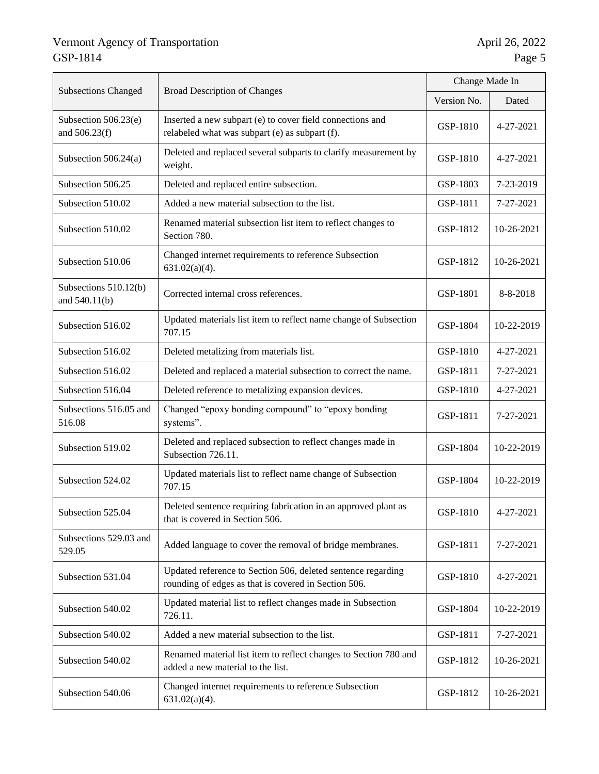|                                        |                                                                                                                      | Change Made In |            |
|----------------------------------------|----------------------------------------------------------------------------------------------------------------------|----------------|------------|
| <b>Subsections Changed</b>             | <b>Broad Description of Changes</b>                                                                                  |                | Dated      |
| Subsection 506.23(e)<br>and 506.23(f)  | Inserted a new subpart (e) to cover field connections and<br>relabeled what was subpart (e) as subpart (f).          | GSP-1810       | 4-27-2021  |
| Subsection 506.24(a)                   | Deleted and replaced several subparts to clarify measurement by<br>weight.                                           | GSP-1810       | 4-27-2021  |
| Subsection 506.25                      | Deleted and replaced entire subsection.                                                                              | GSP-1803       | 7-23-2019  |
| Subsection 510.02                      | Added a new material subsection to the list.                                                                         | GSP-1811       | 7-27-2021  |
| Subsection 510.02                      | Renamed material subsection list item to reflect changes to<br>Section 780.                                          | GSP-1812       | 10-26-2021 |
| Subsection 510.06                      | Changed internet requirements to reference Subsection<br>$631.02(a)(4)$ .                                            | GSP-1812       | 10-26-2021 |
| Subsections 510.12(b)<br>and 540.11(b) | Corrected internal cross references.                                                                                 | GSP-1801       | 8-8-2018   |
| Subsection 516.02                      | Updated materials list item to reflect name change of Subsection<br>707.15                                           | GSP-1804       | 10-22-2019 |
| Subsection 516.02                      | Deleted metalizing from materials list.                                                                              |                | 4-27-2021  |
| Subsection 516.02                      | Deleted and replaced a material subsection to correct the name.                                                      | GSP-1811       | 7-27-2021  |
| Subsection 516.04                      | Deleted reference to metalizing expansion devices.                                                                   |                | 4-27-2021  |
| Subsections 516.05 and<br>516.08       | Changed "epoxy bonding compound" to "epoxy bonding<br>systems".                                                      | GSP-1811       | 7-27-2021  |
| Subsection 519.02                      | Deleted and replaced subsection to reflect changes made in<br>Subsection 726.11.                                     | GSP-1804       | 10-22-2019 |
| Subsection 524.02                      | Updated materials list to reflect name change of Subsection<br>707.15                                                | GSP-1804       | 10-22-2019 |
| Subsection 525.04                      | Deleted sentence requiring fabrication in an approved plant as<br>that is covered in Section 506.                    | GSP-1810       | 4-27-2021  |
| Subsections 529.03 and<br>529.05       | Added language to cover the removal of bridge membranes.                                                             | GSP-1811       | 7-27-2021  |
| Subsection 531.04                      | Updated reference to Section 506, deleted sentence regarding<br>rounding of edges as that is covered in Section 506. | GSP-1810       | 4-27-2021  |
| Subsection 540.02                      | Updated material list to reflect changes made in Subsection<br>726.11.                                               | GSP-1804       | 10-22-2019 |
| Subsection 540.02                      | Added a new material subsection to the list.                                                                         | GSP-1811       | 7-27-2021  |
| Subsection 540.02                      | Renamed material list item to reflect changes to Section 780 and<br>added a new material to the list.                | GSP-1812       | 10-26-2021 |
| Subsection 540.06                      | Changed internet requirements to reference Subsection<br>$631.02(a)(4)$ .                                            | GSP-1812       | 10-26-2021 |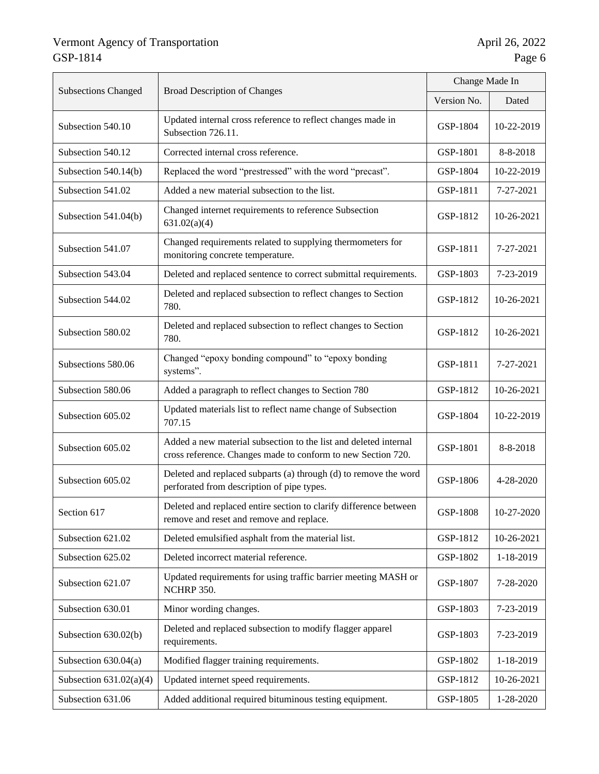|                            |                                                                                                                                  | Change Made In |            |
|----------------------------|----------------------------------------------------------------------------------------------------------------------------------|----------------|------------|
| <b>Subsections Changed</b> | <b>Broad Description of Changes</b>                                                                                              |                | Dated      |
| Subsection 540.10          | Updated internal cross reference to reflect changes made in<br>Subsection 726.11.                                                | GSP-1804       | 10-22-2019 |
| Subsection 540.12          | Corrected internal cross reference.                                                                                              | GSP-1801       | 8-8-2018   |
| Subsection 540.14(b)       | Replaced the word "prestressed" with the word "precast".                                                                         | GSP-1804       | 10-22-2019 |
| Subsection 541.02          | Added a new material subsection to the list.                                                                                     | GSP-1811       | 7-27-2021  |
| Subsection 541.04(b)       | Changed internet requirements to reference Subsection<br>631.02(a)(4)                                                            | GSP-1812       | 10-26-2021 |
| Subsection 541.07          | Changed requirements related to supplying thermometers for<br>monitoring concrete temperature.                                   | GSP-1811       | 7-27-2021  |
| Subsection 543.04          | Deleted and replaced sentence to correct submittal requirements.                                                                 | GSP-1803       | 7-23-2019  |
| Subsection 544.02          | Deleted and replaced subsection to reflect changes to Section<br>780.                                                            |                | 10-26-2021 |
| Subsection 580.02          | Deleted and replaced subsection to reflect changes to Section<br>780.                                                            |                | 10-26-2021 |
| Subsections 580.06         | Changed "epoxy bonding compound" to "epoxy bonding<br>systems".                                                                  |                | 7-27-2021  |
| Subsection 580.06          | Added a paragraph to reflect changes to Section 780                                                                              |                | 10-26-2021 |
| Subsection 605.02          | Updated materials list to reflect name change of Subsection<br>707.15                                                            |                | 10-22-2019 |
| Subsection 605.02          | Added a new material subsection to the list and deleted internal<br>cross reference. Changes made to conform to new Section 720. |                | 8-8-2018   |
| Subsection 605.02          | Deleted and replaced subparts (a) through (d) to remove the word<br>perforated from description of pipe types.                   |                | 4-28-2020  |
| Section 617                | Deleted and replaced entire section to clarify difference between<br>remove and reset and remove and replace.                    |                | 10-27-2020 |
| Subsection 621.02          | Deleted emulsified asphalt from the material list.                                                                               | GSP-1812       | 10-26-2021 |
| Subsection 625.02          | Deleted incorrect material reference.                                                                                            | GSP-1802       | 1-18-2019  |
| Subsection 621.07          | Updated requirements for using traffic barrier meeting MASH or<br>NCHRP 350.                                                     |                | 7-28-2020  |
| Subsection 630.01          | Minor wording changes.                                                                                                           | GSP-1803       | 7-23-2019  |
| Subsection 630.02(b)       | Deleted and replaced subsection to modify flagger apparel<br>requirements.                                                       | GSP-1803       | 7-23-2019  |
| Subsection 630.04(a)       | Modified flagger training requirements.                                                                                          | GSP-1802       | 1-18-2019  |
| Subsection $631.02(a)(4)$  | Updated internet speed requirements.                                                                                             | GSP-1812       | 10-26-2021 |
| Subsection 631.06          | Added additional required bituminous testing equipment.                                                                          |                | 1-28-2020  |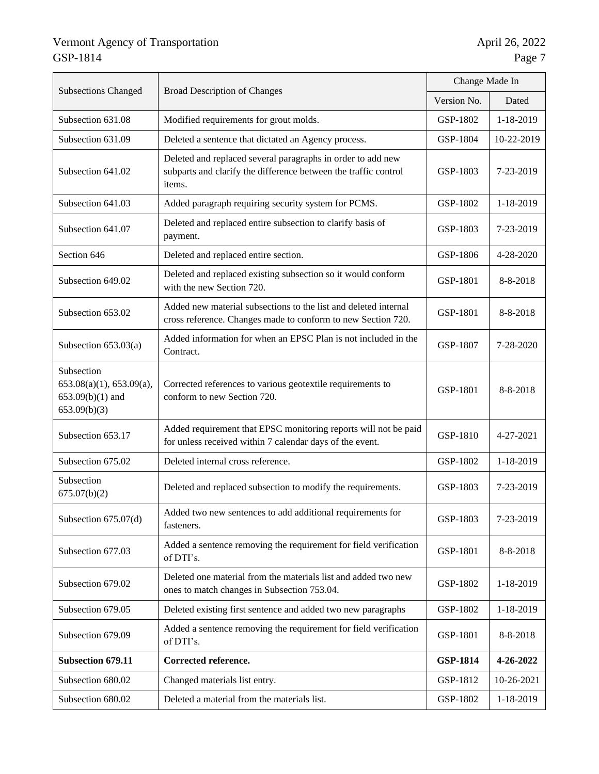|                                                                              | <b>Broad Description of Changes</b>                                                                                                      | Change Made In  |            |
|------------------------------------------------------------------------------|------------------------------------------------------------------------------------------------------------------------------------------|-----------------|------------|
| <b>Subsections Changed</b>                                                   |                                                                                                                                          |                 | Dated      |
| Subsection 631.08                                                            | Modified requirements for grout molds.                                                                                                   | GSP-1802        | 1-18-2019  |
| Subsection 631.09                                                            | Deleted a sentence that dictated an Agency process.                                                                                      | GSP-1804        | 10-22-2019 |
| Subsection 641.02                                                            | Deleted and replaced several paragraphs in order to add new<br>subparts and clarify the difference between the traffic control<br>items. | GSP-1803        | 7-23-2019  |
| Subsection 641.03                                                            | Added paragraph requiring security system for PCMS.                                                                                      | GSP-1802        | 1-18-2019  |
| Subsection 641.07                                                            | Deleted and replaced entire subsection to clarify basis of<br>payment.                                                                   | GSP-1803        | 7-23-2019  |
| Section 646                                                                  | Deleted and replaced entire section.                                                                                                     | GSP-1806        | 4-28-2020  |
| Subsection 649.02                                                            | Deleted and replaced existing subsection so it would conform<br>with the new Section 720.                                                | GSP-1801        | 8-8-2018   |
| Subsection 653.02                                                            | Added new material subsections to the list and deleted internal<br>cross reference. Changes made to conform to new Section 720.          |                 | 8-8-2018   |
| Subsection $653.03(a)$                                                       | Added information for when an EPSC Plan is not included in the<br>Contract.                                                              |                 | 7-28-2020  |
| Subsection<br>653.08(a)(1), 653.09(a),<br>$653.09(b)(1)$ and<br>653.09(b)(3) | Corrected references to various geotextile requirements to<br>conform to new Section 720.                                                | GSP-1801        | 8-8-2018   |
| Subsection 653.17                                                            | Added requirement that EPSC monitoring reports will not be paid<br>for unless received within 7 calendar days of the event.              | GSP-1810        | 4-27-2021  |
| Subsection 675.02                                                            | Deleted internal cross reference.                                                                                                        | GSP-1802        | 1-18-2019  |
| Subsection<br>675.07(b)(2)                                                   | Deleted and replaced subsection to modify the requirements.                                                                              | GSP-1803        | 7-23-2019  |
| Subsection 675.07(d)                                                         | Added two new sentences to add additional requirements for<br>fasteners.                                                                 | GSP-1803        | 7-23-2019  |
| Subsection 677.03                                                            | Added a sentence removing the requirement for field verification<br>of DTI's.                                                            |                 | 8-8-2018   |
| Subsection 679.02                                                            | Deleted one material from the materials list and added two new<br>ones to match changes in Subsection 753.04.                            | GSP-1802        | 1-18-2019  |
| Subsection 679.05                                                            | Deleted existing first sentence and added two new paragraphs                                                                             | GSP-1802        | 1-18-2019  |
| Subsection 679.09                                                            | Added a sentence removing the requirement for field verification<br>of DTI's.                                                            | GSP-1801        | 8-8-2018   |
| Subsection 679.11                                                            | Corrected reference.                                                                                                                     | <b>GSP-1814</b> | 4-26-2022  |
| Subsection 680.02                                                            | Changed materials list entry.                                                                                                            | GSP-1812        | 10-26-2021 |
| Subsection 680.02                                                            | Deleted a material from the materials list.                                                                                              | GSP-1802        | 1-18-2019  |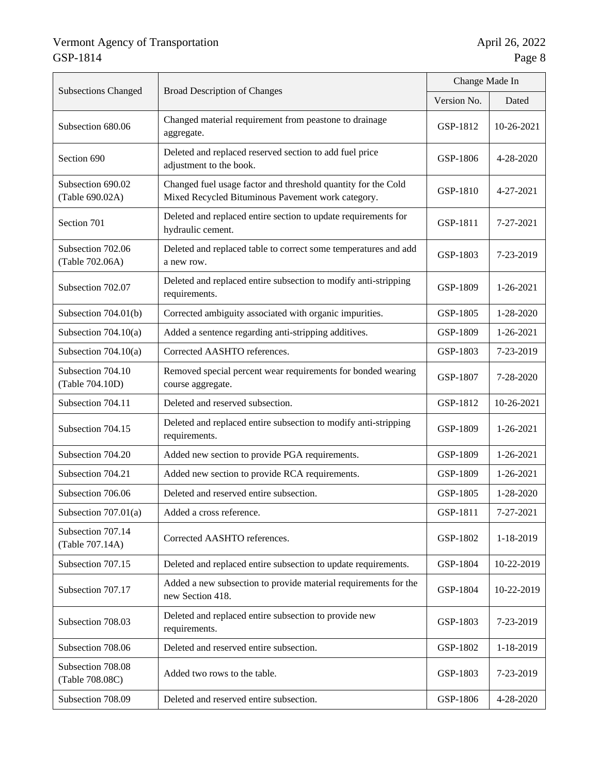|                                      |                                                                                                                    | Change Made In |            |
|--------------------------------------|--------------------------------------------------------------------------------------------------------------------|----------------|------------|
| <b>Subsections Changed</b>           | <b>Broad Description of Changes</b>                                                                                |                | Dated      |
| Subsection 680.06                    | Changed material requirement from peastone to drainage<br>aggregate.                                               | GSP-1812       | 10-26-2021 |
| Section 690                          | Deleted and replaced reserved section to add fuel price<br>adjustment to the book.                                 | GSP-1806       | 4-28-2020  |
| Subsection 690.02<br>(Table 690.02A) | Changed fuel usage factor and threshold quantity for the Cold<br>Mixed Recycled Bituminous Pavement work category. | GSP-1810       | 4-27-2021  |
| Section 701                          | Deleted and replaced entire section to update requirements for<br>hydraulic cement.                                | GSP-1811       | 7-27-2021  |
| Subsection 702.06<br>(Table 702.06A) | Deleted and replaced table to correct some temperatures and add<br>a new row.                                      | GSP-1803       | 7-23-2019  |
| Subsection 702.07                    | Deleted and replaced entire subsection to modify anti-stripping<br>requirements.                                   |                | 1-26-2021  |
| Subsection 704.01(b)                 | Corrected ambiguity associated with organic impurities.                                                            | GSP-1805       | 1-28-2020  |
| Subsection $704.10(a)$               | Added a sentence regarding anti-stripping additives.                                                               |                | 1-26-2021  |
| Subsection $704.10(a)$               | Corrected AASHTO references.                                                                                       |                | 7-23-2019  |
| Subsection 704.10<br>(Table 704.10D) | Removed special percent wear requirements for bonded wearing<br>course aggregate.                                  |                | 7-28-2020  |
| Subsection 704.11                    | Deleted and reserved subsection.                                                                                   |                | 10-26-2021 |
| Subsection 704.15                    | Deleted and replaced entire subsection to modify anti-stripping<br>requirements.                                   |                | 1-26-2021  |
| Subsection 704.20                    | Added new section to provide PGA requirements.                                                                     | GSP-1809       | 1-26-2021  |
| Subsection 704.21                    | Added new section to provide RCA requirements.                                                                     | GSP-1809       | 1-26-2021  |
| Subsection 706.06                    | Deleted and reserved entire subsection.                                                                            | GSP-1805       | 1-28-2020  |
| Subsection $707.01(a)$               | Added a cross reference.                                                                                           | GSP-1811       | 7-27-2021  |
| Subsection 707.14<br>(Table 707.14A) | Corrected AASHTO references.                                                                                       |                | 1-18-2019  |
| Subsection 707.15                    | Deleted and replaced entire subsection to update requirements.                                                     |                | 10-22-2019 |
| Subsection 707.17                    | Added a new subsection to provide material requirements for the<br>new Section 418.                                |                | 10-22-2019 |
| Subsection 708.03                    | Deleted and replaced entire subsection to provide new<br>requirements.                                             |                | 7-23-2019  |
| Subsection 708.06                    | Deleted and reserved entire subsection.                                                                            | GSP-1802       | 1-18-2019  |
| Subsection 708.08<br>(Table 708.08C) | Added two rows to the table.                                                                                       |                | 7-23-2019  |
| Subsection 708.09                    | Deleted and reserved entire subsection.                                                                            | GSP-1806       | 4-28-2020  |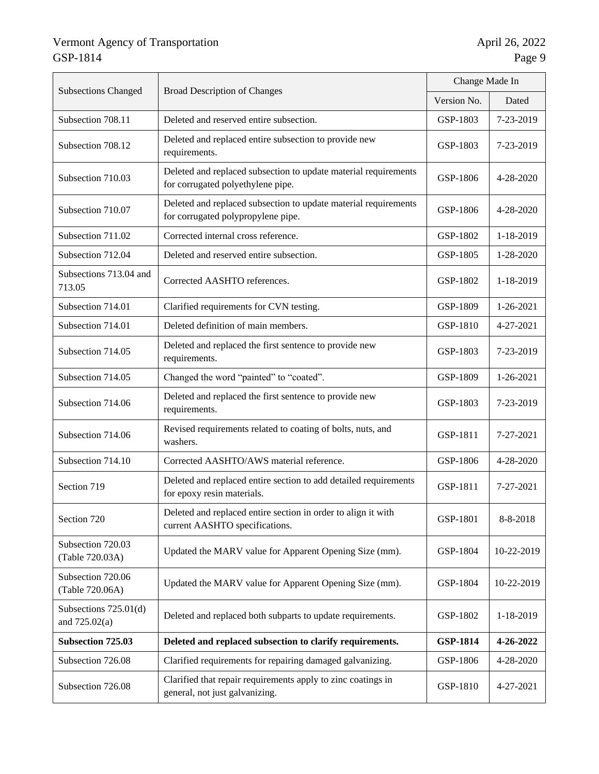|                                                                                                                     |                                                                                                       | Change Made In |                 |
|---------------------------------------------------------------------------------------------------------------------|-------------------------------------------------------------------------------------------------------|----------------|-----------------|
| <b>Subsections Changed</b>                                                                                          | <b>Broad Description of Changes</b>                                                                   |                | Dated           |
| Subsection 708.11                                                                                                   | Deleted and reserved entire subsection.                                                               | GSP-1803       | 7-23-2019       |
| Subsection 708.12                                                                                                   | Deleted and replaced entire subsection to provide new<br>requirements.                                | GSP-1803       | 7-23-2019       |
| Subsection 710.03                                                                                                   | Deleted and replaced subsection to update material requirements<br>for corrugated polyethylene pipe.  | GSP-1806       | 4-28-2020       |
| Subsection 710.07                                                                                                   | Deleted and replaced subsection to update material requirements<br>for corrugated polypropylene pipe. | GSP-1806       | 4-28-2020       |
| Subsection 711.02                                                                                                   | Corrected internal cross reference.                                                                   | GSP-1802       | 1-18-2019       |
| Subsection 712.04                                                                                                   | Deleted and reserved entire subsection.                                                               | GSP-1805       | 1-28-2020       |
| Subsections 713.04 and<br>713.05                                                                                    | Corrected AASHTO references.                                                                          | GSP-1802       | 1-18-2019       |
| Subsection 714.01                                                                                                   | Clarified requirements for CVN testing.                                                               | GSP-1809       | $1 - 26 - 2021$ |
| Subsection 714.01                                                                                                   | Deleted definition of main members.                                                                   | GSP-1810       | 4-27-2021       |
| Subsection 714.05                                                                                                   | Deleted and replaced the first sentence to provide new<br>requirements.                               | GSP-1803       | 7-23-2019       |
| Subsection 714.05                                                                                                   | Changed the word "painted" to "coated".                                                               |                | 1-26-2021       |
| Subsection 714.06                                                                                                   | Deleted and replaced the first sentence to provide new<br>requirements.                               |                | 7-23-2019       |
| Subsection 714.06                                                                                                   | Revised requirements related to coating of bolts, nuts, and<br>washers.                               | GSP-1811       | 7-27-2021       |
| Subsection 714.10                                                                                                   | Corrected AASHTO/AWS material reference.                                                              | GSP-1806       | 4-28-2020       |
| Section 719                                                                                                         | Deleted and replaced entire section to add detailed requirements<br>for epoxy resin materials.        | GSP-1811       | 7-27-2021       |
| Section 720                                                                                                         | Deleted and replaced entire section in order to align it with<br>current AASHTO specifications.       | GSP-1801       | 8-8-2018        |
| Subsection 720.03<br>(Table 720.03A)                                                                                | Updated the MARV value for Apparent Opening Size (mm).                                                | GSP-1804       | 10-22-2019      |
| Subsection 720.06<br>(Table 720.06A)                                                                                | Updated the MARV value for Apparent Opening Size (mm).                                                | GSP-1804       | 10-22-2019      |
| Subsections $725.01(d)$<br>and $725.02(a)$                                                                          | Deleted and replaced both subparts to update requirements.                                            | GSP-1802       | 1-18-2019       |
| <b>Subsection 725.03</b>                                                                                            | Deleted and replaced subsection to clarify requirements.                                              |                | 4-26-2022       |
| Subsection 726.08                                                                                                   | Clarified requirements for repairing damaged galvanizing.                                             | GSP-1806       | 4-28-2020       |
| Clarified that repair requirements apply to zinc coatings in<br>Subsection 726.08<br>general, not just galvanizing. |                                                                                                       | GSP-1810       | 4-27-2021       |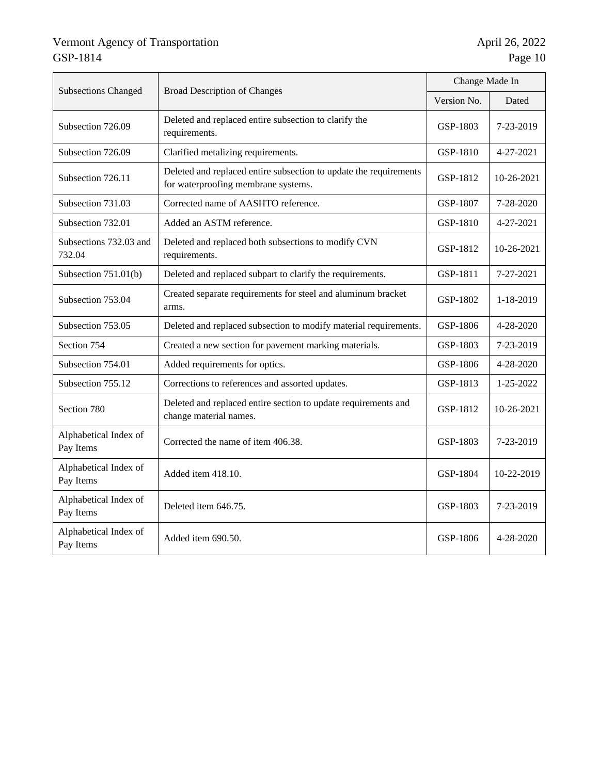|                                    | <b>Broad Description of Changes</b>                                                                      | Change Made In |            |
|------------------------------------|----------------------------------------------------------------------------------------------------------|----------------|------------|
| <b>Subsections Changed</b>         |                                                                                                          |                | Dated      |
| Subsection 726.09                  | Deleted and replaced entire subsection to clarify the<br>requirements.                                   | GSP-1803       | 7-23-2019  |
| Subsection 726.09                  | Clarified metalizing requirements.                                                                       | GSP-1810       | 4-27-2021  |
| Subsection 726.11                  | Deleted and replaced entire subsection to update the requirements<br>for waterproofing membrane systems. | GSP-1812       | 10-26-2021 |
| Subsection 731.03                  | Corrected name of AASHTO reference.                                                                      | GSP-1807       | 7-28-2020  |
| Subsection 732.01                  | Added an ASTM reference.                                                                                 | GSP-1810       | 4-27-2021  |
| Subsections 732.03 and<br>732.04   | Deleted and replaced both subsections to modify CVN<br>requirements.                                     | GSP-1812       | 10-26-2021 |
| Subsection $751.01(b)$             | Deleted and replaced subpart to clarify the requirements.                                                |                | 7-27-2021  |
| Subsection 753.04                  | Created separate requirements for steel and aluminum bracket<br>arms.                                    |                | 1-18-2019  |
| Subsection 753.05                  | Deleted and replaced subsection to modify material requirements.                                         | GSP-1806       | 4-28-2020  |
| Section 754                        | Created a new section for pavement marking materials.                                                    | GSP-1803       | 7-23-2019  |
| Subsection 754.01                  | Added requirements for optics.                                                                           | GSP-1806       | 4-28-2020  |
| Subsection 755.12                  | Corrections to references and assorted updates.                                                          | GSP-1813       | 1-25-2022  |
| Section 780                        | Deleted and replaced entire section to update requirements and<br>change material names.                 | GSP-1812       | 10-26-2021 |
| Alphabetical Index of<br>Pay Items | Corrected the name of item 406.38.                                                                       |                | 7-23-2019  |
| Alphabetical Index of<br>Pay Items | Added item 418.10.                                                                                       | GSP-1804       | 10-22-2019 |
| Alphabetical Index of<br>Pay Items | Deleted item 646.75.                                                                                     | GSP-1803       | 7-23-2019  |
| Alphabetical Index of<br>Pay Items | Added item 690.50.                                                                                       | GSP-1806       | 4-28-2020  |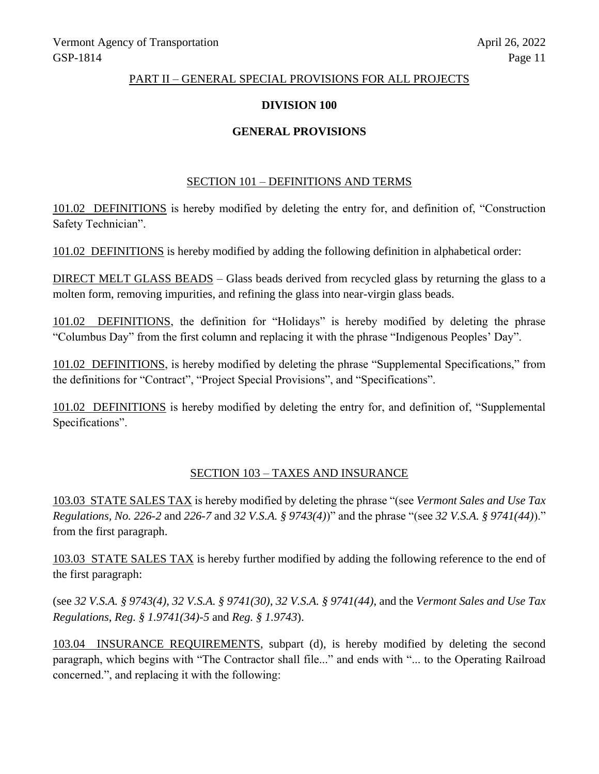### PART II – GENERAL SPECIAL PROVISIONS FOR ALL PROJECTS

### **DIVISION 100**

# **GENERAL PROVISIONS**

### SECTION 101 – DEFINITIONS AND TERMS

101.02 DEFINITIONS is hereby modified by deleting the entry for, and definition of, "Construction Safety Technician".

101.02 DEFINITIONS is hereby modified by adding the following definition in alphabetical order:

DIRECT MELT GLASS BEADS – Glass beads derived from recycled glass by returning the glass to a molten form, removing impurities, and refining the glass into near-virgin glass beads.

101.02 DEFINITIONS, the definition for "Holidays" is hereby modified by deleting the phrase "Columbus Day" from the first column and replacing it with the phrase "Indigenous Peoples' Day".

101.02 DEFINITIONS, is hereby modified by deleting the phrase "Supplemental Specifications," from the definitions for "Contract", "Project Special Provisions", and "Specifications".

101.02 DEFINITIONS is hereby modified by deleting the entry for, and definition of, "Supplemental Specifications".

### SECTION 103 – TAXES AND INSURANCE

103.03 STATE SALES TAX is hereby modified by deleting the phrase "(see *Vermont Sales and Use Tax Regulations, No. 226-2* and *226-7* and *32 V.S.A. § 9743(4)*)" and the phrase "(see *32 V.S.A. § 9741(44)*)." from the first paragraph.

103.03 STATE SALES TAX is hereby further modified by adding the following reference to the end of the first paragraph:

(see *32 V.S.A. § 9743(4)*, *32 V.S.A. § 9741(30)*, *32 V.S.A. § 9741(44)*, and the *Vermont Sales and Use Tax Regulations*, *Reg. § 1.9741(34)-5* and *Reg. § 1.9743*).

103.04 INSURANCE REQUIREMENTS, subpart (d), is hereby modified by deleting the second paragraph, which begins with "The Contractor shall file..." and ends with "... to the Operating Railroad concerned.", and replacing it with the following: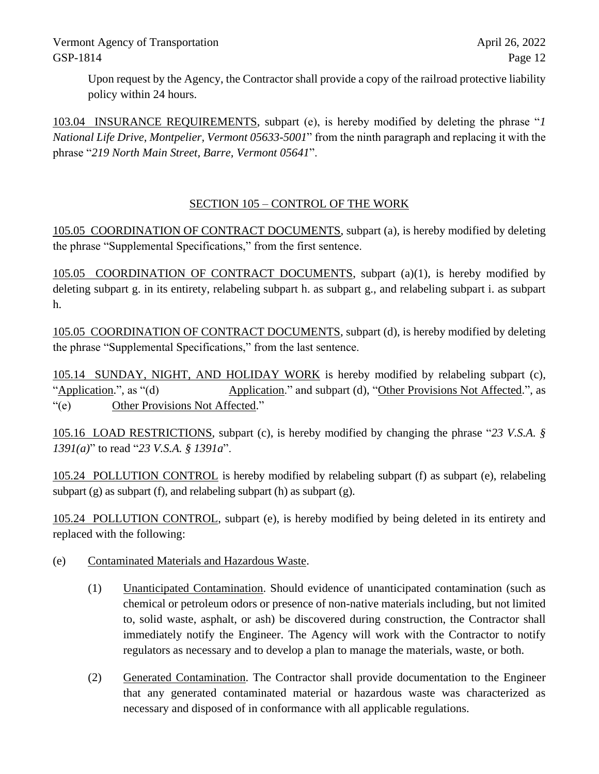Upon request by the Agency, the Contractor shall provide a copy of the railroad protective liability policy within 24 hours.

103.04 INSURANCE REQUIREMENTS, subpart (e), is hereby modified by deleting the phrase "*1 National Life Drive, Montpelier, Vermont 05633-5001*" from the ninth paragraph and replacing it with the phrase "*219 North Main Street, Barre, Vermont 05641*".

# SECTION 105 – CONTROL OF THE WORK

105.05 COORDINATION OF CONTRACT DOCUMENTS, subpart (a), is hereby modified by deleting the phrase "Supplemental Specifications," from the first sentence.

105.05 COORDINATION OF CONTRACT DOCUMENTS, subpart (a)(1), is hereby modified by deleting subpart g. in its entirety, relabeling subpart h. as subpart g., and relabeling subpart i. as subpart h.

105.05 COORDINATION OF CONTRACT DOCUMENTS, subpart (d), is hereby modified by deleting the phrase "Supplemental Specifications," from the last sentence.

105.14 SUNDAY, NIGHT, AND HOLIDAY WORK is hereby modified by relabeling subpart (c), "Application.", as "(d) Application." and subpart (d), "Other Provisions Not Affected.", as "(e) Other Provisions Not Affected."

105.16 LOAD RESTRICTIONS, subpart (c), is hereby modified by changing the phrase "*23 V.S.A. § 1391(a)*" to read "*23 V.S.A. § 1391a*".

105.24 POLLUTION CONTROL is hereby modified by relabeling subpart (f) as subpart (e), relabeling subpart (g) as subpart (f), and relabeling subpart (h) as subpart (g).

105.24 POLLUTION CONTROL, subpart (e), is hereby modified by being deleted in its entirety and replaced with the following:

- (e) Contaminated Materials and Hazardous Waste.
	- (1) Unanticipated Contamination. Should evidence of unanticipated contamination (such as chemical or petroleum odors or presence of non-native materials including, but not limited to, solid waste, asphalt, or ash) be discovered during construction, the Contractor shall immediately notify the Engineer. The Agency will work with the Contractor to notify regulators as necessary and to develop a plan to manage the materials, waste, or both.
	- (2) Generated Contamination. The Contractor shall provide documentation to the Engineer that any generated contaminated material or hazardous waste was characterized as necessary and disposed of in conformance with all applicable regulations.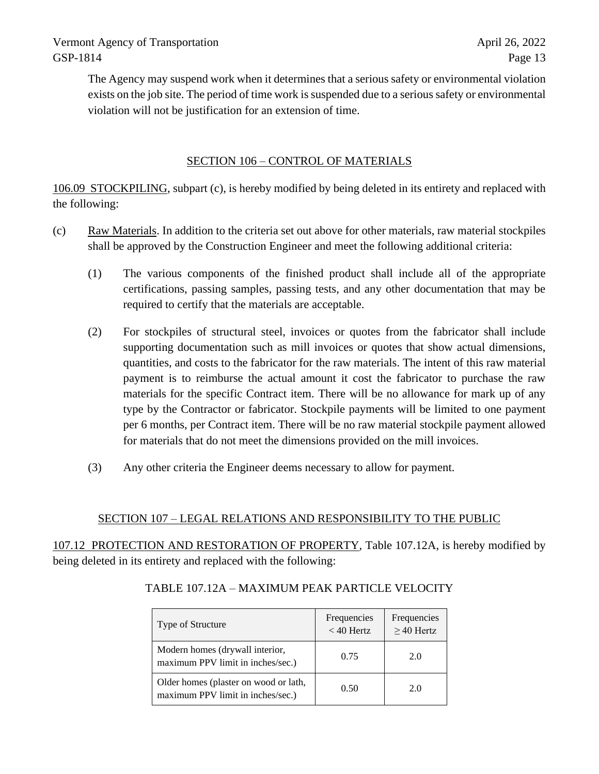The Agency may suspend work when it determines that a serious safety or environmental violation exists on the job site. The period of time work is suspended due to a serious safety or environmental violation will not be justification for an extension of time.

# SECTION 106 – CONTROL OF MATERIALS

106.09 STOCKPILING, subpart (c), is hereby modified by being deleted in its entirety and replaced with the following:

- (c) Raw Materials. In addition to the criteria set out above for other materials, raw material stockpiles shall be approved by the Construction Engineer and meet the following additional criteria:
	- (1) The various components of the finished product shall include all of the appropriate certifications, passing samples, passing tests, and any other documentation that may be required to certify that the materials are acceptable.
	- (2) For stockpiles of structural steel, invoices or quotes from the fabricator shall include supporting documentation such as mill invoices or quotes that show actual dimensions, quantities, and costs to the fabricator for the raw materials. The intent of this raw material payment is to reimburse the actual amount it cost the fabricator to purchase the raw materials for the specific Contract item. There will be no allowance for mark up of any type by the Contractor or fabricator. Stockpile payments will be limited to one payment per 6 months, per Contract item. There will be no raw material stockpile payment allowed for materials that do not meet the dimensions provided on the mill invoices.
	- (3) Any other criteria the Engineer deems necessary to allow for payment.

# SECTION 107 – LEGAL RELATIONS AND RESPONSIBILITY TO THE PUBLIC

107.12 PROTECTION AND RESTORATION OF PROPERTY, Table 107.12A, is hereby modified by being deleted in its entirety and replaced with the following:

| Type of Structure                                                          | Frequencies<br>$<$ 40 Hertz | Frequencies<br>$\geq$ 40 Hertz |
|----------------------------------------------------------------------------|-----------------------------|--------------------------------|
| Modern homes (drywall interior,<br>maximum PPV limit in inches/sec.)       | 0.75                        | 2.0                            |
| Older homes (plaster on wood or lath,<br>maximum PPV limit in inches/sec.) | 0.50                        | 2.0                            |

# TABLE 107.12A – MAXIMUM PEAK PARTICLE VELOCITY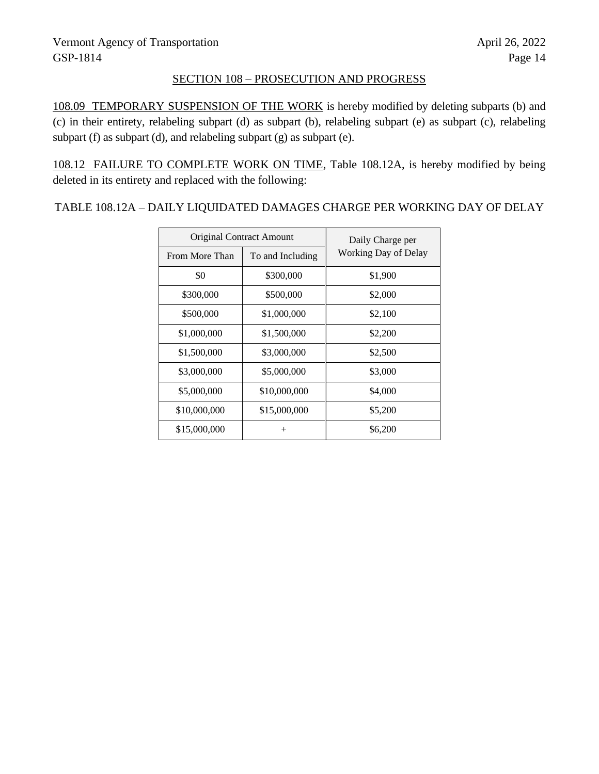# SECTION 108 – PROSECUTION AND PROGRESS

108.09 TEMPORARY SUSPENSION OF THE WORK is hereby modified by deleting subparts (b) and (c) in their entirety, relabeling subpart (d) as subpart (b), relabeling subpart (e) as subpart (c), relabeling subpart (f) as subpart (d), and relabeling subpart (g) as subpart (e).

108.12 FAILURE TO COMPLETE WORK ON TIME, Table 108.12A, is hereby modified by being deleted in its entirety and replaced with the following:

TABLE 108.12A – DAILY LIQUIDATED DAMAGES CHARGE PER WORKING DAY OF DELAY

| <b>Original Contract Amount</b> |                  | Daily Charge per     |
|---------------------------------|------------------|----------------------|
| From More Than                  | To and Including | Working Day of Delay |
| \$0                             | \$300,000        | \$1,900              |
| \$300,000                       | \$500,000        | \$2,000              |
| \$500,000                       | \$1,000,000      | \$2,100              |
| \$1,000,000                     | \$1,500,000      | \$2,200              |
| \$1,500,000                     | \$3,000,000      | \$2,500              |
| \$3,000,000                     | \$5,000,000      | \$3,000              |
| \$5,000,000                     | \$10,000,000     | \$4,000              |
| \$10,000,000                    | \$15,000,000     | \$5,200              |
| \$15,000,000                    | $^{+}$           | \$6,200              |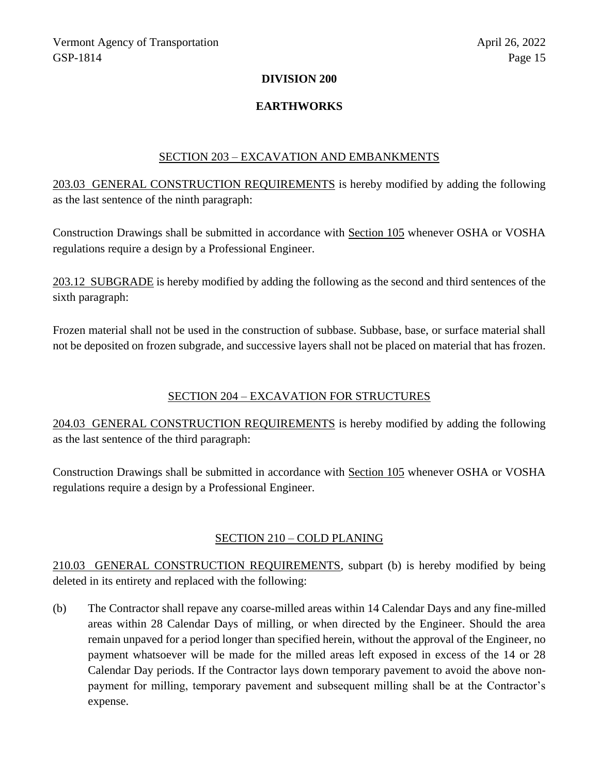### **DIVISION 200**

# **EARTHWORKS**

### SECTION 203 – EXCAVATION AND EMBANKMENTS

203.03 GENERAL CONSTRUCTION REQUIREMENTS is hereby modified by adding the following as the last sentence of the ninth paragraph:

Construction Drawings shall be submitted in accordance with Section 105 whenever OSHA or VOSHA regulations require a design by a Professional Engineer.

203.12 SUBGRADE is hereby modified by adding the following as the second and third sentences of the sixth paragraph:

Frozen material shall not be used in the construction of subbase. Subbase, base, or surface material shall not be deposited on frozen subgrade, and successive layers shall not be placed on material that has frozen.

### SECTION 204 – EXCAVATION FOR STRUCTURES

204.03 GENERAL CONSTRUCTION REQUIREMENTS is hereby modified by adding the following as the last sentence of the third paragraph:

Construction Drawings shall be submitted in accordance with Section 105 whenever OSHA or VOSHA regulations require a design by a Professional Engineer.

# SECTION 210 – COLD PLANING

210.03 GENERAL CONSTRUCTION REQUIREMENTS, subpart (b) is hereby modified by being deleted in its entirety and replaced with the following:

(b) The Contractor shall repave any coarse-milled areas within 14 Calendar Days and any fine-milled areas within 28 Calendar Days of milling, or when directed by the Engineer. Should the area remain unpaved for a period longer than specified herein, without the approval of the Engineer, no payment whatsoever will be made for the milled areas left exposed in excess of the 14 or 28 Calendar Day periods. If the Contractor lays down temporary pavement to avoid the above nonpayment for milling, temporary pavement and subsequent milling shall be at the Contractor's expense.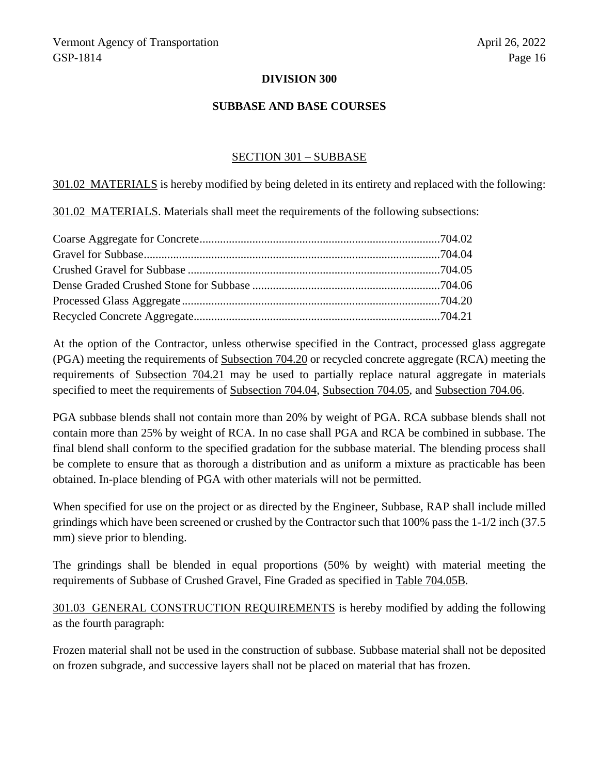### **DIVISION 300**

### **SUBBASE AND BASE COURSES**

#### SECTION 301 – SUBBASE

301.02 MATERIALS is hereby modified by being deleted in its entirety and replaced with the following:

301.02 MATERIALS. Materials shall meet the requirements of the following subsections:

At the option of the Contractor, unless otherwise specified in the Contract, processed glass aggregate (PGA) meeting the requirements of Subsection 704.20 or recycled concrete aggregate (RCA) meeting the requirements of Subsection 704.21 may be used to partially replace natural aggregate in materials specified to meet the requirements of Subsection 704.04, Subsection 704.05, and Subsection 704.06.

PGA subbase blends shall not contain more than 20% by weight of PGA. RCA subbase blends shall not contain more than 25% by weight of RCA. In no case shall PGA and RCA be combined in subbase. The final blend shall conform to the specified gradation for the subbase material. The blending process shall be complete to ensure that as thorough a distribution and as uniform a mixture as practicable has been obtained. In-place blending of PGA with other materials will not be permitted.

When specified for use on the project or as directed by the Engineer, Subbase, RAP shall include milled grindings which have been screened or crushed by the Contractor such that 100% pass the 1-1/2 inch (37.5 mm) sieve prior to blending.

The grindings shall be blended in equal proportions (50% by weight) with material meeting the requirements of Subbase of Crushed Gravel, Fine Graded as specified in Table 704.05B*.*

301.03 GENERAL CONSTRUCTION REQUIREMENTS is hereby modified by adding the following as the fourth paragraph:

Frozen material shall not be used in the construction of subbase. Subbase material shall not be deposited on frozen subgrade, and successive layers shall not be placed on material that has frozen.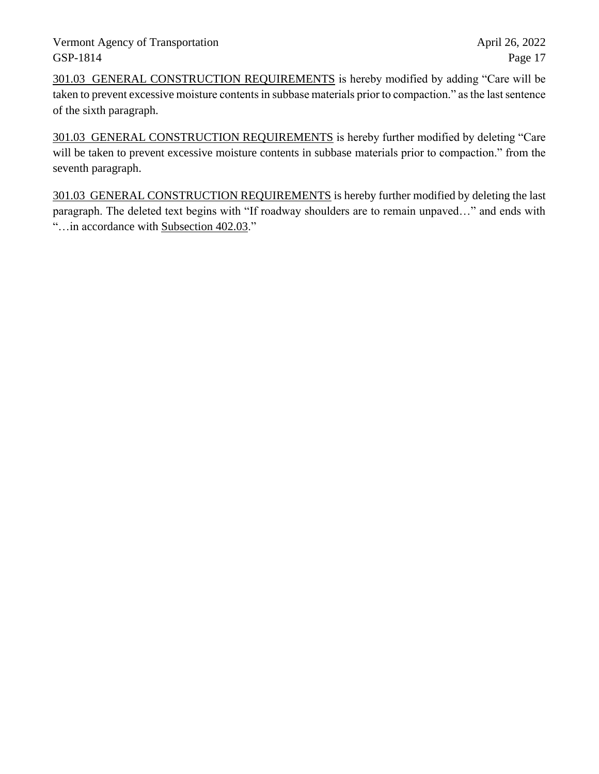301.03 GENERAL CONSTRUCTION REQUIREMENTS is hereby modified by adding "Care will be taken to prevent excessive moisture contents in subbase materials prior to compaction." as the last sentence of the sixth paragraph.

301.03 GENERAL CONSTRUCTION REQUIREMENTS is hereby further modified by deleting "Care will be taken to prevent excessive moisture contents in subbase materials prior to compaction." from the seventh paragraph.

301.03 GENERAL CONSTRUCTION REQUIREMENTS is hereby further modified by deleting the last paragraph. The deleted text begins with "If roadway shoulders are to remain unpaved…" and ends with "…in accordance with Subsection 402.03."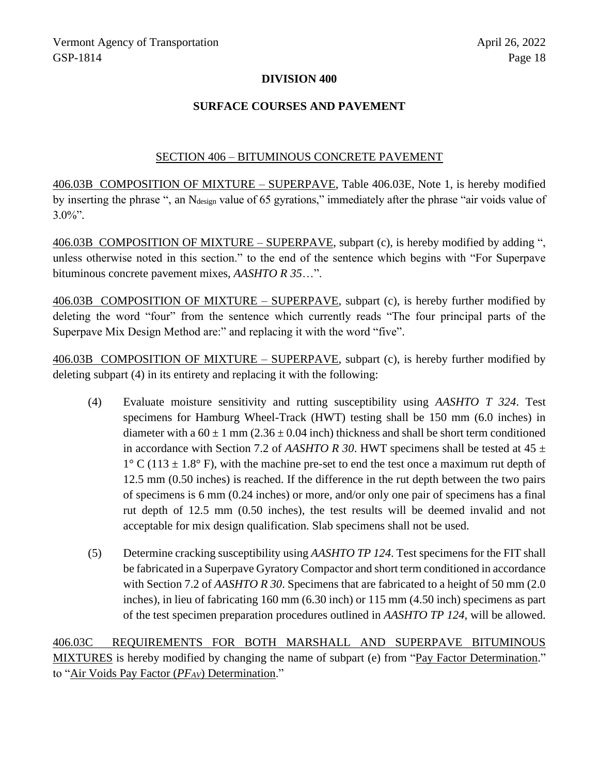## **DIVISION 400**

## **SURFACE COURSES AND PAVEMENT**

### SECTION 406 – BITUMINOUS CONCRETE PAVEMENT

406.03B COMPOSITION OF MIXTURE – SUPERPAVE, Table 406.03E, Note 1, is hereby modified by inserting the phrase ", an Ndesign value of 65 gyrations," immediately after the phrase "air voids value of  $3.0\%$ ".

406.03B COMPOSITION OF MIXTURE – SUPERPAVE, subpart (c), is hereby modified by adding ", unless otherwise noted in this section." to the end of the sentence which begins with "For Superpave bituminous concrete pavement mixes, *AASHTO R 35*…".

406.03B COMPOSITION OF MIXTURE – SUPERPAVE, subpart (c), is hereby further modified by deleting the word "four" from the sentence which currently reads "The four principal parts of the Superpave Mix Design Method are:" and replacing it with the word "five".

406.03B COMPOSITION OF MIXTURE – SUPERPAVE, subpart (c), is hereby further modified by deleting subpart (4) in its entirety and replacing it with the following:

- (4) Evaluate moisture sensitivity and rutting susceptibility using *AASHTO T 324*. Test specimens for Hamburg Wheel-Track (HWT) testing shall be 150 mm (6.0 inches) in diameter with a  $60 \pm 1$  mm (2.36  $\pm$  0.04 inch) thickness and shall be short term conditioned in accordance with Section 7.2 of *AASHTO R 30*. HWT specimens shall be tested at  $45 \pm$  $1^{\circ}$  C (113  $\pm$  1.8° F), with the machine pre-set to end the test once a maximum rut depth of 12.5 mm (0.50 inches) is reached. If the difference in the rut depth between the two pairs of specimens is 6 mm (0.24 inches) or more, and/or only one pair of specimens has a final rut depth of 12.5 mm (0.50 inches), the test results will be deemed invalid and not acceptable for mix design qualification. Slab specimens shall not be used.
- (5) Determine cracking susceptibility using *AASHTO TP 124*. Test specimens for the FIT shall be fabricated in a Superpave Gyratory Compactor and short term conditioned in accordance with Section 7.2 of *AASHTO R 30*. Specimens that are fabricated to a height of 50 mm (2.0 inches), in lieu of fabricating 160 mm (6.30 inch) or 115 mm (4.50 inch) specimens as part of the test specimen preparation procedures outlined in *AASHTO TP 124*, will be allowed.

406.03C REQUIREMENTS FOR BOTH MARSHALL AND SUPERPAVE BITUMINOUS MIXTURES is hereby modified by changing the name of subpart (e) from "Pay Factor Determination." to "Air Voids Pay Factor (*PFAV*) Determination."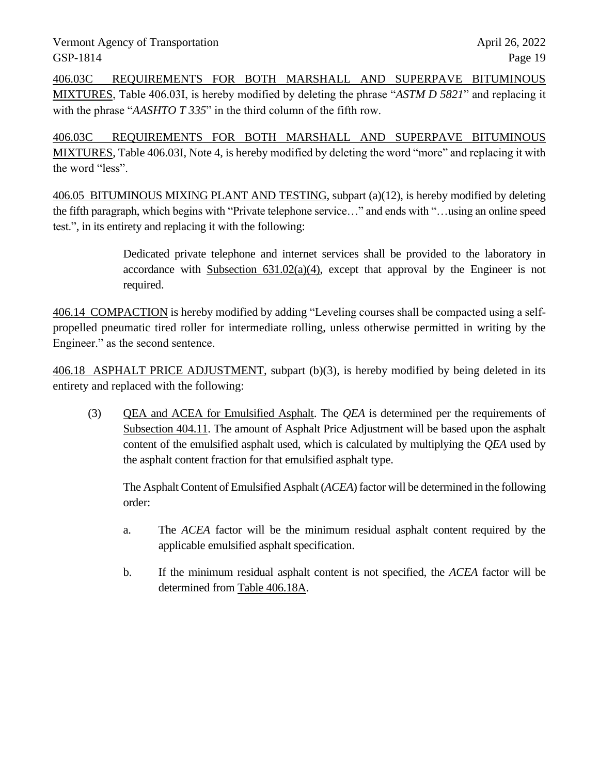406.03C REQUIREMENTS FOR BOTH MARSHALL AND SUPERPAVE BITUMINOUS MIXTURES, Table 406.03I, is hereby modified by deleting the phrase "*ASTM D 5821*" and replacing it with the phrase "*AASHTO T 335*" in the third column of the fifth row.

406.03C REQUIREMENTS FOR BOTH MARSHALL AND SUPERPAVE BITUMINOUS MIXTURES, Table 406.03I, Note 4, is hereby modified by deleting the word "more" and replacing it with the word "less".

406.05 BITUMINOUS MIXING PLANT AND TESTING, subpart (a)(12), is hereby modified by deleting the fifth paragraph, which begins with "Private telephone service…" and ends with "…using an online speed test.", in its entirety and replacing it with the following:

> Dedicated private telephone and internet services shall be provided to the laboratory in accordance with Subsection  $631.02(a)(4)$ , except that approval by the Engineer is not required.

406.14 COMPACTION is hereby modified by adding "Leveling courses shall be compacted using a selfpropelled pneumatic tired roller for intermediate rolling, unless otherwise permitted in writing by the Engineer." as the second sentence.

406.18 ASPHALT PRICE ADJUSTMENT, subpart (b)(3), is hereby modified by being deleted in its entirety and replaced with the following:

(3) QEA and ACEA for Emulsified Asphalt. The *QEA* is determined per the requirements of Subsection 404.11. The amount of Asphalt Price Adjustment will be based upon the asphalt content of the emulsified asphalt used, which is calculated by multiplying the *QEA* used by the asphalt content fraction for that emulsified asphalt type.

The Asphalt Content of Emulsified Asphalt (*ACEA*) factor will be determined in the following order:

- a. The *ACEA* factor will be the minimum residual asphalt content required by the applicable emulsified asphalt specification.
- b. If the minimum residual asphalt content is not specified, the *ACEA* factor will be determined from Table 406.18A.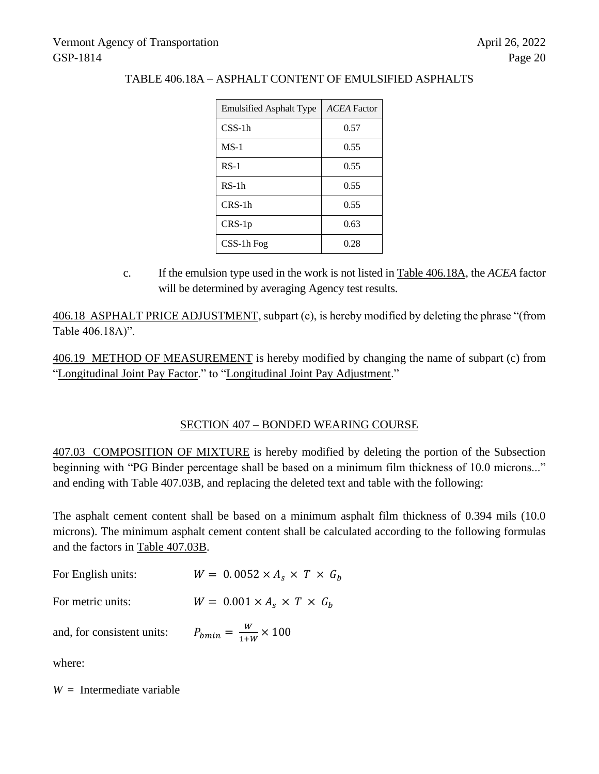| <b>Emulsified Asphalt Type</b> | <b>ACEA</b> Factor |  |  |
|--------------------------------|--------------------|--|--|
| $CSS-1h$                       | 0.57               |  |  |
| $MS-1$                         | 0.55               |  |  |
| $RS-1$                         | 0.55               |  |  |
| $RS-1h$                        | 0.55               |  |  |
| CRS-1h                         | 0.55               |  |  |
| $CRS-1p$                       | 0.63               |  |  |
| $CSS-1h$ Fog                   | 0.28               |  |  |

# TABLE 406.18A – ASPHALT CONTENT OF EMULSIFIED ASPHALTS

c. If the emulsion type used in the work is not listed in Table 406.18A, the *ACEA* factor will be determined by averaging Agency test results.

406.18 ASPHALT PRICE ADJUSTMENT, subpart (c), is hereby modified by deleting the phrase "(from Table 406.18A)".

406.19 METHOD OF MEASUREMENT is hereby modified by changing the name of subpart (c) from "Longitudinal Joint Pay Factor." to "Longitudinal Joint Pay Adjustment."

# SECTION 407 – BONDED WEARING COURSE

407.03 COMPOSITION OF MIXTURE is hereby modified by deleting the portion of the Subsection beginning with "PG Binder percentage shall be based on a minimum film thickness of 10.0 microns..." and ending with Table 407.03B, and replacing the deleted text and table with the following:

The asphalt cement content shall be based on a minimum asphalt film thickness of 0.394 mils (10.0 microns). The minimum asphalt cement content shall be calculated according to the following formulas and the factors in Table 407.03B.

| For English units:         | $W = 0.0052 \times A_s \times T \times G_h$ |
|----------------------------|---------------------------------------------|
| For metric units:          | $W = 0.001 \times A_s \times T \times G_h$  |
| and, for consistent units: | $P_{bmin} = \frac{W}{1+W} \times 100$       |

where:

*W* = Intermediate variable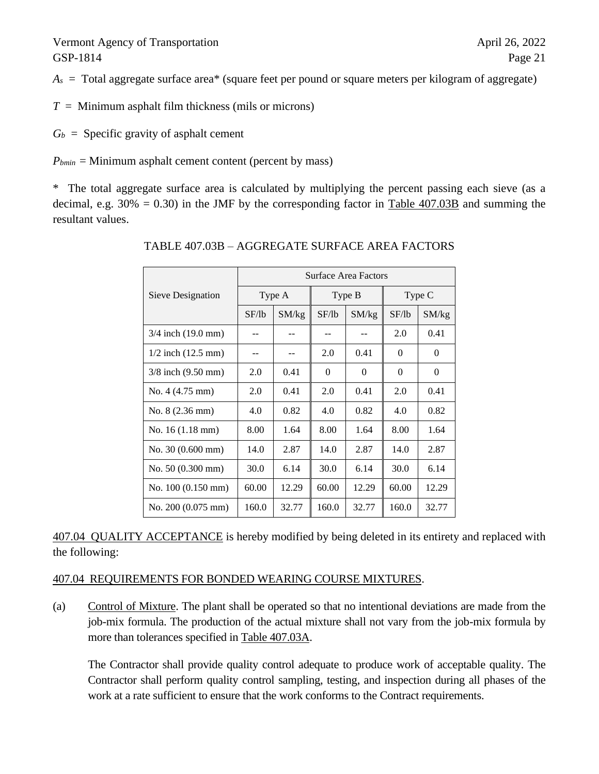$A<sub>s</sub>$  = Total aggregate surface area<sup>\*</sup> (square feet per pound or square meters per kilogram of aggregate)

 $T =$  Minimum asphalt film thickness (mils or microns)

 $G_b$  = Specific gravity of asphalt cement

 $P_{bmin}$  = Minimum asphalt cement content (percent by mass)

\* The total aggregate surface area is calculated by multiplying the percent passing each sieve (as a decimal, e.g.  $30\% = 0.30$ ) in the JMF by the corresponding factor in Table 407.03B and summing the resultant values.

|                                | <b>Surface Area Factors</b> |       |          |          |          |          |
|--------------------------------|-----------------------------|-------|----------|----------|----------|----------|
| Sieve Designation              | Type A                      |       | Type B   |          | Type C   |          |
|                                | SF/lb                       | SM/kg | SF/lb    | SM/kg    | SF/lb    | SM/kg    |
| 3/4 inch (19.0 mm)             |                             |       |          |          | 2.0      | 0.41     |
| $1/2$ inch $(12.5 \text{ mm})$ | --                          |       | 2.0      | 0.41     | $\Omega$ | $\Omega$ |
| $3/8$ inch $(9.50$ mm)         | 2.0                         | 0.41  | $\Omega$ | $\Omega$ | $\theta$ | $\Omega$ |
| No. $4(4.75 \text{ mm})$       | 2.0                         | 0.41  | 2.0      | 0.41     | 2.0      | 0.41     |
| No. $8(2.36 \text{ mm})$       | 4.0                         | 0.82  | 4.0      | 0.82     | 4.0      | 0.82     |
| No. $16(1.18 \text{ mm})$      | 8.00                        | 1.64  | 8.00     | 1.64     | 8.00     | 1.64     |
| No. $30(0.600 \text{ mm})$     | 14.0                        | 2.87  | 14.0     | 2.87     | 14.0     | 2.87     |
| No. $50(0.300 \text{ mm})$     | 30.0                        | 6.14  | 30.0     | 6.14     | 30.0     | 6.14     |
| No. 100 (0.150 mm)             | 60.00                       | 12.29 | 60.00    | 12.29    | 60.00    | 12.29    |
| No. $200(0.075 \text{ mm})$    | 160.0                       | 32.77 | 160.0    | 32.77    | 160.0    | 32.77    |

TABLE 407.03B – AGGREGATE SURFACE AREA FACTORS

407.04 QUALITY ACCEPTANCE is hereby modified by being deleted in its entirety and replaced with the following:

### 407.04 REQUIREMENTS FOR BONDED WEARING COURSE MIXTURES.

(a) Control of Mixture. The plant shall be operated so that no intentional deviations are made from the job-mix formula. The production of the actual mixture shall not vary from the job-mix formula by more than tolerances specified in Table 407.03A.

The Contractor shall provide quality control adequate to produce work of acceptable quality. The Contractor shall perform quality control sampling, testing, and inspection during all phases of the work at a rate sufficient to ensure that the work conforms to the Contract requirements.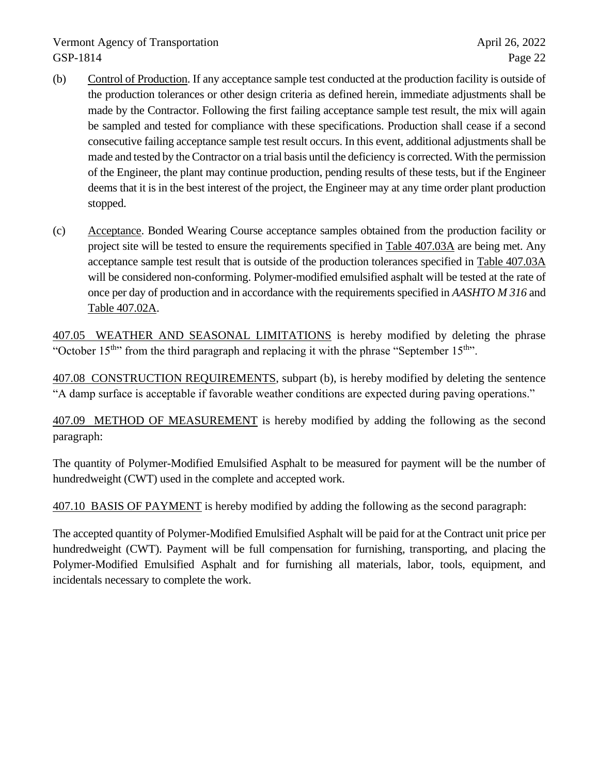- (b) Control of Production. If any acceptance sample test conducted at the production facility is outside of the production tolerances or other design criteria as defined herein, immediate adjustments shall be made by the Contractor. Following the first failing acceptance sample test result, the mix will again be sampled and tested for compliance with these specifications. Production shall cease if a second consecutive failing acceptance sample test result occurs. In this event, additional adjustments shall be made and tested by the Contractor on a trial basis until the deficiency is corrected. With the permission of the Engineer, the plant may continue production, pending results of these tests, but if the Engineer deems that it is in the best interest of the project, the Engineer may at any time order plant production stopped.
- (c) Acceptance. Bonded Wearing Course acceptance samples obtained from the production facility or project site will be tested to ensure the requirements specified in Table 407.03A are being met. Any acceptance sample test result that is outside of the production tolerances specified in Table 407.03A will be considered non-conforming. Polymer-modified emulsified asphalt will be tested at the rate of once per day of production and in accordance with the requirements specified in *AASHTO M 316* and Table 407.02A.

407.05 WEATHER AND SEASONAL LIMITATIONS is hereby modified by deleting the phrase "October  $15<sup>th</sup>$ " from the third paragraph and replacing it with the phrase "September  $15<sup>th</sup>$ ".

407.08 CONSTRUCTION REQUIREMENTS, subpart (b), is hereby modified by deleting the sentence "A damp surface is acceptable if favorable weather conditions are expected during paving operations."

407.09 METHOD OF MEASUREMENT is hereby modified by adding the following as the second paragraph:

The quantity of Polymer-Modified Emulsified Asphalt to be measured for payment will be the number of hundredweight (CWT) used in the complete and accepted work.

407.10 BASIS OF PAYMENT is hereby modified by adding the following as the second paragraph:

The accepted quantity of Polymer-Modified Emulsified Asphalt will be paid for at the Contract unit price per hundredweight (CWT). Payment will be full compensation for furnishing, transporting, and placing the Polymer-Modified Emulsified Asphalt and for furnishing all materials, labor, tools, equipment, and incidentals necessary to complete the work.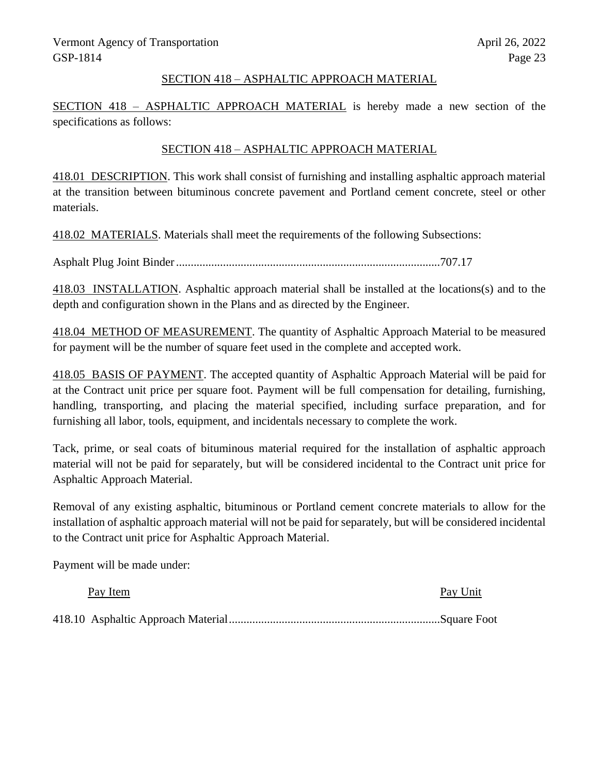## SECTION 418 – ASPHALTIC APPROACH MATERIAL

SECTION 418 – ASPHALTIC APPROACH MATERIAL is hereby made a new section of the specifications as follows:

# SECTION 418 – ASPHALTIC APPROACH MATERIAL

418.01 DESCRIPTION. This work shall consist of furnishing and installing asphaltic approach material at the transition between bituminous concrete pavement and Portland cement concrete, steel or other materials.

418.02 MATERIALS. Materials shall meet the requirements of the following Subsections:

Asphalt Plug Joint Binder..........................................................................................707.17

418.03 INSTALLATION. Asphaltic approach material shall be installed at the locations(s) and to the depth and configuration shown in the Plans and as directed by the Engineer.

418.04 METHOD OF MEASUREMENT. The quantity of Asphaltic Approach Material to be measured for payment will be the number of square feet used in the complete and accepted work.

418.05 BASIS OF PAYMENT. The accepted quantity of Asphaltic Approach Material will be paid for at the Contract unit price per square foot. Payment will be full compensation for detailing, furnishing, handling, transporting, and placing the material specified, including surface preparation, and for furnishing all labor, tools, equipment, and incidentals necessary to complete the work.

Tack, prime, or seal coats of bituminous material required for the installation of asphaltic approach material will not be paid for separately, but will be considered incidental to the Contract unit price for Asphaltic Approach Material.

Removal of any existing asphaltic, bituminous or Portland cement concrete materials to allow for the installation of asphaltic approach material will not be paid for separately, but will be considered incidental to the Contract unit price for Asphaltic Approach Material.

Payment will be made under:

| Pay Item | Pay Unit |
|----------|----------|
|          |          |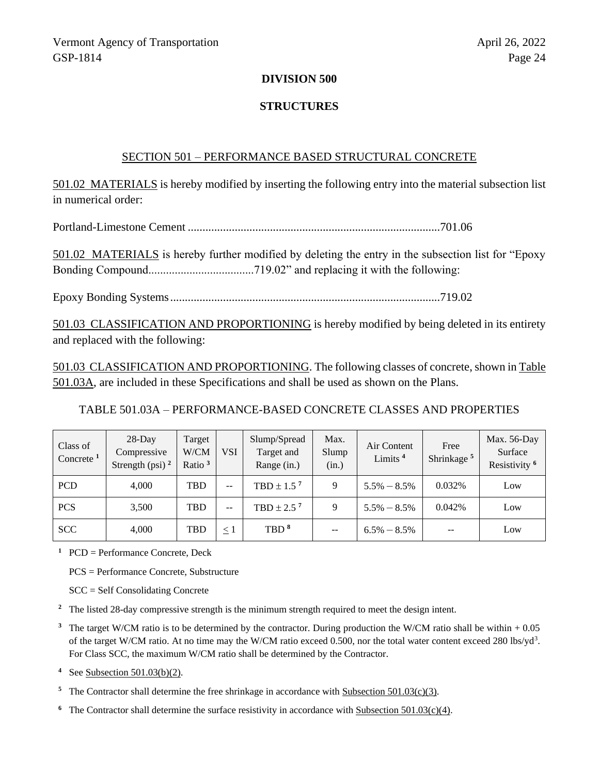#### **DIVISION 500**

### **STRUCTURES**

#### SECTION 501 – PERFORMANCE BASED STRUCTURAL CONCRETE

501.02 MATERIALS is hereby modified by inserting the following entry into the material subsection list in numerical order:

Portland-Limestone Cement ......................................................................................701.06

501.02 MATERIALS is hereby further modified by deleting the entry in the subsection list for "Epoxy Bonding Compound....................................719.02" and replacing it with the following:

Epoxy Bonding Systems............................................................................................719.02

501.03 CLASSIFICATION AND PROPORTIONING is hereby modified by being deleted in its entirety and replaced with the following:

501.03 CLASSIFICATION AND PROPORTIONING. The following classes of concrete, shown in Table 501.03A, are included in these Specifications and shall be used as shown on the Plans.

TABLE 501.03A – PERFORMANCE-BASED CONCRETE CLASSES AND PROPERTIES

| Class of<br>Concrete <sup>1</sup> | $28$ -Day<br>Compressive<br>Strength (psi) $^2$ | Target<br>W/CM<br>Ratio $3$ | <b>VSI</b>               | Slump/Spread<br>Target and<br>Range (in.) | Max.<br>Slump<br>(in.)   | Air Content<br>Limits <sup>4</sup> | Free<br>Shrinkage <sup>5</sup> | Max. $56$ -Day<br>Surface<br>Resistivity <sup>6</sup> |
|-----------------------------------|-------------------------------------------------|-----------------------------|--------------------------|-------------------------------------------|--------------------------|------------------------------------|--------------------------------|-------------------------------------------------------|
| <b>PCD</b>                        | 4.000                                           | <b>TBD</b>                  | $- -$                    | TBD $\pm$ 1.5 <sup>7</sup>                | 9                        | $5.5\% - 8.5\%$                    | 0.032%                         | Low                                                   |
| <b>PCS</b>                        | 3,500                                           | TBD                         | $\overline{\phantom{m}}$ | TBD $\pm$ 2.5 <sup>7</sup>                | 9                        | $5.5\% - 8.5\%$                    | 0.042%                         | Low                                                   |
| <b>SCC</b>                        | 4.000                                           | TBD                         | $\leq 1$                 | TBD <sup>8</sup>                          | $\overline{\phantom{m}}$ | $6.5\% - 8.5\%$                    | --                             | Low                                                   |

**<sup>1</sup>** PCD = Performance Concrete, Deck

PCS = Performance Concrete, Substructure

SCC = Self Consolidating Concrete

**<sup>2</sup>** The listed 28-day compressive strength is the minimum strength required to meet the design intent.

**<sup>3</sup>** The target W/CM ratio is to be determined by the contractor. During production the W/CM ratio shall be within + 0.05 of the target W/CM ratio. At no time may the W/CM ratio exceed 0.500, nor the total water content exceed 280 lbs/yd<sup>3</sup>. For Class SCC, the maximum W/CM ratio shall be determined by the Contractor.

**<sup>4</sup>** See Subsection 501.03(b)(2).

- <sup>5</sup> The Contractor shall determine the free shrinkage in accordance with Subsection 501.03(c)(3).
- <sup>6</sup> The Contractor shall determine the surface resistivity in accordance with Subsection 501.03(c)(4).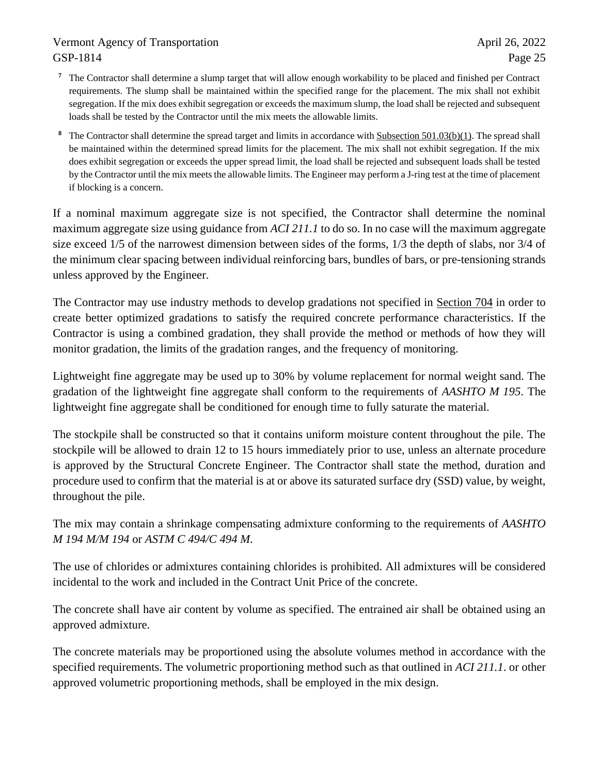- **<sup>7</sup>** The Contractor shall determine a slump target that will allow enough workability to be placed and finished per Contract requirements. The slump shall be maintained within the specified range for the placement. The mix shall not exhibit segregation. If the mix does exhibit segregation or exceeds the maximum slump, the load shall be rejected and subsequent loads shall be tested by the Contractor until the mix meets the allowable limits.
- **<sup>8</sup>** The Contractor shall determine the spread target and limits in accordance with Subsection 501.03(b)(1). The spread shall be maintained within the determined spread limits for the placement. The mix shall not exhibit segregation. If the mix does exhibit segregation or exceeds the upper spread limit, the load shall be rejected and subsequent loads shall be tested by the Contractor until the mix meets the allowable limits. The Engineer may perform a J-ring test at the time of placement if blocking is a concern.

If a nominal maximum aggregate size is not specified, the Contractor shall determine the nominal maximum aggregate size using guidance from *ACI 211.1* to do so. In no case will the maximum aggregate size exceed 1/5 of the narrowest dimension between sides of the forms, 1/3 the depth of slabs, nor 3/4 of the minimum clear spacing between individual reinforcing bars, bundles of bars, or pre-tensioning strands unless approved by the Engineer.

The Contractor may use industry methods to develop gradations not specified in Section 704 in order to create better optimized gradations to satisfy the required concrete performance characteristics. If the Contractor is using a combined gradation, they shall provide the method or methods of how they will monitor gradation, the limits of the gradation ranges, and the frequency of monitoring.

Lightweight fine aggregate may be used up to 30% by volume replacement for normal weight sand. The gradation of the lightweight fine aggregate shall conform to the requirements of *AASHTO M 195*. The lightweight fine aggregate shall be conditioned for enough time to fully saturate the material.

The stockpile shall be constructed so that it contains uniform moisture content throughout the pile. The stockpile will be allowed to drain 12 to 15 hours immediately prior to use, unless an alternate procedure is approved by the Structural Concrete Engineer. The Contractor shall state the method, duration and procedure used to confirm that the material is at or above its saturated surface dry (SSD) value, by weight, throughout the pile.

The mix may contain a shrinkage compensating admixture conforming to the requirements of *AASHTO M 194 M/M 194* or *ASTM C 494/C 494 M*.

The use of chlorides or admixtures containing chlorides is prohibited. All admixtures will be considered incidental to the work and included in the Contract Unit Price of the concrete.

The concrete shall have air content by volume as specified. The entrained air shall be obtained using an approved admixture.

The concrete materials may be proportioned using the absolute volumes method in accordance with the specified requirements. The volumetric proportioning method such as that outlined in *ACI 211.1*. or other approved volumetric proportioning methods, shall be employed in the mix design.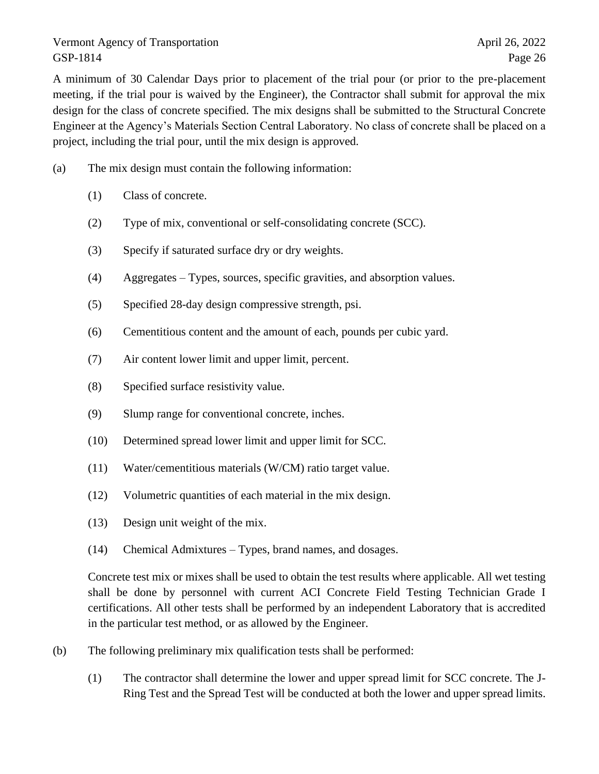A minimum of 30 Calendar Days prior to placement of the trial pour (or prior to the pre-placement meeting, if the trial pour is waived by the Engineer), the Contractor shall submit for approval the mix design for the class of concrete specified. The mix designs shall be submitted to the Structural Concrete Engineer at the Agency's Materials Section Central Laboratory. No class of concrete shall be placed on a project, including the trial pour, until the mix design is approved.

- (a) The mix design must contain the following information:
	- (1) Class of concrete.
	- (2) Type of mix, conventional or self-consolidating concrete (SCC).
	- (3) Specify if saturated surface dry or dry weights.
	- (4) Aggregates Types, sources, specific gravities, and absorption values.
	- (5) Specified 28-day design compressive strength, psi.
	- (6) Cementitious content and the amount of each, pounds per cubic yard.
	- (7) Air content lower limit and upper limit, percent.
	- (8) Specified surface resistivity value.
	- (9) Slump range for conventional concrete, inches.
	- (10) Determined spread lower limit and upper limit for SCC.
	- (11) Water/cementitious materials (W/CM) ratio target value.
	- (12) Volumetric quantities of each material in the mix design.
	- (13) Design unit weight of the mix.
	- (14) Chemical Admixtures Types, brand names, and dosages.

Concrete test mix or mixes shall be used to obtain the test results where applicable. All wet testing shall be done by personnel with current ACI Concrete Field Testing Technician Grade I certifications. All other tests shall be performed by an independent Laboratory that is accredited in the particular test method, or as allowed by the Engineer.

- (b) The following preliminary mix qualification tests shall be performed:
	- (1) The contractor shall determine the lower and upper spread limit for SCC concrete. The J-Ring Test and the Spread Test will be conducted at both the lower and upper spread limits.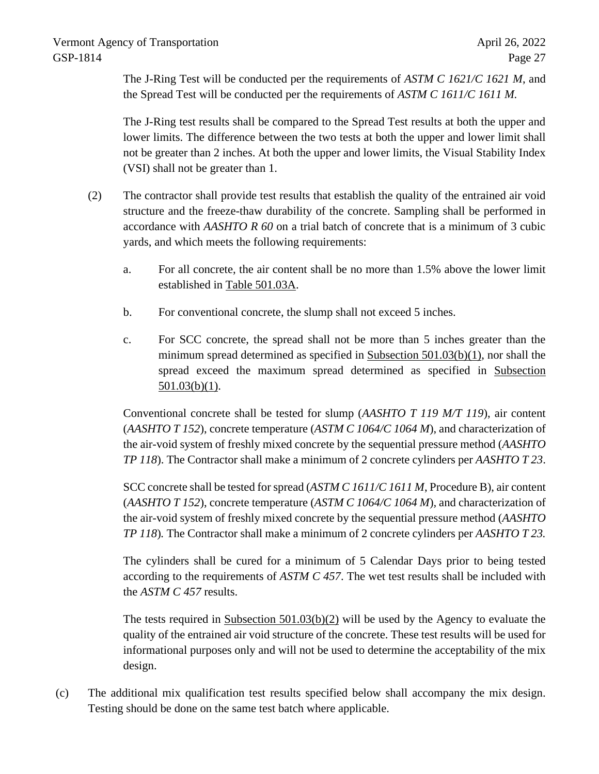The J-Ring Test will be conducted per the requirements of *ASTM C 1621/C 1621 M*, and the Spread Test will be conducted per the requirements of *ASTM C 1611/C 1611 M.*

The J-Ring test results shall be compared to the Spread Test results at both the upper and lower limits. The difference between the two tests at both the upper and lower limit shall not be greater than 2 inches. At both the upper and lower limits, the Visual Stability Index (VSI) shall not be greater than 1.

- (2) The contractor shall provide test results that establish the quality of the entrained air void structure and the freeze-thaw durability of the concrete. Sampling shall be performed in accordance with *AASHTO R 60* on a trial batch of concrete that is a minimum of 3 cubic yards, and which meets the following requirements:
	- a. For all concrete, the air content shall be no more than 1.5% above the lower limit established in Table 501.03A.
	- b. For conventional concrete, the slump shall not exceed 5 inches.
	- c. For SCC concrete, the spread shall not be more than 5 inches greater than the minimum spread determined as specified in Subsection 501.03(b)(1), nor shall the spread exceed the maximum spread determined as specified in Subsection  $501.03(b)(1)$ .

Conventional concrete shall be tested for slump (*AASHTO T 119 M/T 119*), air content (*AASHTO T 152*), concrete temperature (*ASTM C 1064/C 1064 M*), and characterization of the air-void system of freshly mixed concrete by the sequential pressure method (*AASHTO TP 118*). The Contractor shall make a minimum of 2 concrete cylinders per *AASHTO T 23*.

SCC concrete shall be tested for spread (*ASTM C 1611/C 1611 M*, Procedure B), air content (*AASHTO T 152*), concrete temperature (*ASTM C 1064/C 1064 M*)*,* and characterization of the air-void system of freshly mixed concrete by the sequential pressure method (*AASHTO TP 118*)*.* The Contractor shall make a minimum of 2 concrete cylinders per *AASHTO T 23.*

The cylinders shall be cured for a minimum of 5 Calendar Days prior to being tested according to the requirements of *ASTM C 457*. The wet test results shall be included with the *ASTM C 457* results.

The tests required in Subsection 501.03(b)(2) will be used by the Agency to evaluate the quality of the entrained air void structure of the concrete. These test results will be used for informational purposes only and will not be used to determine the acceptability of the mix design.

(c) The additional mix qualification test results specified below shall accompany the mix design. Testing should be done on the same test batch where applicable.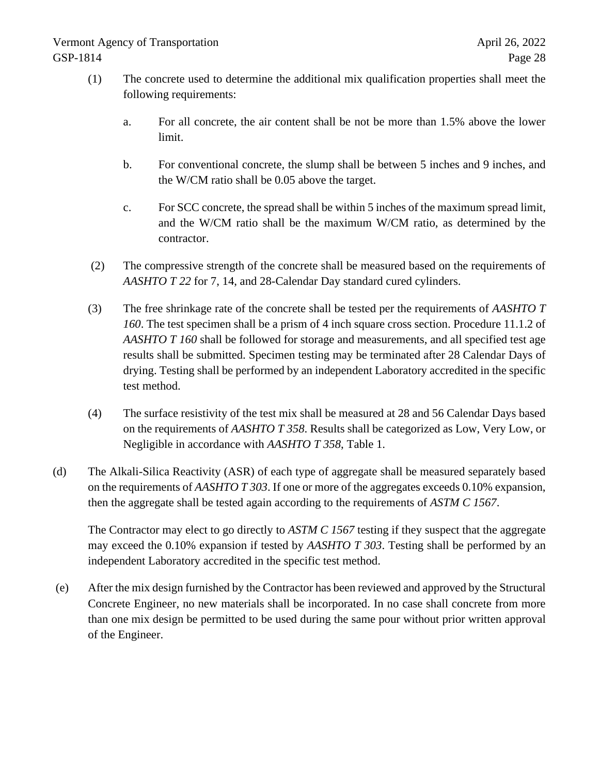- (1) The concrete used to determine the additional mix qualification properties shall meet the following requirements:
	- a. For all concrete, the air content shall be not be more than 1.5% above the lower limit.
	- b. For conventional concrete, the slump shall be between 5 inches and 9 inches, and the W/CM ratio shall be 0.05 above the target.
	- c. For SCC concrete, the spread shall be within 5 inches of the maximum spread limit, and the W/CM ratio shall be the maximum W/CM ratio, as determined by the contractor.
- (2) The compressive strength of the concrete shall be measured based on the requirements of *AASHTO T 22* for 7, 14, and 28-Calendar Day standard cured cylinders.
- (3) The free shrinkage rate of the concrete shall be tested per the requirements of *AASHTO T 160*. The test specimen shall be a prism of 4 inch square cross section. Procedure 11.1.2 of *AASHTO T 160* shall be followed for storage and measurements, and all specified test age results shall be submitted. Specimen testing may be terminated after 28 Calendar Days of drying. Testing shall be performed by an independent Laboratory accredited in the specific test method.
- (4) The surface resistivity of the test mix shall be measured at 28 and 56 Calendar Days based on the requirements of *AASHTO T 358*. Results shall be categorized as Low, Very Low, or Negligible in accordance with *AASHTO T 358*, Table 1.
- (d) The Alkali-Silica Reactivity (ASR) of each type of aggregate shall be measured separately based on the requirements of *AASHTO T 303*. If one or more of the aggregates exceeds 0.10% expansion, then the aggregate shall be tested again according to the requirements of *ASTM C 1567*.

The Contractor may elect to go directly to *ASTM C 1567* testing if they suspect that the aggregate may exceed the 0.10% expansion if tested by *AASHTO T 303*. Testing shall be performed by an independent Laboratory accredited in the specific test method.

(e) After the mix design furnished by the Contractor has been reviewed and approved by the Structural Concrete Engineer, no new materials shall be incorporated. In no case shall concrete from more than one mix design be permitted to be used during the same pour without prior written approval of the Engineer.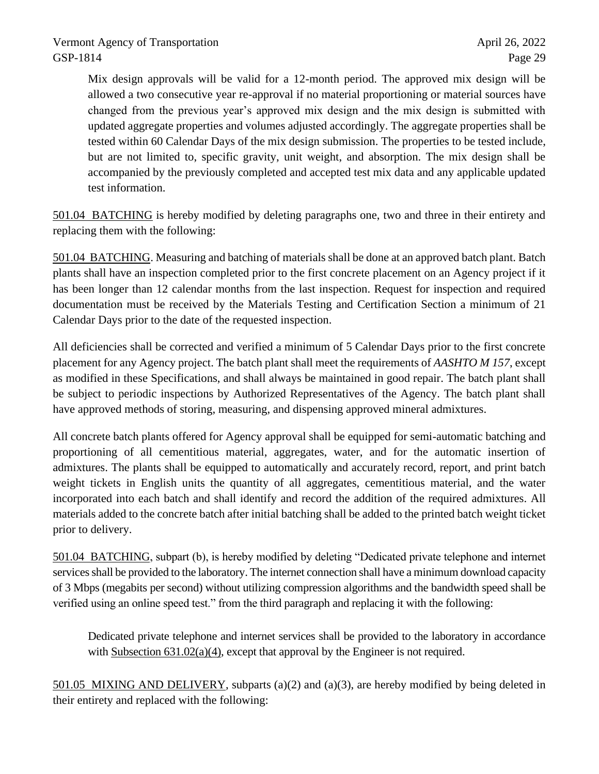Mix design approvals will be valid for a 12-month period. The approved mix design will be allowed a two consecutive year re-approval if no material proportioning or material sources have changed from the previous year's approved mix design and the mix design is submitted with updated aggregate properties and volumes adjusted accordingly. The aggregate properties shall be tested within 60 Calendar Days of the mix design submission. The properties to be tested include, but are not limited to, specific gravity, unit weight, and absorption. The mix design shall be accompanied by the previously completed and accepted test mix data and any applicable updated test information.

501.04 BATCHING is hereby modified by deleting paragraphs one, two and three in their entirety and replacing them with the following:

501.04 BATCHING. Measuring and batching of materials shall be done at an approved batch plant. Batch plants shall have an inspection completed prior to the first concrete placement on an Agency project if it has been longer than 12 calendar months from the last inspection. Request for inspection and required documentation must be received by the Materials Testing and Certification Section a minimum of 21 Calendar Days prior to the date of the requested inspection.

All deficiencies shall be corrected and verified a minimum of 5 Calendar Days prior to the first concrete placement for any Agency project. The batch plant shall meet the requirements of *AASHTO M 157*, except as modified in these Specifications, and shall always be maintained in good repair. The batch plant shall be subject to periodic inspections by Authorized Representatives of the Agency. The batch plant shall have approved methods of storing, measuring, and dispensing approved mineral admixtures.

All concrete batch plants offered for Agency approval shall be equipped for semi-automatic batching and proportioning of all cementitious material, aggregates, water, and for the automatic insertion of admixtures. The plants shall be equipped to automatically and accurately record, report, and print batch weight tickets in English units the quantity of all aggregates, cementitious material, and the water incorporated into each batch and shall identify and record the addition of the required admixtures. All materials added to the concrete batch after initial batching shall be added to the printed batch weight ticket prior to delivery.

501.04 BATCHING, subpart (b), is hereby modified by deleting "Dedicated private telephone and internet services shall be provided to the laboratory. The internet connection shall have a minimum download capacity of 3 Mbps (megabits per second) without utilizing compression algorithms and the bandwidth speed shall be verified using an online speed test." from the third paragraph and replacing it with the following:

Dedicated private telephone and internet services shall be provided to the laboratory in accordance with Subsection 631.02(a)(4), except that approval by the Engineer is not required.

501.05 MIXING AND DELIVERY, subparts (a)(2) and (a)(3), are hereby modified by being deleted in their entirety and replaced with the following: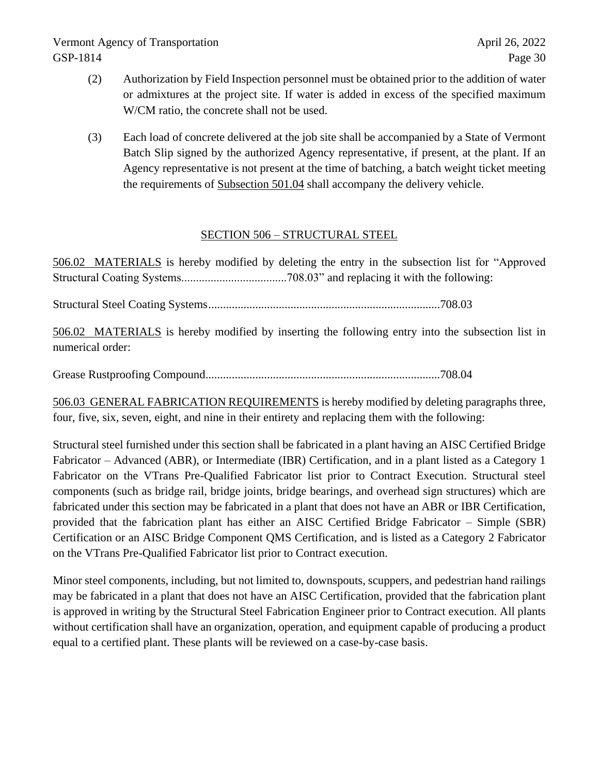- (2) Authorization by Field Inspection personnel must be obtained prior to the addition of water or admixtures at the project site. If water is added in excess of the specified maximum W/CM ratio, the concrete shall not be used.
- (3) Each load of concrete delivered at the job site shall be accompanied by a State of Vermont Batch Slip signed by the authorized Agency representative, if present, at the plant. If an Agency representative is not present at the time of batching, a batch weight ticket meeting the requirements of Subsection 501.04 shall accompany the delivery vehicle.

# SECTION 506 – STRUCTURAL STEEL

506.02 MATERIALS is hereby modified by deleting the entry in the subsection list for "Approved Structural Coating Systems....................................708.03" and replacing it with the following:

Structural Steel Coating Systems...............................................................................708.03

506.02 MATERIALS is hereby modified by inserting the following entry into the subsection list in numerical order:

Grease Rustproofing Compound................................................................................708.04

506.03 GENERAL FABRICATION REQUIREMENTS is hereby modified by deleting paragraphs three, four, five, six, seven, eight, and nine in their entirety and replacing them with the following:

Structural steel furnished under this section shall be fabricated in a plant having an AISC Certified Bridge Fabricator – Advanced (ABR), or Intermediate (IBR) Certification, and in a plant listed as a Category 1 Fabricator on the VTrans Pre-Qualified Fabricator list prior to Contract Execution. Structural steel components (such as bridge rail, bridge joints, bridge bearings, and overhead sign structures) which are fabricated under this section may be fabricated in a plant that does not have an ABR or IBR Certification, provided that the fabrication plant has either an AISC Certified Bridge Fabricator – Simple (SBR) Certification or an AISC Bridge Component QMS Certification, and is listed as a Category 2 Fabricator on the VTrans Pre-Qualified Fabricator list prior to Contract execution.

Minor steel components, including, but not limited to, downspouts, scuppers, and pedestrian hand railings may be fabricated in a plant that does not have an AISC Certification, provided that the fabrication plant is approved in writing by the Structural Steel Fabrication Engineer prior to Contract execution. All plants without certification shall have an organization, operation, and equipment capable of producing a product equal to a certified plant. These plants will be reviewed on a case-by-case basis.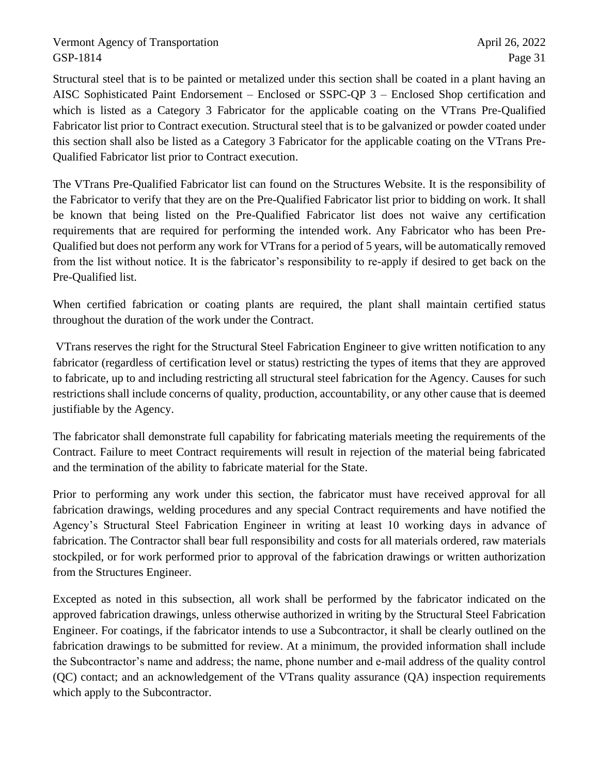Structural steel that is to be painted or metalized under this section shall be coated in a plant having an AISC Sophisticated Paint Endorsement – Enclosed or SSPC-QP 3 – Enclosed Shop certification and which is listed as a Category 3 Fabricator for the applicable coating on the VTrans Pre-Qualified Fabricator list prior to Contract execution. Structural steel that is to be galvanized or powder coated under this section shall also be listed as a Category 3 Fabricator for the applicable coating on the VTrans Pre-Qualified Fabricator list prior to Contract execution.

The VTrans Pre-Qualified Fabricator list can found on the Structures Website. It is the responsibility of the Fabricator to verify that they are on the Pre-Qualified Fabricator list prior to bidding on work. It shall be known that being listed on the Pre-Qualified Fabricator list does not waive any certification requirements that are required for performing the intended work. Any Fabricator who has been Pre-Qualified but does not perform any work for VTrans for a period of 5 years, will be automatically removed from the list without notice. It is the fabricator's responsibility to re-apply if desired to get back on the Pre-Qualified list.

When certified fabrication or coating plants are required, the plant shall maintain certified status throughout the duration of the work under the Contract.

VTrans reserves the right for the Structural Steel Fabrication Engineer to give written notification to any fabricator (regardless of certification level or status) restricting the types of items that they are approved to fabricate, up to and including restricting all structural steel fabrication for the Agency. Causes for such restrictions shall include concerns of quality, production, accountability, or any other cause that is deemed justifiable by the Agency.

The fabricator shall demonstrate full capability for fabricating materials meeting the requirements of the Contract. Failure to meet Contract requirements will result in rejection of the material being fabricated and the termination of the ability to fabricate material for the State.

Prior to performing any work under this section, the fabricator must have received approval for all fabrication drawings, welding procedures and any special Contract requirements and have notified the Agency's Structural Steel Fabrication Engineer in writing at least 10 working days in advance of fabrication. The Contractor shall bear full responsibility and costs for all materials ordered, raw materials stockpiled, or for work performed prior to approval of the fabrication drawings or written authorization from the Structures Engineer.

Excepted as noted in this subsection, all work shall be performed by the fabricator indicated on the approved fabrication drawings, unless otherwise authorized in writing by the Structural Steel Fabrication Engineer. For coatings, if the fabricator intends to use a Subcontractor, it shall be clearly outlined on the fabrication drawings to be submitted for review. At a minimum, the provided information shall include the Subcontractor's name and address; the name, phone number and e-mail address of the quality control (QC) contact; and an acknowledgement of the VTrans quality assurance (QA) inspection requirements which apply to the Subcontractor.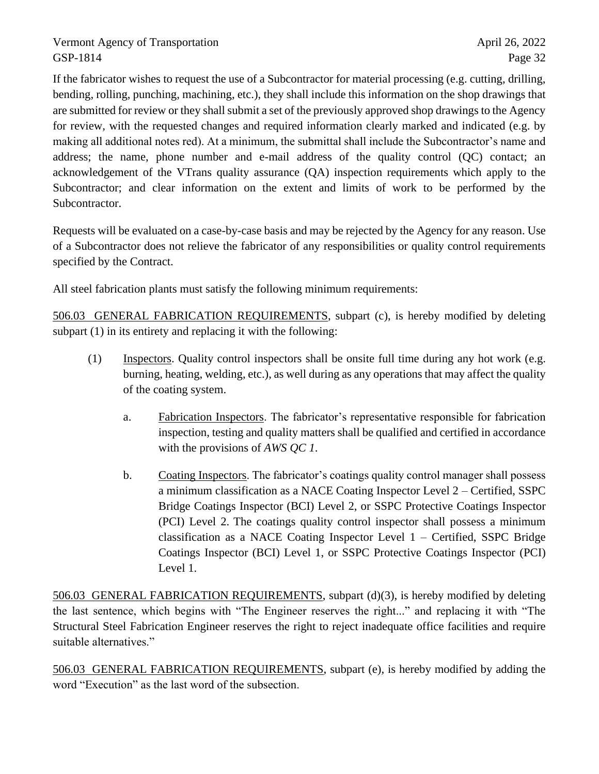If the fabricator wishes to request the use of a Subcontractor for material processing (e.g. cutting, drilling, bending, rolling, punching, machining, etc.), they shall include this information on the shop drawings that are submitted for review or they shall submit a set of the previously approved shop drawings to the Agency for review, with the requested changes and required information clearly marked and indicated (e.g. by making all additional notes red). At a minimum, the submittal shall include the Subcontractor's name and address; the name, phone number and e-mail address of the quality control (QC) contact; an acknowledgement of the VTrans quality assurance (QA) inspection requirements which apply to the Subcontractor; and clear information on the extent and limits of work to be performed by the Subcontractor.

Requests will be evaluated on a case-by-case basis and may be rejected by the Agency for any reason. Use of a Subcontractor does not relieve the fabricator of any responsibilities or quality control requirements specified by the Contract.

All steel fabrication plants must satisfy the following minimum requirements:

506.03 GENERAL FABRICATION REQUIREMENTS, subpart (c), is hereby modified by deleting subpart (1) in its entirety and replacing it with the following:

- (1) Inspectors. Quality control inspectors shall be onsite full time during any hot work (e.g. burning, heating, welding, etc.), as well during as any operations that may affect the quality of the coating system.
	- a. Fabrication Inspectors. The fabricator's representative responsible for fabrication inspection, testing and quality matters shall be qualified and certified in accordance with the provisions of *AWS QC 1*.
	- b. Coating Inspectors. The fabricator's coatings quality control manager shall possess a minimum classification as a NACE Coating Inspector Level 2 – Certified, SSPC Bridge Coatings Inspector (BCI) Level 2, or SSPC Protective Coatings Inspector (PCI) Level 2. The coatings quality control inspector shall possess a minimum classification as a NACE Coating Inspector Level 1 – Certified, SSPC Bridge Coatings Inspector (BCI) Level 1, or SSPC Protective Coatings Inspector (PCI) Level 1.

506.03 GENERAL FABRICATION REQUIREMENTS, subpart (d)(3), is hereby modified by deleting the last sentence, which begins with "The Engineer reserves the right..." and replacing it with "The Structural Steel Fabrication Engineer reserves the right to reject inadequate office facilities and require suitable alternatives."

506.03 GENERAL FABRICATION REQUIREMENTS, subpart (e), is hereby modified by adding the word "Execution" as the last word of the subsection.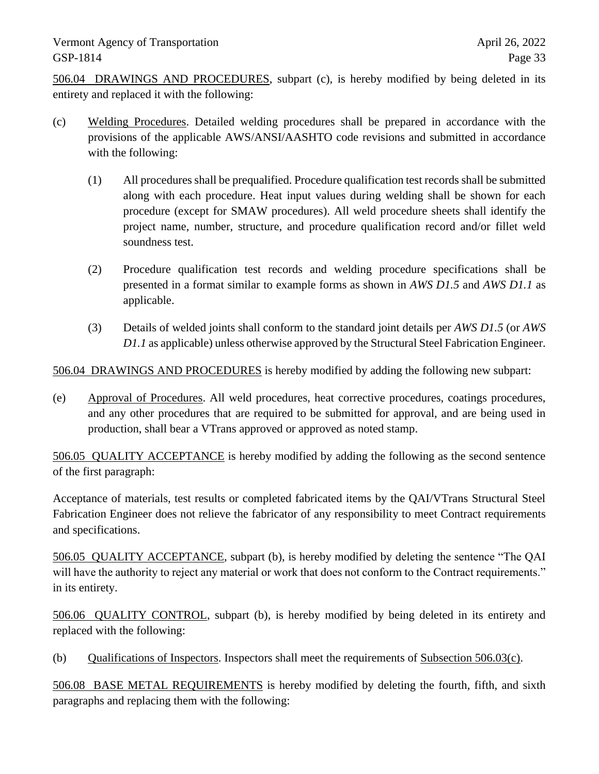506.04 DRAWINGS AND PROCEDURES, subpart (c), is hereby modified by being deleted in its entirety and replaced it with the following:

- (c) Welding Procedures. Detailed welding procedures shall be prepared in accordance with the provisions of the applicable AWS/ANSI/AASHTO code revisions and submitted in accordance with the following:
	- (1) All procedures shall be prequalified. Procedure qualification test records shall be submitted along with each procedure. Heat input values during welding shall be shown for each procedure (except for SMAW procedures). All weld procedure sheets shall identify the project name, number, structure, and procedure qualification record and/or fillet weld soundness test.
	- (2) Procedure qualification test records and welding procedure specifications shall be presented in a format similar to example forms as shown in *AWS D1.5* and *AWS D1.1* as applicable.
	- (3) Details of welded joints shall conform to the standard joint details per *AWS D1.5* (or *AWS D1.1* as applicable) unless otherwise approved by the Structural Steel Fabrication Engineer.

506.04 DRAWINGS AND PROCEDURES is hereby modified by adding the following new subpart:

(e) Approval of Procedures. All weld procedures, heat corrective procedures, coatings procedures, and any other procedures that are required to be submitted for approval, and are being used in production, shall bear a VTrans approved or approved as noted stamp.

506.05 QUALITY ACCEPTANCE is hereby modified by adding the following as the second sentence of the first paragraph:

Acceptance of materials, test results or completed fabricated items by the QAI/VTrans Structural Steel Fabrication Engineer does not relieve the fabricator of any responsibility to meet Contract requirements and specifications.

506.05 QUALITY ACCEPTANCE, subpart (b), is hereby modified by deleting the sentence "The QAI will have the authority to reject any material or work that does not conform to the Contract requirements." in its entirety.

506.06 QUALITY CONTROL, subpart (b), is hereby modified by being deleted in its entirety and replaced with the following:

(b) Qualifications of Inspectors. Inspectors shall meet the requirements of Subsection 506.03(c).

506.08 BASE METAL REQUIREMENTS is hereby modified by deleting the fourth, fifth, and sixth paragraphs and replacing them with the following: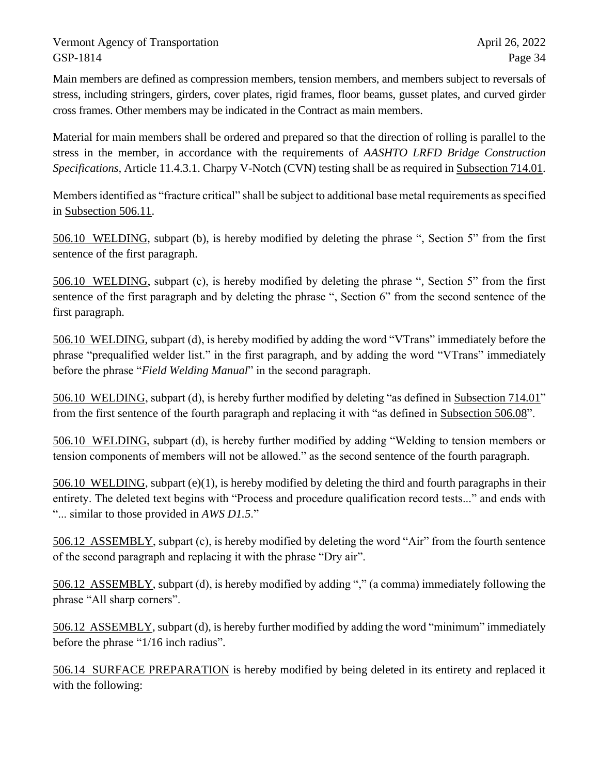Main members are defined as compression members, tension members, and members subject to reversals of stress, including stringers, girders, cover plates, rigid frames, floor beams, gusset plates, and curved girder cross frames. Other members may be indicated in the Contract as main members.

Material for main members shall be ordered and prepared so that the direction of rolling is parallel to the stress in the member, in accordance with the requirements of *AASHTO LRFD Bridge Construction Specifications,* Article 11.4.3.1. Charpy V-Notch (CVN) testing shall be as required in Subsection 714.01.

Members identified as "fracture critical" shall be subject to additional base metal requirements as specified in Subsection 506.11.

506.10 WELDING, subpart (b), is hereby modified by deleting the phrase ", Section 5" from the first sentence of the first paragraph.

506.10 WELDING, subpart (c), is hereby modified by deleting the phrase ", Section 5" from the first sentence of the first paragraph and by deleting the phrase ", Section 6" from the second sentence of the first paragraph.

506.10 WELDING, subpart (d), is hereby modified by adding the word "VTrans" immediately before the phrase "prequalified welder list." in the first paragraph, and by adding the word "VTrans" immediately before the phrase "*Field Welding Manual*" in the second paragraph.

506.10 WELDING, subpart (d), is hereby further modified by deleting "as defined in Subsection 714.01" from the first sentence of the fourth paragraph and replacing it with "as defined in Subsection 506.08".

506.10 WELDING, subpart (d), is hereby further modified by adding "Welding to tension members or tension components of members will not be allowed." as the second sentence of the fourth paragraph.

506.10 WELDING, subpart (e)(1), is hereby modified by deleting the third and fourth paragraphs in their entirety. The deleted text begins with "Process and procedure qualification record tests..." and ends with "... similar to those provided in *AWS D1.5*."

506.12 ASSEMBLY, subpart (c), is hereby modified by deleting the word "Air" from the fourth sentence of the second paragraph and replacing it with the phrase "Dry air".

506.12 ASSEMBLY, subpart (d), is hereby modified by adding "," (a comma) immediately following the phrase "All sharp corners".

506.12 ASSEMBLY, subpart (d), is hereby further modified by adding the word "minimum" immediately before the phrase "1/16 inch radius".

506.14 SURFACE PREPARATION is hereby modified by being deleted in its entirety and replaced it with the following: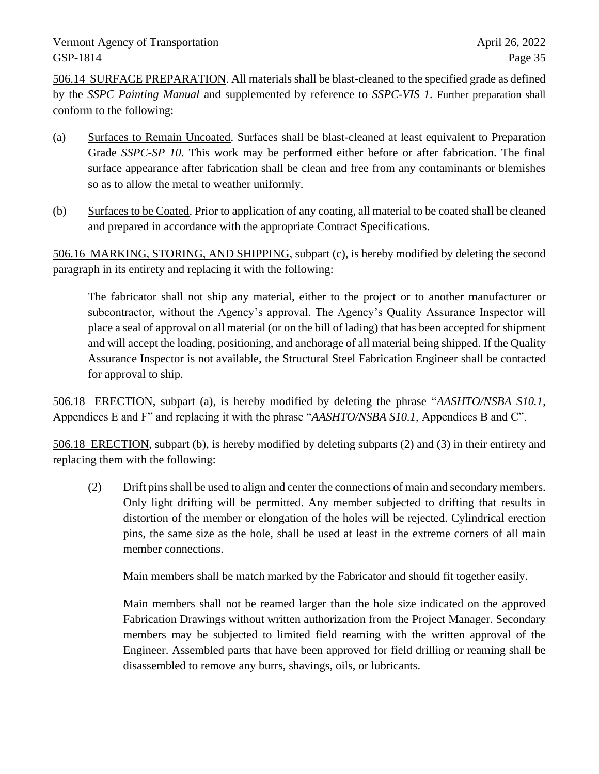506.14 SURFACE PREPARATION. All materials shall be blast-cleaned to the specified grade as defined by the *SSPC Painting Manual* and supplemented by reference to *SSPC-VIS 1*. Further preparation shall conform to the following:

- (a) Surfaces to Remain Uncoated. Surfaces shall be blast-cleaned at least equivalent to Preparation Grade *SSPC-SP 10.* This work may be performed either before or after fabrication. The final surface appearance after fabrication shall be clean and free from any contaminants or blemishes so as to allow the metal to weather uniformly.
- (b) Surfaces to be Coated. Prior to application of any coating, all material to be coated shall be cleaned and prepared in accordance with the appropriate Contract Specifications.

506.16 MARKING, STORING, AND SHIPPING, subpart (c), is hereby modified by deleting the second paragraph in its entirety and replacing it with the following:

The fabricator shall not ship any material, either to the project or to another manufacturer or subcontractor, without the Agency's approval. The Agency's Quality Assurance Inspector will place a seal of approval on all material (or on the bill of lading) that has been accepted for shipment and will accept the loading, positioning, and anchorage of all material being shipped. If the Quality Assurance Inspector is not available, the Structural Steel Fabrication Engineer shall be contacted for approval to ship.

506.18 ERECTION, subpart (a), is hereby modified by deleting the phrase "*AASHTO/NSBA S10.1*, Appendices E and F" and replacing it with the phrase "*AASHTO/NSBA S10.1*, Appendices B and C".

506.18 ERECTION, subpart (b), is hereby modified by deleting subparts (2) and (3) in their entirety and replacing them with the following:

(2) Drift pins shall be used to align and center the connections of main and secondary members. Only light drifting will be permitted. Any member subjected to drifting that results in distortion of the member or elongation of the holes will be rejected. Cylindrical erection pins, the same size as the hole, shall be used at least in the extreme corners of all main member connections.

Main members shall be match marked by the Fabricator and should fit together easily.

Main members shall not be reamed larger than the hole size indicated on the approved Fabrication Drawings without written authorization from the Project Manager. Secondary members may be subjected to limited field reaming with the written approval of the Engineer. Assembled parts that have been approved for field drilling or reaming shall be disassembled to remove any burrs, shavings, oils, or lubricants.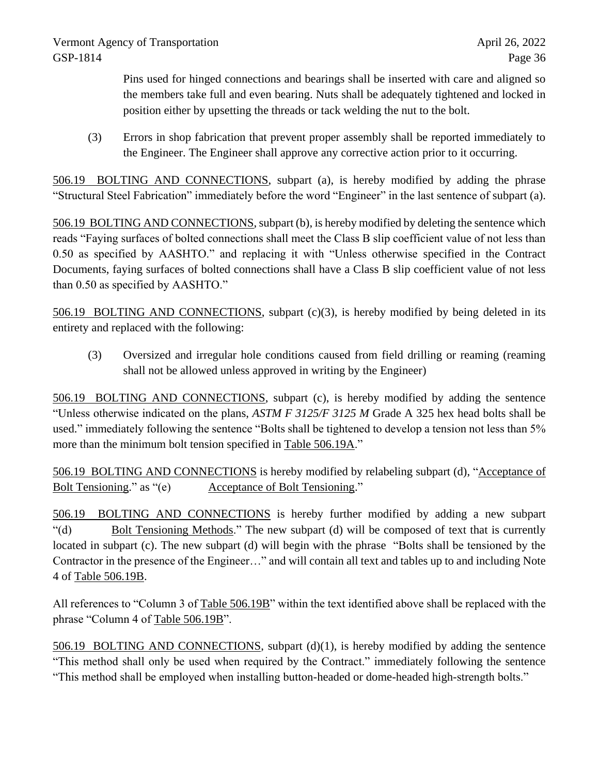Pins used for hinged connections and bearings shall be inserted with care and aligned so the members take full and even bearing. Nuts shall be adequately tightened and locked in position either by upsetting the threads or tack welding the nut to the bolt.

(3) Errors in shop fabrication that prevent proper assembly shall be reported immediately to the Engineer. The Engineer shall approve any corrective action prior to it occurring.

506.19 BOLTING AND CONNECTIONS, subpart (a), is hereby modified by adding the phrase "Structural Steel Fabrication" immediately before the word "Engineer" in the last sentence of subpart (a).

506.19 BOLTING AND CONNECTIONS, subpart (b), is hereby modified by deleting the sentence which reads "Faying surfaces of bolted connections shall meet the Class B slip coefficient value of not less than 0.50 as specified by AASHTO." and replacing it with "Unless otherwise specified in the Contract Documents, faying surfaces of bolted connections shall have a Class B slip coefficient value of not less than 0.50 as specified by AASHTO."

506.19 BOLTING AND CONNECTIONS, subpart (c)(3), is hereby modified by being deleted in its entirety and replaced with the following:

(3) Oversized and irregular hole conditions caused from field drilling or reaming (reaming shall not be allowed unless approved in writing by the Engineer)

506.19 BOLTING AND CONNECTIONS, subpart (c), is hereby modified by adding the sentence "Unless otherwise indicated on the plans, *ASTM F 3125/F 3125 M* Grade A 325 hex head bolts shall be used." immediately following the sentence "Bolts shall be tightened to develop a tension not less than 5% more than the minimum bolt tension specified in Table 506.19A."

506.19 BOLTING AND CONNECTIONS is hereby modified by relabeling subpart (d), "Acceptance of Bolt Tensioning." as "(e) Acceptance of Bolt Tensioning."

506.19 BOLTING AND CONNECTIONS is hereby further modified by adding a new subpart "(d) Bolt Tensioning Methods." The new subpart (d) will be composed of text that is currently located in subpart (c). The new subpart (d) will begin with the phrase "Bolts shall be tensioned by the Contractor in the presence of the Engineer…" and will contain all text and tables up to and including Note 4 of Table 506.19B.

All references to "Column 3 of Table 506.19B" within the text identified above shall be replaced with the phrase "Column 4 of Table 506.19B".

506.19 BOLTING AND CONNECTIONS, subpart (d)(1), is hereby modified by adding the sentence "This method shall only be used when required by the Contract." immediately following the sentence "This method shall be employed when installing button-headed or dome-headed high-strength bolts."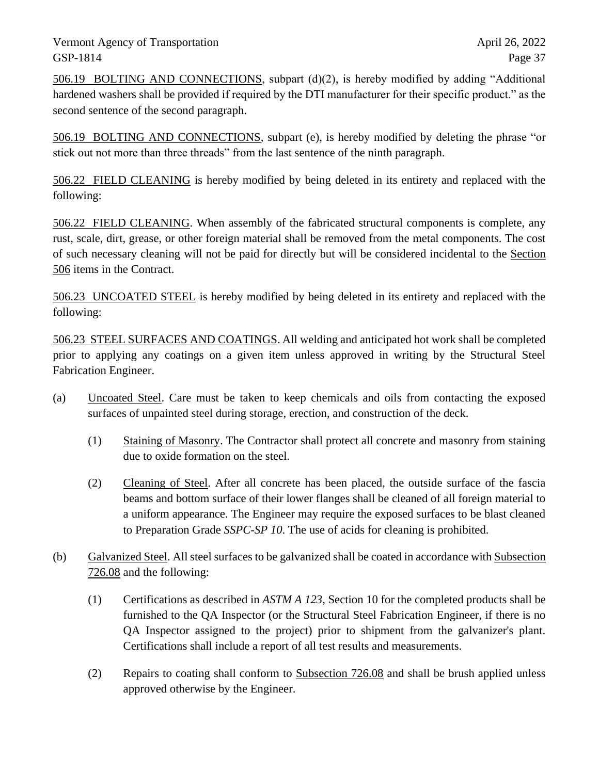506.19 BOLTING AND CONNECTIONS, subpart (d)(2), is hereby modified by adding "Additional hardened washers shall be provided if required by the DTI manufacturer for their specific product." as the second sentence of the second paragraph.

506.19 BOLTING AND CONNECTIONS, subpart (e), is hereby modified by deleting the phrase "or stick out not more than three threads" from the last sentence of the ninth paragraph.

506.22 FIELD CLEANING is hereby modified by being deleted in its entirety and replaced with the following:

506.22 FIELD CLEANING. When assembly of the fabricated structural components is complete, any rust, scale, dirt, grease, or other foreign material shall be removed from the metal components. The cost of such necessary cleaning will not be paid for directly but will be considered incidental to the Section 506 items in the Contract.

506.23 UNCOATED STEEL is hereby modified by being deleted in its entirety and replaced with the following:

506.23 STEEL SURFACES AND COATINGS. All welding and anticipated hot work shall be completed prior to applying any coatings on a given item unless approved in writing by the Structural Steel Fabrication Engineer.

- (a) Uncoated Steel. Care must be taken to keep chemicals and oils from contacting the exposed surfaces of unpainted steel during storage, erection, and construction of the deck.
	- (1) Staining of Masonry. The Contractor shall protect all concrete and masonry from staining due to oxide formation on the steel.
	- (2) Cleaning of Steel. After all concrete has been placed, the outside surface of the fascia beams and bottom surface of their lower flanges shall be cleaned of all foreign material to a uniform appearance. The Engineer may require the exposed surfaces to be blast cleaned to Preparation Grade *SSPC-SP 10*. The use of acids for cleaning is prohibited.
- (b) Galvanized Steel. All steel surfaces to be galvanized shall be coated in accordance with Subsection 726.08 and the following:
	- (1) Certifications as described in *ASTM A 123*, Section 10 for the completed products shall be furnished to the QA Inspector (or the Structural Steel Fabrication Engineer, if there is no QA Inspector assigned to the project) prior to shipment from the galvanizer's plant. Certifications shall include a report of all test results and measurements.
	- (2) Repairs to coating shall conform to Subsection 726.08 and shall be brush applied unless approved otherwise by the Engineer.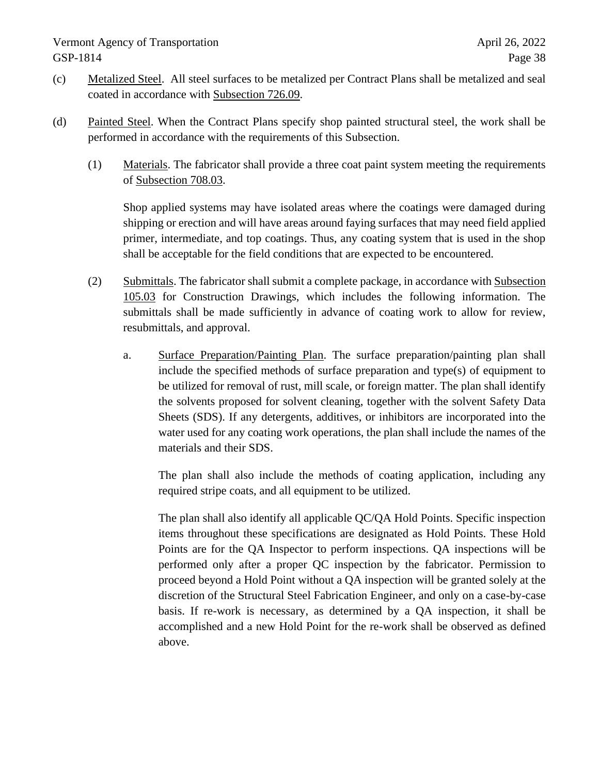- (c) Metalized Steel. All steel surfaces to be metalized per Contract Plans shall be metalized and seal coated in accordance with Subsection 726.09.
- (d) Painted Steel. When the Contract Plans specify shop painted structural steel, the work shall be performed in accordance with the requirements of this Subsection.
	- (1) Materials. The fabricator shall provide a three coat paint system meeting the requirements of Subsection 708.03.

Shop applied systems may have isolated areas where the coatings were damaged during shipping or erection and will have areas around faying surfaces that may need field applied primer, intermediate, and top coatings. Thus, any coating system that is used in the shop shall be acceptable for the field conditions that are expected to be encountered.

- (2) Submittals. The fabricator shall submit a complete package, in accordance with Subsection 105.03 for Construction Drawings, which includes the following information. The submittals shall be made sufficiently in advance of coating work to allow for review, resubmittals, and approval.
	- a. Surface Preparation/Painting Plan. The surface preparation/painting plan shall include the specified methods of surface preparation and type(s) of equipment to be utilized for removal of rust, mill scale, or foreign matter. The plan shall identify the solvents proposed for solvent cleaning, together with the solvent Safety Data Sheets (SDS). If any detergents, additives, or inhibitors are incorporated into the water used for any coating work operations, the plan shall include the names of the materials and their SDS.

The plan shall also include the methods of coating application, including any required stripe coats, and all equipment to be utilized.

The plan shall also identify all applicable QC/QA Hold Points. Specific inspection items throughout these specifications are designated as Hold Points. These Hold Points are for the QA Inspector to perform inspections. QA inspections will be performed only after a proper QC inspection by the fabricator. Permission to proceed beyond a Hold Point without a QA inspection will be granted solely at the discretion of the Structural Steel Fabrication Engineer, and only on a case-by-case basis. If re-work is necessary, as determined by a QA inspection, it shall be accomplished and a new Hold Point for the re-work shall be observed as defined above.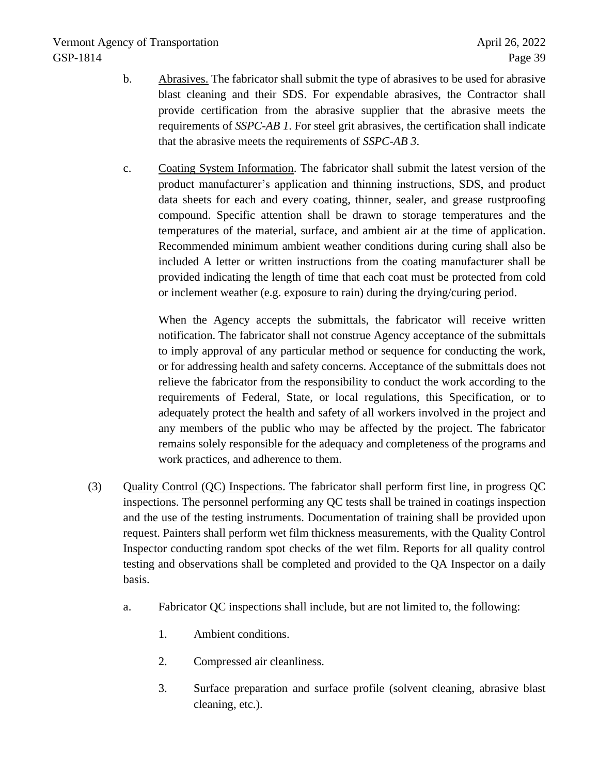- b. Abrasives. The fabricator shall submit the type of abrasives to be used for abrasive blast cleaning and their SDS. For expendable abrasives, the Contractor shall provide certification from the abrasive supplier that the abrasive meets the requirements of *SSPC-AB 1*. For steel grit abrasives, the certification shall indicate that the abrasive meets the requirements of *SSPC-AB 3*.
- c. Coating System Information. The fabricator shall submit the latest version of the product manufacturer's application and thinning instructions, SDS, and product data sheets for each and every coating, thinner, sealer, and grease rustproofing compound. Specific attention shall be drawn to storage temperatures and the temperatures of the material, surface, and ambient air at the time of application. Recommended minimum ambient weather conditions during curing shall also be included A letter or written instructions from the coating manufacturer shall be provided indicating the length of time that each coat must be protected from cold or inclement weather (e.g. exposure to rain) during the drying/curing period.

When the Agency accepts the submittals, the fabricator will receive written notification. The fabricator shall not construe Agency acceptance of the submittals to imply approval of any particular method or sequence for conducting the work, or for addressing health and safety concerns. Acceptance of the submittals does not relieve the fabricator from the responsibility to conduct the work according to the requirements of Federal, State, or local regulations, this Specification, or to adequately protect the health and safety of all workers involved in the project and any members of the public who may be affected by the project. The fabricator remains solely responsible for the adequacy and completeness of the programs and work practices, and adherence to them.

- (3) Quality Control (QC) Inspections. The fabricator shall perform first line, in progress QC inspections. The personnel performing any QC tests shall be trained in coatings inspection and the use of the testing instruments. Documentation of training shall be provided upon request. Painters shall perform wet film thickness measurements, with the Quality Control Inspector conducting random spot checks of the wet film. Reports for all quality control testing and observations shall be completed and provided to the QA Inspector on a daily basis.
	- a. Fabricator QC inspections shall include, but are not limited to, the following:
		- 1. Ambient conditions.
		- 2. Compressed air cleanliness.
		- 3. Surface preparation and surface profile (solvent cleaning, abrasive blast cleaning, etc.).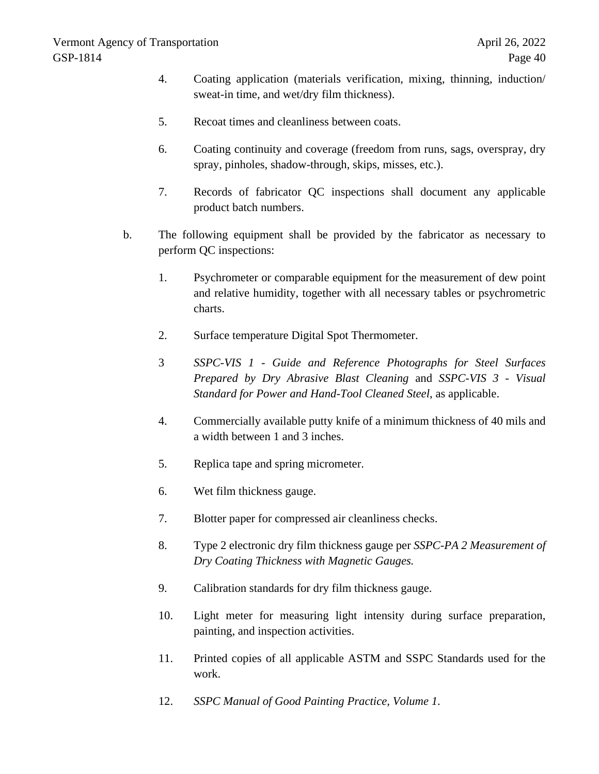- 4. Coating application (materials verification, mixing, thinning, induction/ sweat-in time, and wet/dry film thickness).
- 5. Recoat times and cleanliness between coats.
- 6. Coating continuity and coverage (freedom from runs, sags, overspray, dry spray, pinholes, shadow-through, skips, misses, etc.).
- 7. Records of fabricator QC inspections shall document any applicable product batch numbers.
- b. The following equipment shall be provided by the fabricator as necessary to perform QC inspections:
	- 1. Psychrometer or comparable equipment for the measurement of dew point and relative humidity, together with all necessary tables or psychrometric charts.
	- 2. Surface temperature Digital Spot Thermometer.
	- 3 *SSPC-VIS 1 - Guide and Reference Photographs for Steel Surfaces Prepared by Dry Abrasive Blast Cleaning* and *SSPC-VIS 3 - Visual Standard for Power and Hand-Tool Cleaned Steel*, as applicable.
	- 4. Commercially available putty knife of a minimum thickness of 40 mils and a width between 1 and 3 inches.
	- 5. Replica tape and spring micrometer.
	- 6. Wet film thickness gauge.
	- 7. Blotter paper for compressed air cleanliness checks.
	- 8. Type 2 electronic dry film thickness gauge per *SSPC-PA 2 Measurement of Dry Coating Thickness with Magnetic Gauges.*
	- 9. Calibration standards for dry film thickness gauge.
	- 10. Light meter for measuring light intensity during surface preparation, painting, and inspection activities.
	- 11. Printed copies of all applicable ASTM and SSPC Standards used for the work.
	- 12. *SSPC Manual of Good Painting Practice, Volume 1*.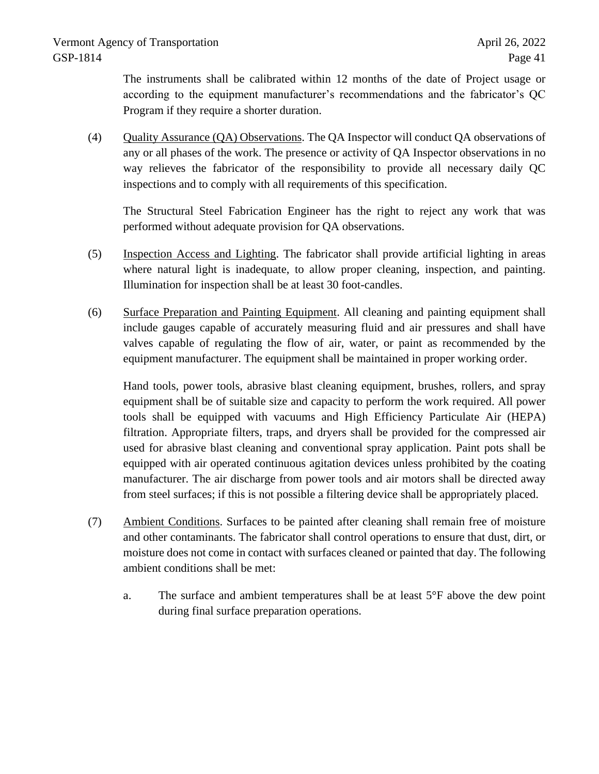The instruments shall be calibrated within 12 months of the date of Project usage or according to the equipment manufacturer's recommendations and the fabricator's QC Program if they require a shorter duration.

(4) Quality Assurance (QA) Observations. The QA Inspector will conduct QA observations of any or all phases of the work. The presence or activity of QA Inspector observations in no way relieves the fabricator of the responsibility to provide all necessary daily QC inspections and to comply with all requirements of this specification.

The Structural Steel Fabrication Engineer has the right to reject any work that was performed without adequate provision for QA observations.

- (5) Inspection Access and Lighting. The fabricator shall provide artificial lighting in areas where natural light is inadequate, to allow proper cleaning, inspection, and painting. Illumination for inspection shall be at least 30 foot-candles.
- (6) Surface Preparation and Painting Equipment. All cleaning and painting equipment shall include gauges capable of accurately measuring fluid and air pressures and shall have valves capable of regulating the flow of air, water, or paint as recommended by the equipment manufacturer. The equipment shall be maintained in proper working order.

Hand tools, power tools, abrasive blast cleaning equipment, brushes, rollers, and spray equipment shall be of suitable size and capacity to perform the work required. All power tools shall be equipped with vacuums and High Efficiency Particulate Air (HEPA) filtration. Appropriate filters, traps, and dryers shall be provided for the compressed air used for abrasive blast cleaning and conventional spray application. Paint pots shall be equipped with air operated continuous agitation devices unless prohibited by the coating manufacturer. The air discharge from power tools and air motors shall be directed away from steel surfaces; if this is not possible a filtering device shall be appropriately placed.

- (7) Ambient Conditions. Surfaces to be painted after cleaning shall remain free of moisture and other contaminants. The fabricator shall control operations to ensure that dust, dirt, or moisture does not come in contact with surfaces cleaned or painted that day. The following ambient conditions shall be met:
	- a. The surface and ambient temperatures shall be at least  $5^{\circ}$ F above the dew point during final surface preparation operations.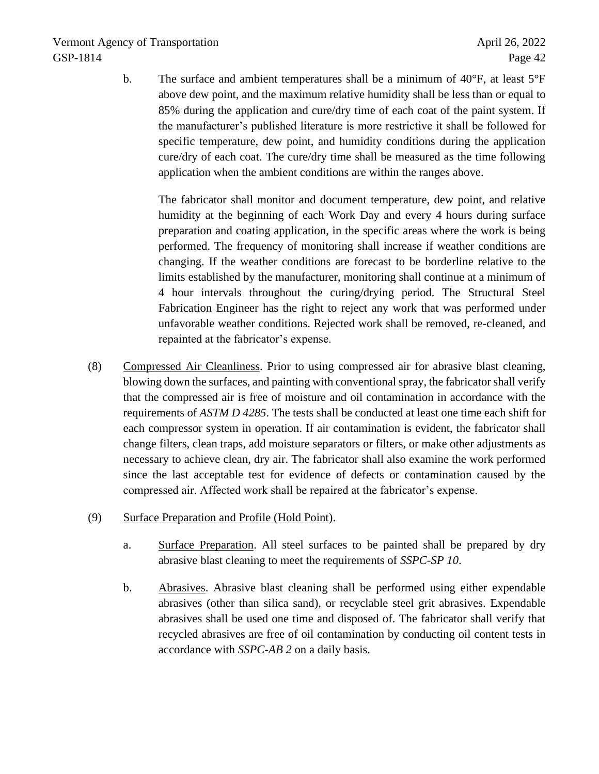b. The surface and ambient temperatures shall be a minimum of 40°F, at least 5°F above dew point, and the maximum relative humidity shall be less than or equal to 85% during the application and cure/dry time of each coat of the paint system. If the manufacturer's published literature is more restrictive it shall be followed for specific temperature, dew point, and humidity conditions during the application cure/dry of each coat. The cure/dry time shall be measured as the time following application when the ambient conditions are within the ranges above.

The fabricator shall monitor and document temperature, dew point, and relative humidity at the beginning of each Work Day and every 4 hours during surface preparation and coating application, in the specific areas where the work is being performed. The frequency of monitoring shall increase if weather conditions are changing. If the weather conditions are forecast to be borderline relative to the limits established by the manufacturer, monitoring shall continue at a minimum of 4 hour intervals throughout the curing/drying period. The Structural Steel Fabrication Engineer has the right to reject any work that was performed under unfavorable weather conditions. Rejected work shall be removed, re-cleaned, and repainted at the fabricator's expense.

- (8) Compressed Air Cleanliness. Prior to using compressed air for abrasive blast cleaning, blowing down the surfaces, and painting with conventional spray, the fabricator shall verify that the compressed air is free of moisture and oil contamination in accordance with the requirements of *ASTM D 4285*. The tests shall be conducted at least one time each shift for each compressor system in operation. If air contamination is evident, the fabricator shall change filters, clean traps, add moisture separators or filters, or make other adjustments as necessary to achieve clean, dry air. The fabricator shall also examine the work performed since the last acceptable test for evidence of defects or contamination caused by the compressed air. Affected work shall be repaired at the fabricator's expense.
- (9) Surface Preparation and Profile (Hold Point).
	- a. Surface Preparation. All steel surfaces to be painted shall be prepared by dry abrasive blast cleaning to meet the requirements of *SSPC-SP 10*.
	- b. Abrasives. Abrasive blast cleaning shall be performed using either expendable abrasives (other than silica sand), or recyclable steel grit abrasives. Expendable abrasives shall be used one time and disposed of. The fabricator shall verify that recycled abrasives are free of oil contamination by conducting oil content tests in accordance with *SSPC-AB 2* on a daily basis.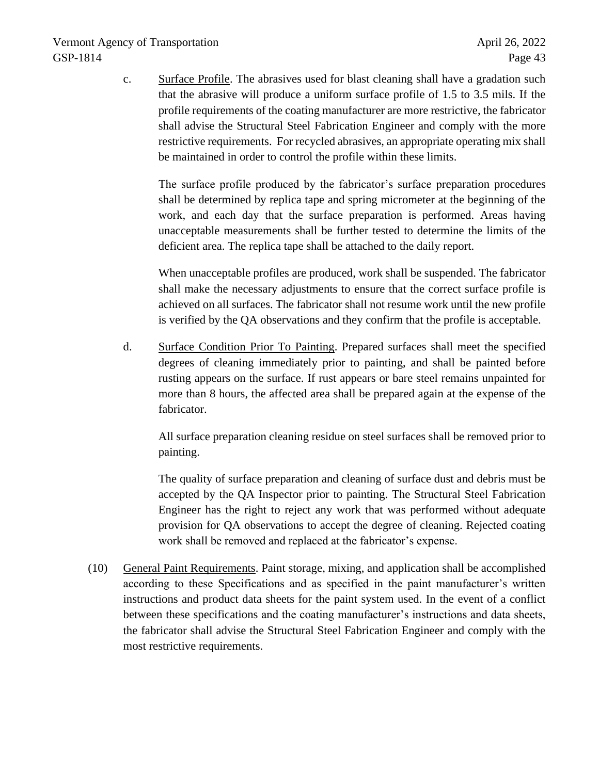c. Surface Profile. The abrasives used for blast cleaning shall have a gradation such that the abrasive will produce a uniform surface profile of 1.5 to 3.5 mils. If the profile requirements of the coating manufacturer are more restrictive, the fabricator shall advise the Structural Steel Fabrication Engineer and comply with the more restrictive requirements. For recycled abrasives, an appropriate operating mix shall be maintained in order to control the profile within these limits.

The surface profile produced by the fabricator's surface preparation procedures shall be determined by replica tape and spring micrometer at the beginning of the work, and each day that the surface preparation is performed. Areas having unacceptable measurements shall be further tested to determine the limits of the deficient area. The replica tape shall be attached to the daily report.

When unacceptable profiles are produced, work shall be suspended. The fabricator shall make the necessary adjustments to ensure that the correct surface profile is achieved on all surfaces. The fabricator shall not resume work until the new profile is verified by the QA observations and they confirm that the profile is acceptable.

d. Surface Condition Prior To Painting. Prepared surfaces shall meet the specified degrees of cleaning immediately prior to painting, and shall be painted before rusting appears on the surface. If rust appears or bare steel remains unpainted for more than 8 hours, the affected area shall be prepared again at the expense of the fabricator.

All surface preparation cleaning residue on steel surfaces shall be removed prior to painting.

The quality of surface preparation and cleaning of surface dust and debris must be accepted by the QA Inspector prior to painting. The Structural Steel Fabrication Engineer has the right to reject any work that was performed without adequate provision for QA observations to accept the degree of cleaning. Rejected coating work shall be removed and replaced at the fabricator's expense.

(10) General Paint Requirements. Paint storage, mixing, and application shall be accomplished according to these Specifications and as specified in the paint manufacturer's written instructions and product data sheets for the paint system used. In the event of a conflict between these specifications and the coating manufacturer's instructions and data sheets, the fabricator shall advise the Structural Steel Fabrication Engineer and comply with the most restrictive requirements.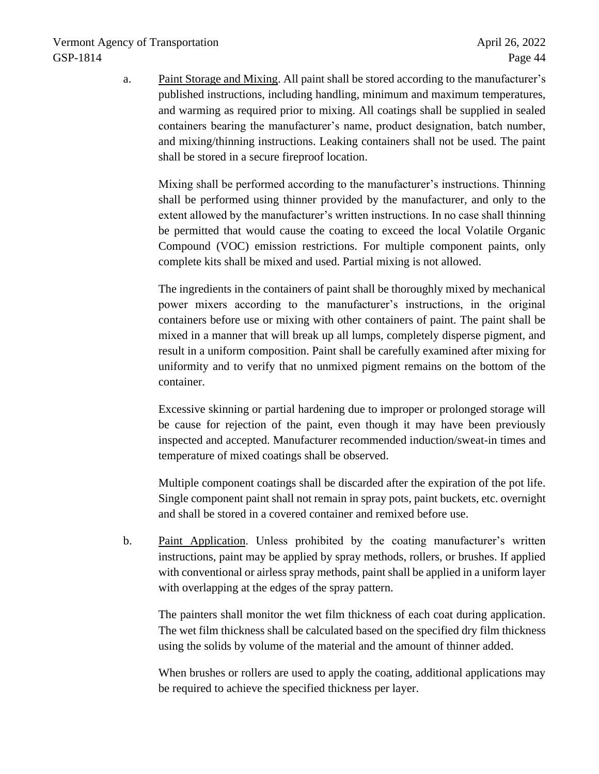a. Paint Storage and Mixing. All paint shall be stored according to the manufacturer's published instructions, including handling, minimum and maximum temperatures, and warming as required prior to mixing. All coatings shall be supplied in sealed containers bearing the manufacturer's name, product designation, batch number, and mixing/thinning instructions. Leaking containers shall not be used. The paint shall be stored in a secure fireproof location.

Mixing shall be performed according to the manufacturer's instructions. Thinning shall be performed using thinner provided by the manufacturer, and only to the extent allowed by the manufacturer's written instructions. In no case shall thinning be permitted that would cause the coating to exceed the local Volatile Organic Compound (VOC) emission restrictions. For multiple component paints, only complete kits shall be mixed and used. Partial mixing is not allowed.

The ingredients in the containers of paint shall be thoroughly mixed by mechanical power mixers according to the manufacturer's instructions, in the original containers before use or mixing with other containers of paint. The paint shall be mixed in a manner that will break up all lumps, completely disperse pigment, and result in a uniform composition. Paint shall be carefully examined after mixing for uniformity and to verify that no unmixed pigment remains on the bottom of the container.

Excessive skinning or partial hardening due to improper or prolonged storage will be cause for rejection of the paint, even though it may have been previously inspected and accepted. Manufacturer recommended induction/sweat-in times and temperature of mixed coatings shall be observed.

Multiple component coatings shall be discarded after the expiration of the pot life. Single component paint shall not remain in spray pots, paint buckets, etc. overnight and shall be stored in a covered container and remixed before use.

b. Paint Application. Unless prohibited by the coating manufacturer's written instructions, paint may be applied by spray methods, rollers, or brushes. If applied with conventional or airless spray methods, paint shall be applied in a uniform layer with overlapping at the edges of the spray pattern.

The painters shall monitor the wet film thickness of each coat during application. The wet film thickness shall be calculated based on the specified dry film thickness using the solids by volume of the material and the amount of thinner added.

When brushes or rollers are used to apply the coating, additional applications may be required to achieve the specified thickness per layer.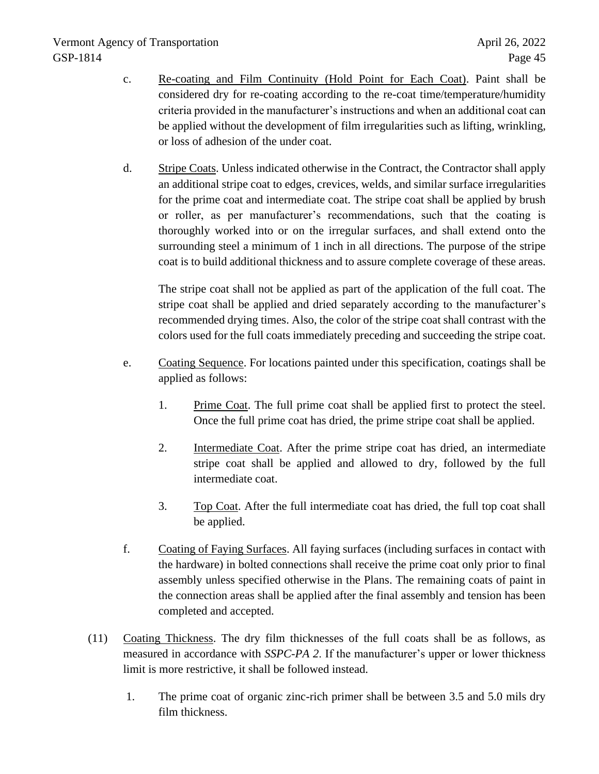- c. Re-coating and Film Continuity (Hold Point for Each Coat). Paint shall be considered dry for re-coating according to the re-coat time/temperature/humidity criteria provided in the manufacturer's instructions and when an additional coat can be applied without the development of film irregularities such as lifting, wrinkling, or loss of adhesion of the under coat.
- d. Stripe Coats. Unless indicated otherwise in the Contract, the Contractor shall apply an additional stripe coat to edges, crevices, welds, and similar surface irregularities for the prime coat and intermediate coat. The stripe coat shall be applied by brush or roller, as per manufacturer's recommendations, such that the coating is thoroughly worked into or on the irregular surfaces, and shall extend onto the surrounding steel a minimum of 1 inch in all directions. The purpose of the stripe coat is to build additional thickness and to assure complete coverage of these areas.

The stripe coat shall not be applied as part of the application of the full coat. The stripe coat shall be applied and dried separately according to the manufacturer's recommended drying times. Also, the color of the stripe coat shall contrast with the colors used for the full coats immediately preceding and succeeding the stripe coat.

- e. Coating Sequence. For locations painted under this specification, coatings shall be applied as follows:
	- 1. Prime Coat. The full prime coat shall be applied first to protect the steel. Once the full prime coat has dried, the prime stripe coat shall be applied.
	- 2. Intermediate Coat. After the prime stripe coat has dried, an intermediate stripe coat shall be applied and allowed to dry, followed by the full intermediate coat.
	- 3. Top Coat. After the full intermediate coat has dried, the full top coat shall be applied.
- f. Coating of Faying Surfaces. All faying surfaces (including surfaces in contact with the hardware) in bolted connections shall receive the prime coat only prior to final assembly unless specified otherwise in the Plans. The remaining coats of paint in the connection areas shall be applied after the final assembly and tension has been completed and accepted.
- (11) Coating Thickness. The dry film thicknesses of the full coats shall be as follows, as measured in accordance with *SSPC-PA 2*. If the manufacturer's upper or lower thickness limit is more restrictive, it shall be followed instead.
	- 1. The prime coat of organic zinc-rich primer shall be between 3.5 and 5.0 mils dry film thickness.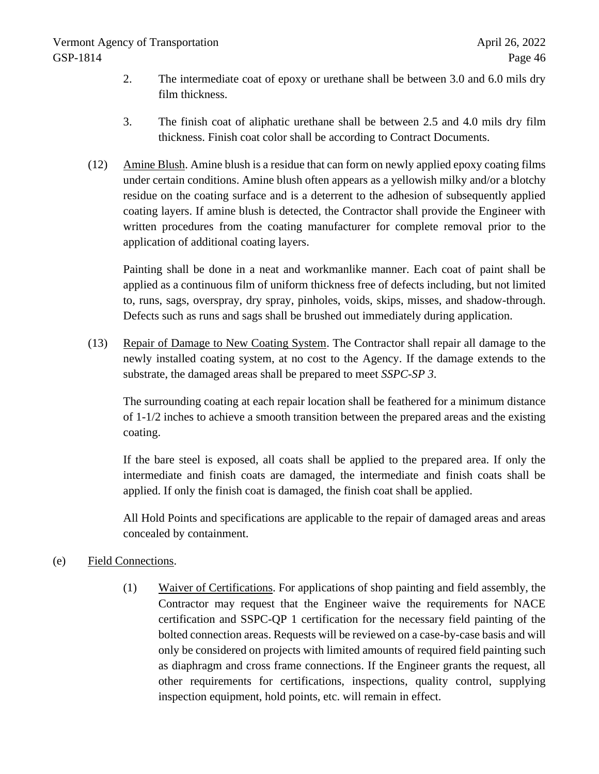- 2. The intermediate coat of epoxy or urethane shall be between 3.0 and 6.0 mils dry film thickness.
- 3. The finish coat of aliphatic urethane shall be between 2.5 and 4.0 mils dry film thickness. Finish coat color shall be according to Contract Documents.
- (12) Amine Blush. Amine blush is a residue that can form on newly applied epoxy coating films under certain conditions. Amine blush often appears as a yellowish milky and/or a blotchy residue on the coating surface and is a deterrent to the adhesion of subsequently applied coating layers. If amine blush is detected, the Contractor shall provide the Engineer with written procedures from the coating manufacturer for complete removal prior to the application of additional coating layers.

Painting shall be done in a neat and workmanlike manner. Each coat of paint shall be applied as a continuous film of uniform thickness free of defects including, but not limited to, runs, sags, overspray, dry spray, pinholes, voids, skips, misses, and shadow-through. Defects such as runs and sags shall be brushed out immediately during application.

(13) Repair of Damage to New Coating System. The Contractor shall repair all damage to the newly installed coating system, at no cost to the Agency. If the damage extends to the substrate, the damaged areas shall be prepared to meet *SSPC-SP 3*.

The surrounding coating at each repair location shall be feathered for a minimum distance of 1-1/2 inches to achieve a smooth transition between the prepared areas and the existing coating.

If the bare steel is exposed, all coats shall be applied to the prepared area. If only the intermediate and finish coats are damaged, the intermediate and finish coats shall be applied. If only the finish coat is damaged, the finish coat shall be applied.

All Hold Points and specifications are applicable to the repair of damaged areas and areas concealed by containment.

# (e) Field Connections.

(1) Waiver of Certifications. For applications of shop painting and field assembly, the Contractor may request that the Engineer waive the requirements for NACE certification and SSPC-QP 1 certification for the necessary field painting of the bolted connection areas. Requests will be reviewed on a case-by-case basis and will only be considered on projects with limited amounts of required field painting such as diaphragm and cross frame connections. If the Engineer grants the request, all other requirements for certifications, inspections, quality control, supplying inspection equipment, hold points, etc. will remain in effect.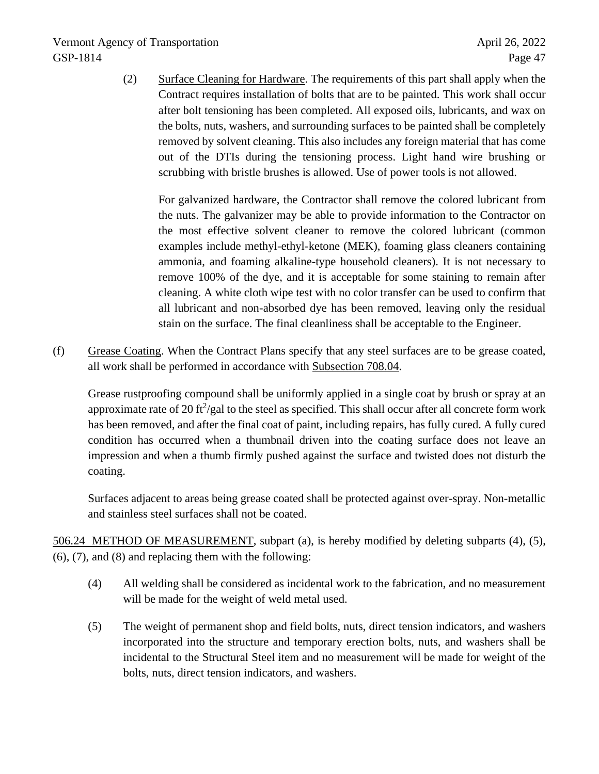(2) Surface Cleaning for Hardware. The requirements of this part shall apply when the Contract requires installation of bolts that are to be painted. This work shall occur after bolt tensioning has been completed. All exposed oils, lubricants, and wax on the bolts, nuts, washers, and surrounding surfaces to be painted shall be completely removed by solvent cleaning. This also includes any foreign material that has come out of the DTIs during the tensioning process. Light hand wire brushing or scrubbing with bristle brushes is allowed. Use of power tools is not allowed.

For galvanized hardware, the Contractor shall remove the colored lubricant from the nuts. The galvanizer may be able to provide information to the Contractor on the most effective solvent cleaner to remove the colored lubricant (common examples include methyl-ethyl-ketone (MEK), foaming glass cleaners containing ammonia, and foaming alkaline-type household cleaners). It is not necessary to remove 100% of the dye, and it is acceptable for some staining to remain after cleaning. A white cloth wipe test with no color transfer can be used to confirm that all lubricant and non-absorbed dye has been removed, leaving only the residual stain on the surface. The final cleanliness shall be acceptable to the Engineer.

(f) Grease Coating. When the Contract Plans specify that any steel surfaces are to be grease coated, all work shall be performed in accordance with Subsection 708.04.

Grease rustproofing compound shall be uniformly applied in a single coat by brush or spray at an approximate rate of 20 ft<sup>2</sup>/gal to the steel as specified. This shall occur after all concrete form work has been removed, and after the final coat of paint, including repairs, has fully cured. A fully cured condition has occurred when a thumbnail driven into the coating surface does not leave an impression and when a thumb firmly pushed against the surface and twisted does not disturb the coating.

Surfaces adjacent to areas being grease coated shall be protected against over-spray. Non-metallic and stainless steel surfaces shall not be coated.

506.24 METHOD OF MEASUREMENT, subpart (a), is hereby modified by deleting subparts (4), (5), (6), (7), and (8) and replacing them with the following:

- (4) All welding shall be considered as incidental work to the fabrication, and no measurement will be made for the weight of weld metal used.
- (5) The weight of permanent shop and field bolts, nuts, direct tension indicators, and washers incorporated into the structure and temporary erection bolts, nuts, and washers shall be incidental to the Structural Steel item and no measurement will be made for weight of the bolts, nuts, direct tension indicators, and washers.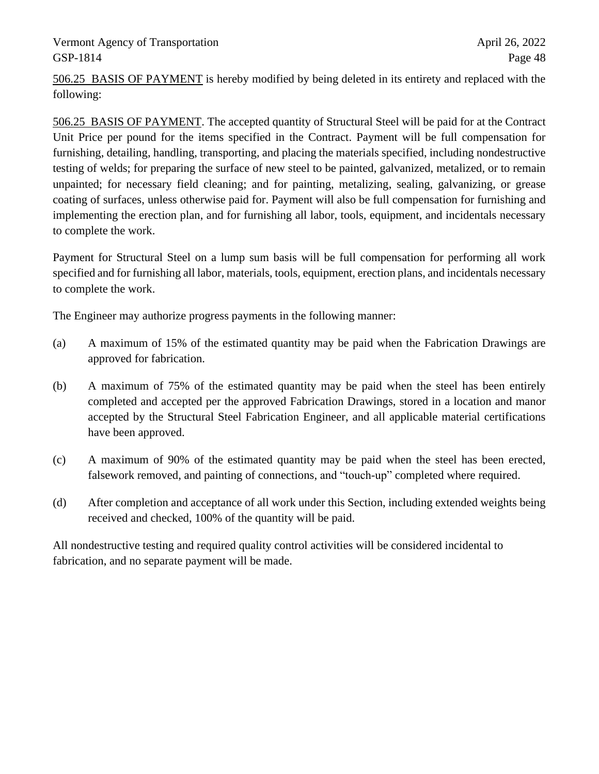506.25 BASIS OF PAYMENT is hereby modified by being deleted in its entirety and replaced with the following:

506.25 BASIS OF PAYMENT. The accepted quantity of Structural Steel will be paid for at the Contract Unit Price per pound for the items specified in the Contract. Payment will be full compensation for furnishing, detailing, handling, transporting, and placing the materials specified, including nondestructive testing of welds; for preparing the surface of new steel to be painted, galvanized, metalized, or to remain unpainted; for necessary field cleaning; and for painting, metalizing, sealing, galvanizing, or grease coating of surfaces, unless otherwise paid for. Payment will also be full compensation for furnishing and implementing the erection plan, and for furnishing all labor, tools, equipment, and incidentals necessary to complete the work.

Payment for Structural Steel on a lump sum basis will be full compensation for performing all work specified and for furnishing all labor, materials, tools, equipment, erection plans, and incidentals necessary to complete the work.

The Engineer may authorize progress payments in the following manner:

- (a) A maximum of 15% of the estimated quantity may be paid when the Fabrication Drawings are approved for fabrication.
- (b) A maximum of 75% of the estimated quantity may be paid when the steel has been entirely completed and accepted per the approved Fabrication Drawings, stored in a location and manor accepted by the Structural Steel Fabrication Engineer, and all applicable material certifications have been approved.
- (c) A maximum of 90% of the estimated quantity may be paid when the steel has been erected, falsework removed, and painting of connections, and "touch-up" completed where required.
- (d) After completion and acceptance of all work under this Section, including extended weights being received and checked, 100% of the quantity will be paid.

All nondestructive testing and required quality control activities will be considered incidental to fabrication, and no separate payment will be made.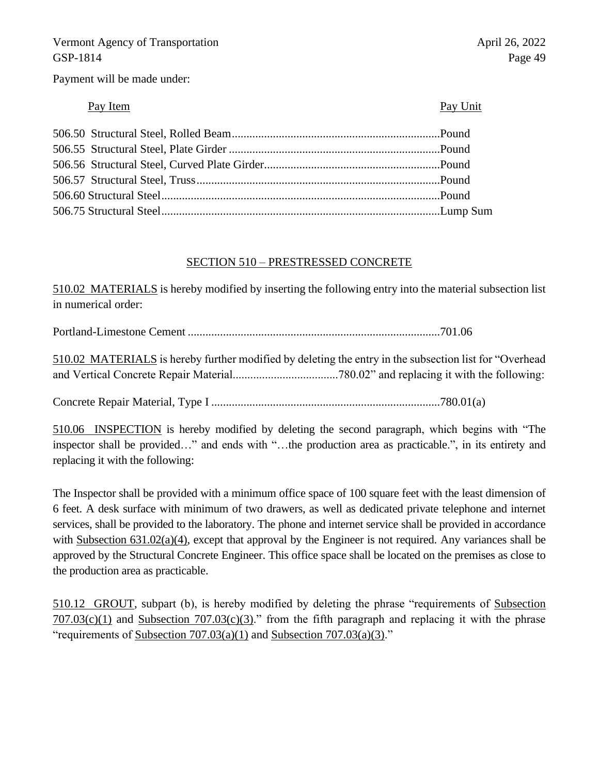Payment will be made under:

# Pay Item Pay Unit

# SECTION 510 – PRESTRESSED CONCRETE

510.02 MATERIALS is hereby modified by inserting the following entry into the material subsection list in numerical order:

Portland-Limestone Cement ......................................................................................701.06

510.02 MATERIALS is hereby further modified by deleting the entry in the subsection list for "Overhead and Vertical Concrete Repair Material....................................780.02" and replacing it with the following:

Concrete Repair Material, Type I ..............................................................................780.01(a)

510.06 INSPECTION is hereby modified by deleting the second paragraph, which begins with "The inspector shall be provided…" and ends with "…the production area as practicable.", in its entirety and replacing it with the following:

The Inspector shall be provided with a minimum office space of 100 square feet with the least dimension of 6 feet. A desk surface with minimum of two drawers, as well as dedicated private telephone and internet services, shall be provided to the laboratory. The phone and internet service shall be provided in accordance with Subsection 631.02(a)(4), except that approval by the Engineer is not required. Any variances shall be approved by the Structural Concrete Engineer. This office space shall be located on the premises as close to the production area as practicable.

510.12 GROUT, subpart (b), is hereby modified by deleting the phrase "requirements of Subsection  $707.03(c)(1)$  and Subsection  $707.03(c)(3)$ ." from the fifth paragraph and replacing it with the phrase "requirements of Subsection  $707.03(a)(1)$  and Subsection  $707.03(a)(3)$ ."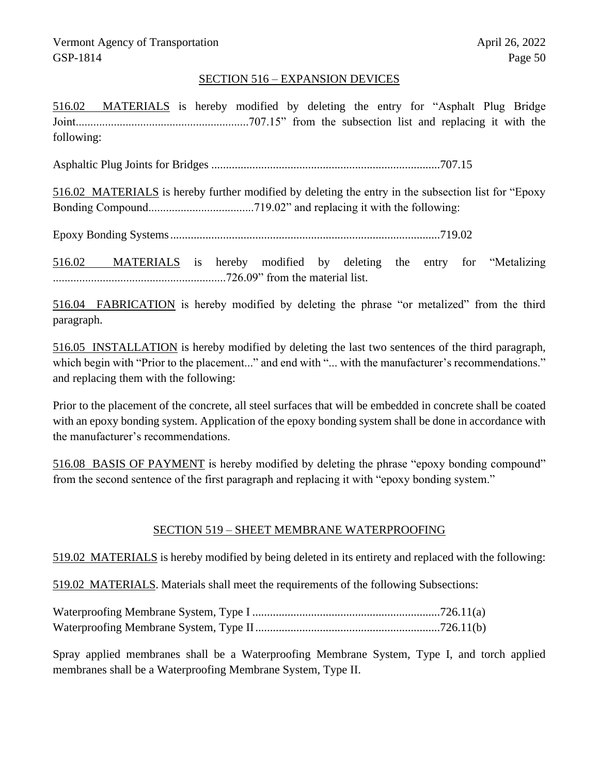## SECTION 516 – EXPANSION DEVICES

516.02 MATERIALS is hereby modified by deleting the entry for "Asphalt Plug Bridge Joint...........................................................707.15" from the subsection list and replacing it with the following:

Asphaltic Plug Joints for Bridges ..............................................................................707.15

516.02 MATERIALS is hereby further modified by deleting the entry in the subsection list for "Epoxy Bonding Compound....................................719.02" and replacing it with the following:

Epoxy Bonding Systems............................................................................................719.02

516.02 MATERIALS is hereby modified by deleting the entry for "Metalizing ...........................................................726.09" from the material list.

516.04 FABRICATION is hereby modified by deleting the phrase "or metalized" from the third paragraph.

516.05 INSTALLATION is hereby modified by deleting the last two sentences of the third paragraph, which begin with "Prior to the placement..." and end with "... with the manufacturer's recommendations." and replacing them with the following:

Prior to the placement of the concrete, all steel surfaces that will be embedded in concrete shall be coated with an epoxy bonding system. Application of the epoxy bonding system shall be done in accordance with the manufacturer's recommendations.

516.08 BASIS OF PAYMENT is hereby modified by deleting the phrase "epoxy bonding compound" from the second sentence of the first paragraph and replacing it with "epoxy bonding system."

## SECTION 519 – SHEET MEMBRANE WATERPROOFING

519.02 MATERIALS is hereby modified by being deleted in its entirety and replaced with the following:

519.02 MATERIALS. Materials shall meet the requirements of the following Subsections:

Spray applied membranes shall be a Waterproofing Membrane System, Type I, and torch applied membranes shall be a Waterproofing Membrane System, Type II.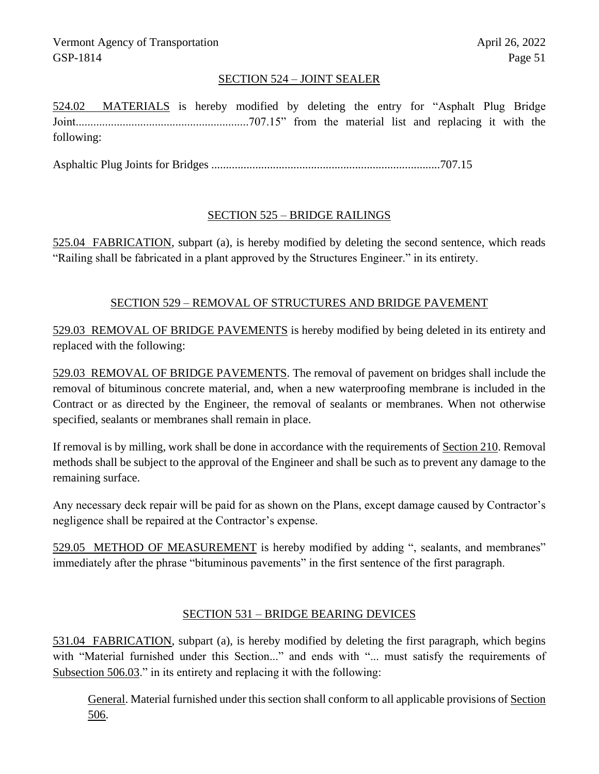# SECTION 524 – JOINT SEALER

524.02 MATERIALS is hereby modified by deleting the entry for "Asphalt Plug Bridge Joint...........................................................707.15" from the material list and replacing it with the following:

Asphaltic Plug Joints for Bridges ..............................................................................707.15

# SECTION 525 – BRIDGE RAILINGS

525.04 FABRICATION, subpart (a), is hereby modified by deleting the second sentence, which reads "Railing shall be fabricated in a plant approved by the Structures Engineer." in its entirety.

# SECTION 529 – REMOVAL OF STRUCTURES AND BRIDGE PAVEMENT

529.03 REMOVAL OF BRIDGE PAVEMENTS is hereby modified by being deleted in its entirety and replaced with the following:

529.03 REMOVAL OF BRIDGE PAVEMENTS. The removal of pavement on bridges shall include the removal of bituminous concrete material, and, when a new waterproofing membrane is included in the Contract or as directed by the Engineer, the removal of sealants or membranes. When not otherwise specified, sealants or membranes shall remain in place.

If removal is by milling, work shall be done in accordance with the requirements of Section 210. Removal methods shall be subject to the approval of the Engineer and shall be such as to prevent any damage to the remaining surface.

Any necessary deck repair will be paid for as shown on the Plans, except damage caused by Contractor's negligence shall be repaired at the Contractor's expense.

529.05 METHOD OF MEASUREMENT is hereby modified by adding ", sealants, and membranes" immediately after the phrase "bituminous pavements" in the first sentence of the first paragraph.

## SECTION 531 – BRIDGE BEARING DEVICES

531.04 FABRICATION, subpart (a), is hereby modified by deleting the first paragraph, which begins with "Material furnished under this Section..." and ends with "... must satisfy the requirements of Subsection 506.03." in its entirety and replacing it with the following:

General. Material furnished under this section shall conform to all applicable provisions of Section 506.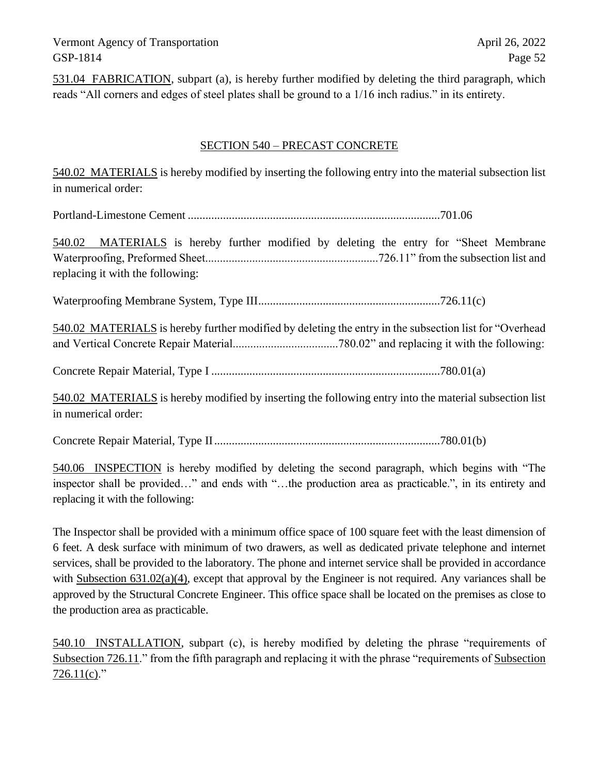531.04 FABRICATION, subpart (a), is hereby further modified by deleting the third paragraph, which reads "All corners and edges of steel plates shall be ground to a 1/16 inch radius." in its entirety.

## SECTION 540 – PRECAST CONCRETE

540.02 MATERIALS is hereby modified by inserting the following entry into the material subsection list in numerical order:

Portland-Limestone Cement ......................................................................................701.06

540.02 MATERIALS is hereby further modified by deleting the entry for "Sheet Membrane Waterproofing, Preformed Sheet...........................................................726.11" from the subsection list and replacing it with the following:

Waterproofing Membrane System, Type III..............................................................726.11(c)

540.02 MATERIALS is hereby further modified by deleting the entry in the subsection list for "Overhead and Vertical Concrete Repair Material....................................780.02" and replacing it with the following:

Concrete Repair Material, Type I ..............................................................................780.01(a)

540.02 MATERIALS is hereby modified by inserting the following entry into the material subsection list in numerical order:

Concrete Repair Material, Type II.............................................................................780.01(b)

540.06 INSPECTION is hereby modified by deleting the second paragraph, which begins with "The inspector shall be provided…" and ends with "…the production area as practicable.", in its entirety and replacing it with the following:

The Inspector shall be provided with a minimum office space of 100 square feet with the least dimension of 6 feet. A desk surface with minimum of two drawers, as well as dedicated private telephone and internet services, shall be provided to the laboratory. The phone and internet service shall be provided in accordance with Subsection  $631.02(a)(4)$ , except that approval by the Engineer is not required. Any variances shall be approved by the Structural Concrete Engineer. This office space shall be located on the premises as close to the production area as practicable.

540.10 INSTALLATION, subpart (c), is hereby modified by deleting the phrase "requirements of Subsection 726.11." from the fifth paragraph and replacing it with the phrase "requirements of Subsection  $726.11(c)$ ."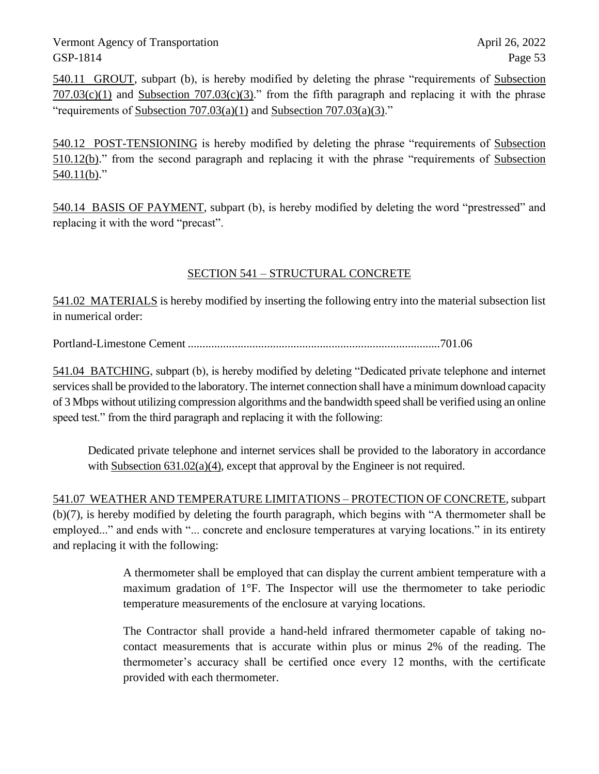540.11 GROUT, subpart (b), is hereby modified by deleting the phrase "requirements of Subsection  $707.03(c)(1)$  and Subsection  $707.03(c)(3)$ ." from the fifth paragraph and replacing it with the phrase "requirements of Subsection  $707.03(a)(1)$  and Subsection  $707.03(a)(3)$ ."

540.12 POST-TENSIONING is hereby modified by deleting the phrase "requirements of Subsection 510.12(b)." from the second paragraph and replacing it with the phrase "requirements of Subsection  $540.11(b)$ ."

540.14 BASIS OF PAYMENT, subpart (b), is hereby modified by deleting the word "prestressed" and replacing it with the word "precast".

# SECTION 541 – STRUCTURAL CONCRETE

541.02 MATERIALS is hereby modified by inserting the following entry into the material subsection list in numerical order:

Portland-Limestone Cement ......................................................................................701.06

541.04 BATCHING, subpart (b), is hereby modified by deleting "Dedicated private telephone and internet services shall be provided to the laboratory. The internet connection shall have a minimum download capacity of 3 Mbps without utilizing compression algorithms and the bandwidth speed shall be verified using an online speed test." from the third paragraph and replacing it with the following:

Dedicated private telephone and internet services shall be provided to the laboratory in accordance with Subsection  $631.02(a)(4)$ , except that approval by the Engineer is not required.

541.07 WEATHER AND TEMPERATURE LIMITATIONS – PROTECTION OF CONCRETE, subpart (b)(7), is hereby modified by deleting the fourth paragraph, which begins with "A thermometer shall be employed..." and ends with "... concrete and enclosure temperatures at varying locations." in its entirety and replacing it with the following:

> A thermometer shall be employed that can display the current ambient temperature with a maximum gradation of 1°F. The Inspector will use the thermometer to take periodic temperature measurements of the enclosure at varying locations.

> The Contractor shall provide a hand-held infrared thermometer capable of taking nocontact measurements that is accurate within plus or minus 2% of the reading. The thermometer's accuracy shall be certified once every 12 months, with the certificate provided with each thermometer.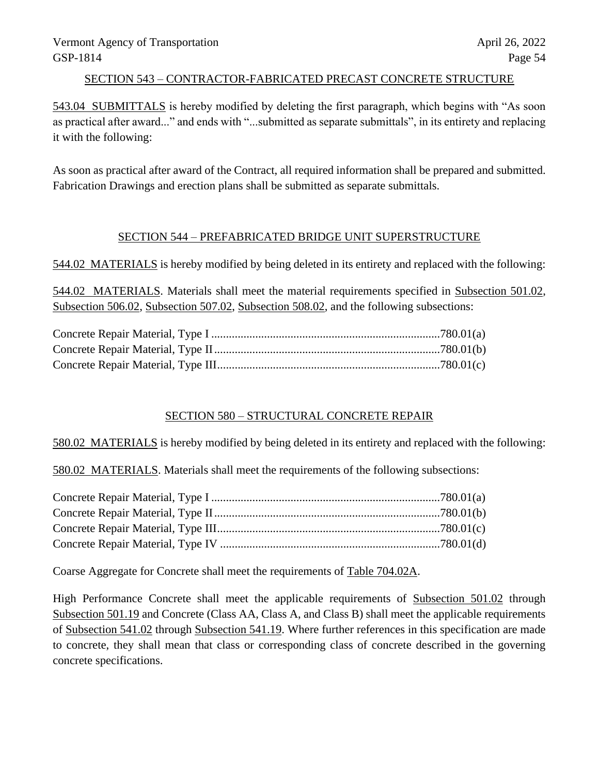## SECTION 543 – CONTRACTOR-FABRICATED PRECAST CONCRETE STRUCTURE

543.04 SUBMITTALS is hereby modified by deleting the first paragraph, which begins with "As soon as practical after award..." and ends with "...submitted as separate submittals", in its entirety and replacing it with the following:

As soon as practical after award of the Contract, all required information shall be prepared and submitted. Fabrication Drawings and erection plans shall be submitted as separate submittals.

# SECTION 544 – PREFABRICATED BRIDGE UNIT SUPERSTRUCTURE

544.02 MATERIALS is hereby modified by being deleted in its entirety and replaced with the following:

544.02 MATERIALS. Materials shall meet the material requirements specified in Subsection 501.02, Subsection 506.02, Subsection 507.02, Subsection 508.02, and the following subsections:

## SECTION 580 – STRUCTURAL CONCRETE REPAIR

580.02 MATERIALS is hereby modified by being deleted in its entirety and replaced with the following:

580.02 MATERIALS. Materials shall meet the requirements of the following subsections:

Coarse Aggregate for Concrete shall meet the requirements of Table 704.02A.

High Performance Concrete shall meet the applicable requirements of Subsection 501.02 through Subsection 501.19 and Concrete (Class AA, Class A, and Class B) shall meet the applicable requirements of Subsection 541.02 through Subsection 541.19. Where further references in this specification are made to concrete, they shall mean that class or corresponding class of concrete described in the governing concrete specifications.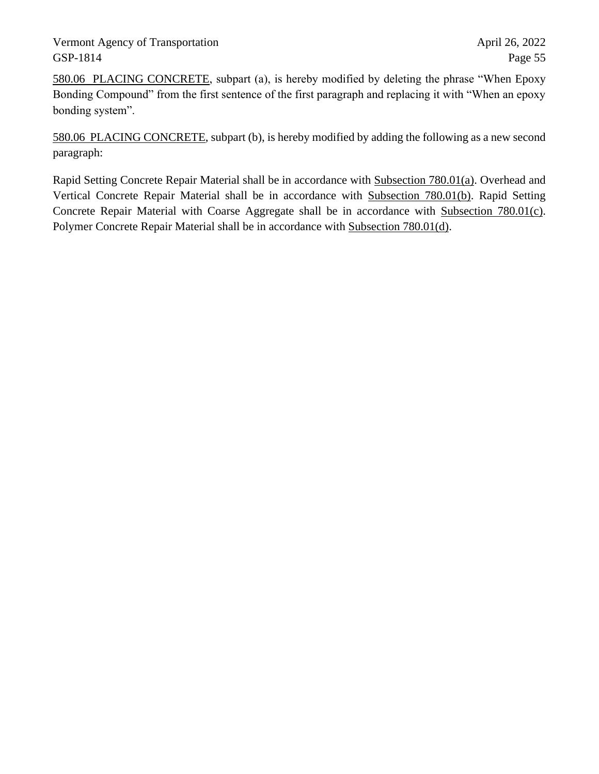580.06 PLACING CONCRETE, subpart (a), is hereby modified by deleting the phrase "When Epoxy Bonding Compound" from the first sentence of the first paragraph and replacing it with "When an epoxy bonding system".

580.06 PLACING CONCRETE, subpart (b), is hereby modified by adding the following as a new second paragraph:

Rapid Setting Concrete Repair Material shall be in accordance with Subsection 780.01(a). Overhead and Vertical Concrete Repair Material shall be in accordance with Subsection 780.01(b). Rapid Setting Concrete Repair Material with Coarse Aggregate shall be in accordance with Subsection 780.01(c). Polymer Concrete Repair Material shall be in accordance with Subsection 780.01(d).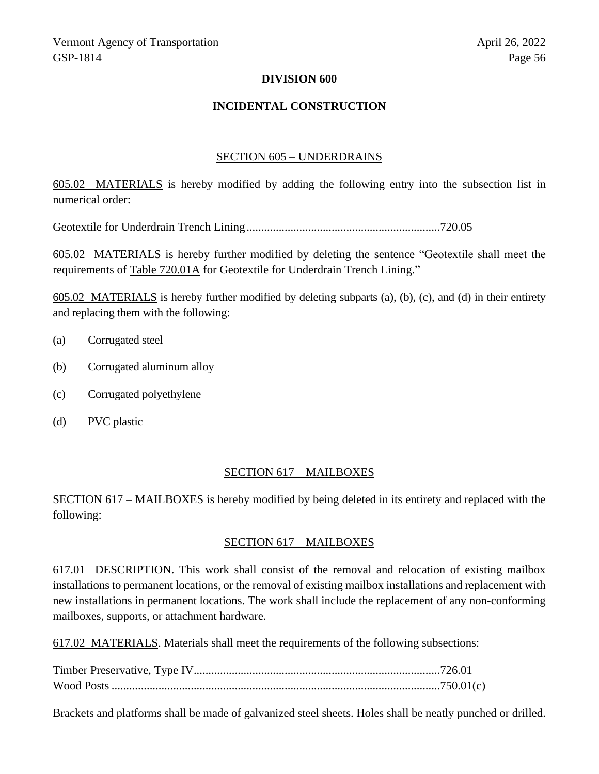## **DIVISION 600**

## **INCIDENTAL CONSTRUCTION**

#### SECTION 605 – UNDERDRAINS

605.02 MATERIALS is hereby modified by adding the following entry into the subsection list in numerical order:

Geotextile for Underdrain Trench Lining..................................................................720.05

605.02 MATERIALS is hereby further modified by deleting the sentence "Geotextile shall meet the requirements of Table 720.01A for Geotextile for Underdrain Trench Lining."

605.02 MATERIALS is hereby further modified by deleting subparts (a), (b), (c), and (d) in their entirety and replacing them with the following:

- (a) Corrugated steel
- (b) Corrugated aluminum alloy
- (c) Corrugated polyethylene
- (d) PVC plastic

#### SECTION 617 – MAILBOXES

SECTION 617 – MAILBOXES is hereby modified by being deleted in its entirety and replaced with the following:

#### SECTION 617 – MAILBOXES

617.01 DESCRIPTION. This work shall consist of the removal and relocation of existing mailbox installations to permanent locations, or the removal of existing mailbox installations and replacement with new installations in permanent locations. The work shall include the replacement of any non-conforming mailboxes, supports, or attachment hardware.

617.02 MATERIALS. Materials shall meet the requirements of the following subsections:

Brackets and platforms shall be made of galvanized steel sheets. Holes shall be neatly punched or drilled.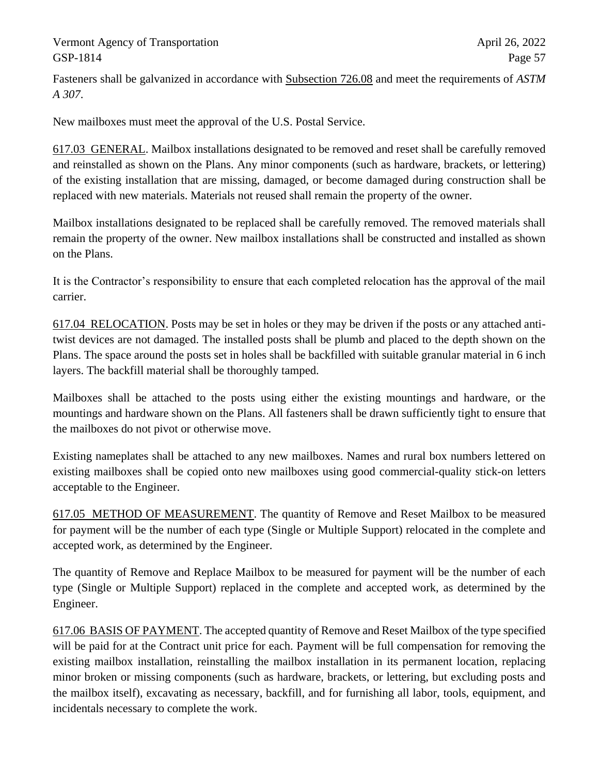Fasteners shall be galvanized in accordance with Subsection 726.08 and meet the requirements of *ASTM A 307*.

New mailboxes must meet the approval of the U.S. Postal Service.

617.03 GENERAL. Mailbox installations designated to be removed and reset shall be carefully removed and reinstalled as shown on the Plans. Any minor components (such as hardware, brackets, or lettering) of the existing installation that are missing, damaged, or become damaged during construction shall be replaced with new materials. Materials not reused shall remain the property of the owner.

Mailbox installations designated to be replaced shall be carefully removed. The removed materials shall remain the property of the owner. New mailbox installations shall be constructed and installed as shown on the Plans.

It is the Contractor's responsibility to ensure that each completed relocation has the approval of the mail carrier.

617.04 RELOCATION. Posts may be set in holes or they may be driven if the posts or any attached antitwist devices are not damaged. The installed posts shall be plumb and placed to the depth shown on the Plans. The space around the posts set in holes shall be backfilled with suitable granular material in 6 inch layers. The backfill material shall be thoroughly tamped.

Mailboxes shall be attached to the posts using either the existing mountings and hardware, or the mountings and hardware shown on the Plans. All fasteners shall be drawn sufficiently tight to ensure that the mailboxes do not pivot or otherwise move.

Existing nameplates shall be attached to any new mailboxes. Names and rural box numbers lettered on existing mailboxes shall be copied onto new mailboxes using good commercial-quality stick-on letters acceptable to the Engineer.

617.05 METHOD OF MEASUREMENT. The quantity of Remove and Reset Mailbox to be measured for payment will be the number of each type (Single or Multiple Support) relocated in the complete and accepted work, as determined by the Engineer.

The quantity of Remove and Replace Mailbox to be measured for payment will be the number of each type (Single or Multiple Support) replaced in the complete and accepted work, as determined by the Engineer.

617.06 BASIS OF PAYMENT. The accepted quantity of Remove and Reset Mailbox of the type specified will be paid for at the Contract unit price for each. Payment will be full compensation for removing the existing mailbox installation, reinstalling the mailbox installation in its permanent location, replacing minor broken or missing components (such as hardware, brackets, or lettering, but excluding posts and the mailbox itself), excavating as necessary, backfill, and for furnishing all labor, tools, equipment, and incidentals necessary to complete the work.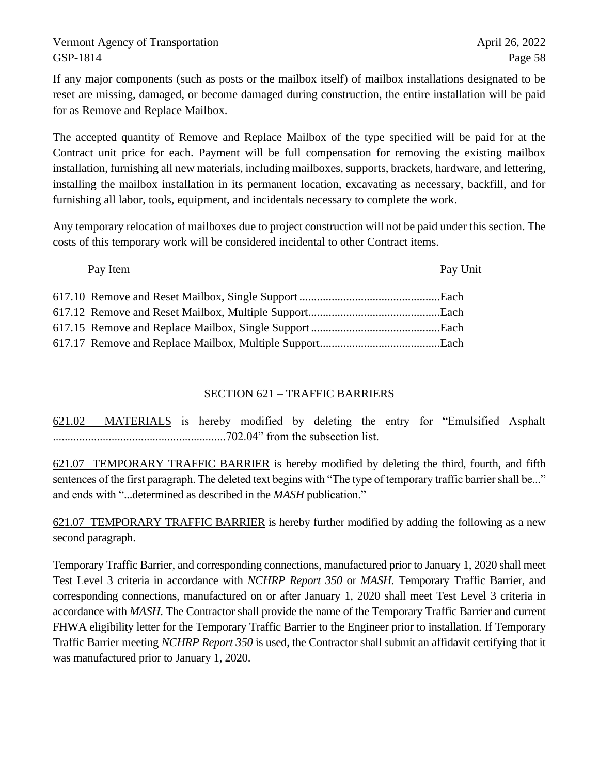If any major components (such as posts or the mailbox itself) of mailbox installations designated to be reset are missing, damaged, or become damaged during construction, the entire installation will be paid for as Remove and Replace Mailbox.

The accepted quantity of Remove and Replace Mailbox of the type specified will be paid for at the Contract unit price for each. Payment will be full compensation for removing the existing mailbox installation, furnishing all new materials, including mailboxes, supports, brackets, hardware, and lettering, installing the mailbox installation in its permanent location, excavating as necessary, backfill, and for furnishing all labor, tools, equipment, and incidentals necessary to complete the work.

Any temporary relocation of mailboxes due to project construction will not be paid under this section. The costs of this temporary work will be considered incidental to other Contract items.

## Pay Item Pay Unit

# SECTION 621 – TRAFFIC BARRIERS

621.02 MATERIALS is hereby modified by deleting the entry for "Emulsified Asphalt ...........................................................702.04" from the subsection list.

621.07 TEMPORARY TRAFFIC BARRIER is hereby modified by deleting the third, fourth, and fifth sentences of the first paragraph. The deleted text begins with "The type of temporary traffic barrier shall be..." and ends with "...determined as described in the *MASH* publication."

621.07 TEMPORARY TRAFFIC BARRIER is hereby further modified by adding the following as a new second paragraph.

Temporary Traffic Barrier, and corresponding connections, manufactured prior to January 1, 2020 shall meet Test Level 3 criteria in accordance with *NCHRP Report 350* or *MASH*. Temporary Traffic Barrier, and corresponding connections, manufactured on or after January 1, 2020 shall meet Test Level 3 criteria in accordance with *MASH*. The Contractor shall provide the name of the Temporary Traffic Barrier and current FHWA eligibility letter for the Temporary Traffic Barrier to the Engineer prior to installation. If Temporary Traffic Barrier meeting *NCHRP Report 350* is used, the Contractor shall submit an affidavit certifying that it was manufactured prior to January 1, 2020.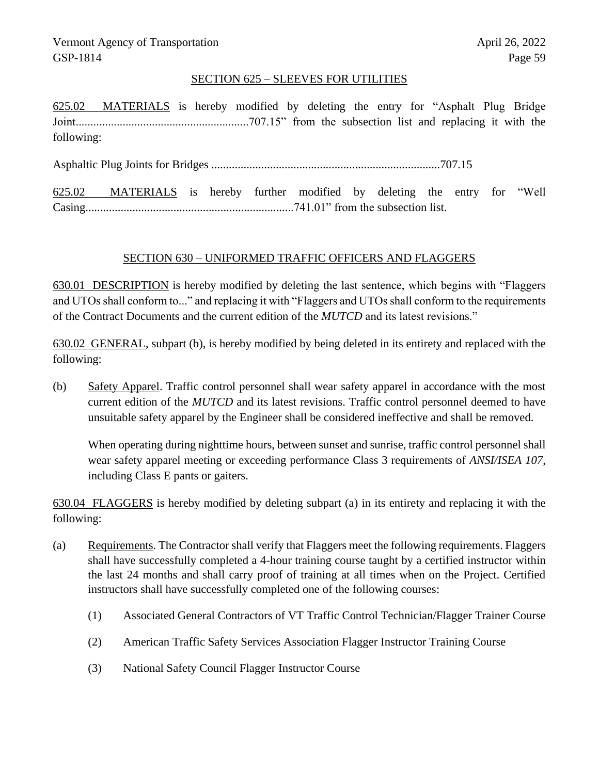## SECTION 625 – SLEEVES FOR UTILITIES

625.02 MATERIALS is hereby modified by deleting the entry for "Asphalt Plug Bridge Joint...........................................................707.15" from the subsection list and replacing it with the following:

Asphaltic Plug Joints for Bridges ..............................................................................707.15

625.02 MATERIALS is hereby further modified by deleting the entry for "Well Casing.......................................................................741.01" from the subsection list.

## SECTION 630 – UNIFORMED TRAFFIC OFFICERS AND FLAGGERS

630.01 DESCRIPTION is hereby modified by deleting the last sentence, which begins with "Flaggers and UTOs shall conform to..." and replacing it with "Flaggers and UTOs shall conform to the requirements of the Contract Documents and the current edition of the *MUTCD* and its latest revisions."

630.02 GENERAL, subpart (b), is hereby modified by being deleted in its entirety and replaced with the following:

(b) Safety Apparel. Traffic control personnel shall wear safety apparel in accordance with the most current edition of the *MUTCD* and its latest revisions. Traffic control personnel deemed to have unsuitable safety apparel by the Engineer shall be considered ineffective and shall be removed.

When operating during nighttime hours, between sunset and sunrise, traffic control personnel shall wear safety apparel meeting or exceeding performance Class 3 requirements of *ANSI/ISEA 107*, including Class E pants or gaiters.

630.04 FLAGGERS is hereby modified by deleting subpart (a) in its entirety and replacing it with the following:

- (a) Requirements. The Contractor shall verify that Flaggers meet the following requirements. Flaggers shall have successfully completed a 4-hour training course taught by a certified instructor within the last 24 months and shall carry proof of training at all times when on the Project. Certified instructors shall have successfully completed one of the following courses:
	- (1) Associated General Contractors of VT Traffic Control Technician/Flagger Trainer Course
	- (2) American Traffic Safety Services Association Flagger Instructor Training Course
	- (3) National Safety Council Flagger Instructor Course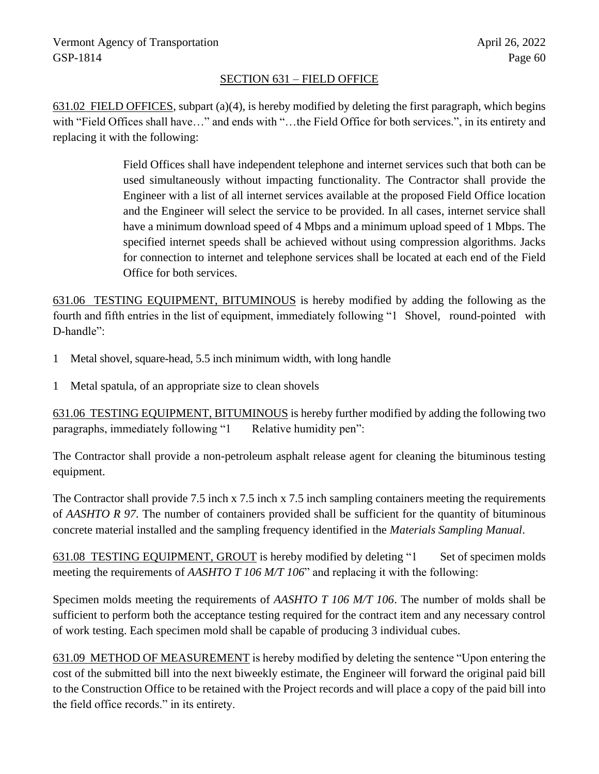# SECTION 631 – FIELD OFFICE

631.02 FIELD OFFICES, subpart (a)(4), is hereby modified by deleting the first paragraph, which begins with "Field Offices shall have…" and ends with "…the Field Office for both services.", in its entirety and replacing it with the following:

> Field Offices shall have independent telephone and internet services such that both can be used simultaneously without impacting functionality. The Contractor shall provide the Engineer with a list of all internet services available at the proposed Field Office location and the Engineer will select the service to be provided. In all cases, internet service shall have a minimum download speed of 4 Mbps and a minimum upload speed of 1 Mbps. The specified internet speeds shall be achieved without using compression algorithms. Jacks for connection to internet and telephone services shall be located at each end of the Field Office for both services.

631.06 TESTING EQUIPMENT, BITUMINOUS is hereby modified by adding the following as the fourth and fifth entries in the list of equipment, immediately following "1 Shovel, round-pointed with D-handle":

- 1 Metal shovel, square-head, 5.5 inch minimum width, with long handle
- 1 Metal spatula, of an appropriate size to clean shovels

631.06 TESTING EQUIPMENT, BITUMINOUS is hereby further modified by adding the following two paragraphs, immediately following "1 Relative humidity pen":

The Contractor shall provide a non-petroleum asphalt release agent for cleaning the bituminous testing equipment.

The Contractor shall provide 7.5 inch x 7.5 inch x 7.5 inch sampling containers meeting the requirements of *AASHTO R 97*. The number of containers provided shall be sufficient for the quantity of bituminous concrete material installed and the sampling frequency identified in the *Materials Sampling Manual*.

631.08 TESTING EQUIPMENT, GROUT is hereby modified by deleting "1 Set of specimen molds meeting the requirements of *AASHTO T 106 M/T 106*" and replacing it with the following:

Specimen molds meeting the requirements of *AASHTO T 106 M/T 106*. The number of molds shall be sufficient to perform both the acceptance testing required for the contract item and any necessary control of work testing. Each specimen mold shall be capable of producing 3 individual cubes.

631.09 METHOD OF MEASUREMENT is hereby modified by deleting the sentence "Upon entering the cost of the submitted bill into the next biweekly estimate, the Engineer will forward the original paid bill to the Construction Office to be retained with the Project records and will place a copy of the paid bill into the field office records." in its entirety.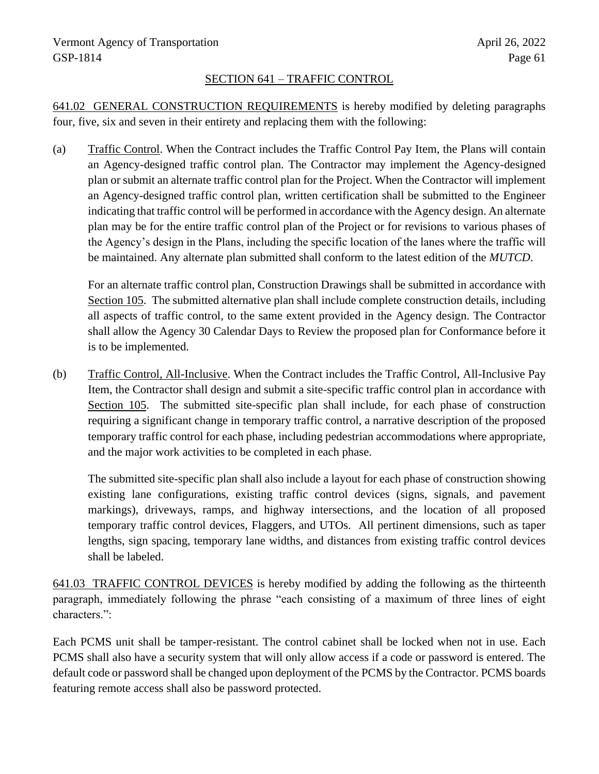# SECTION 641 – TRAFFIC CONTROL

641.02 GENERAL CONSTRUCTION REQUIREMENTS is hereby modified by deleting paragraphs four, five, six and seven in their entirety and replacing them with the following:

(a) Traffic Control. When the Contract includes the Traffic Control Pay Item, the Plans will contain an Agency-designed traffic control plan. The Contractor may implement the Agency-designed plan or submit an alternate traffic control plan for the Project. When the Contractor will implement an Agency-designed traffic control plan, written certification shall be submitted to the Engineer indicating that traffic control will be performed in accordance with the Agency design. An alternate plan may be for the entire traffic control plan of the Project or for revisions to various phases of the Agency's design in the Plans, including the specific location of the lanes where the traffic will be maintained. Any alternate plan submitted shall conform to the latest edition of the *MUTCD*.

For an alternate traffic control plan, Construction Drawings shall be submitted in accordance with Section 105. The submitted alternative plan shall include complete construction details, including all aspects of traffic control, to the same extent provided in the Agency design. The Contractor shall allow the Agency 30 Calendar Days to Review the proposed plan for Conformance before it is to be implemented.

(b) Traffic Control, All-Inclusive. When the Contract includes the Traffic Control, All-Inclusive Pay Item, the Contractor shall design and submit a site-specific traffic control plan in accordance with Section 105. The submitted site-specific plan shall include, for each phase of construction requiring a significant change in temporary traffic control, a narrative description of the proposed temporary traffic control for each phase, including pedestrian accommodations where appropriate, and the major work activities to be completed in each phase.

The submitted site-specific plan shall also include a layout for each phase of construction showing existing lane configurations, existing traffic control devices (signs, signals, and pavement markings), driveways, ramps, and highway intersections, and the location of all proposed temporary traffic control devices, Flaggers, and UTOs. All pertinent dimensions, such as taper lengths, sign spacing, temporary lane widths, and distances from existing traffic control devices shall be labeled.

641.03 TRAFFIC CONTROL DEVICES is hereby modified by adding the following as the thirteenth paragraph, immediately following the phrase "each consisting of a maximum of three lines of eight characters.":

Each PCMS unit shall be tamper-resistant. The control cabinet shall be locked when not in use. Each PCMS shall also have a security system that will only allow access if a code or password is entered. The default code or password shall be changed upon deployment of the PCMS by the Contractor. PCMS boards featuring remote access shall also be password protected.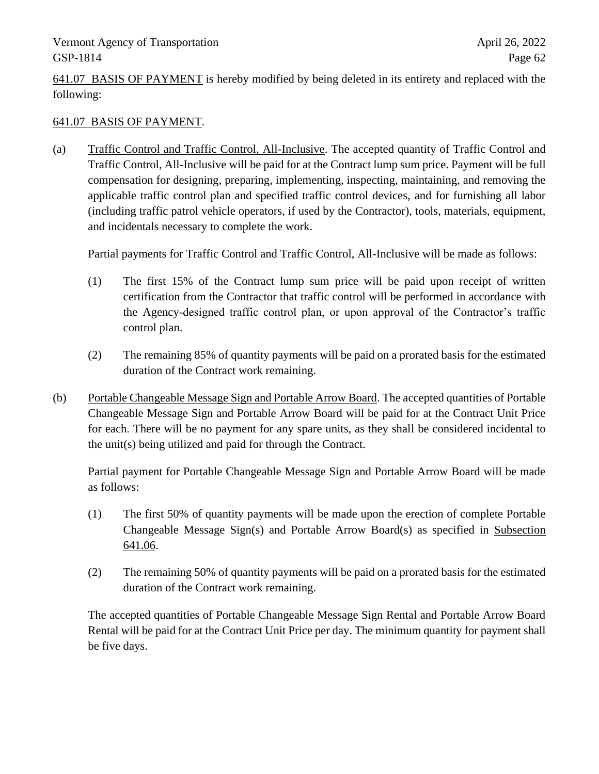641.07 BASIS OF PAYMENT is hereby modified by being deleted in its entirety and replaced with the following:

# 641.07 BASIS OF PAYMENT.

(a) Traffic Control and Traffic Control, All-Inclusive. The accepted quantity of Traffic Control and Traffic Control, All-Inclusive will be paid for at the Contract lump sum price. Payment will be full compensation for designing, preparing, implementing, inspecting, maintaining, and removing the applicable traffic control plan and specified traffic control devices, and for furnishing all labor (including traffic patrol vehicle operators, if used by the Contractor), tools, materials, equipment, and incidentals necessary to complete the work.

Partial payments for Traffic Control and Traffic Control, All-Inclusive will be made as follows:

- (1) The first 15% of the Contract lump sum price will be paid upon receipt of written certification from the Contractor that traffic control will be performed in accordance with the Agency-designed traffic control plan, or upon approval of the Contractor's traffic control plan.
- (2) The remaining 85% of quantity payments will be paid on a prorated basis for the estimated duration of the Contract work remaining.
- (b) Portable Changeable Message Sign and Portable Arrow Board. The accepted quantities of Portable Changeable Message Sign and Portable Arrow Board will be paid for at the Contract Unit Price for each. There will be no payment for any spare units, as they shall be considered incidental to the unit(s) being utilized and paid for through the Contract.

Partial payment for Portable Changeable Message Sign and Portable Arrow Board will be made as follows:

- (1) The first 50% of quantity payments will be made upon the erection of complete Portable Changeable Message Sign(s) and Portable Arrow Board(s) as specified in Subsection 641.06.
- (2) The remaining 50% of quantity payments will be paid on a prorated basis for the estimated duration of the Contract work remaining.

The accepted quantities of Portable Changeable Message Sign Rental and Portable Arrow Board Rental will be paid for at the Contract Unit Price per day. The minimum quantity for payment shall be five days.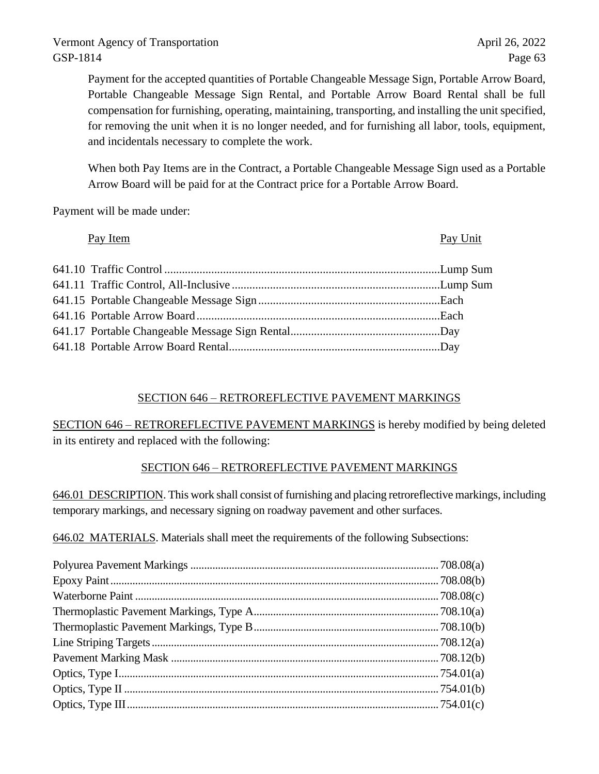Payment for the accepted quantities of Portable Changeable Message Sign, Portable Arrow Board, Portable Changeable Message Sign Rental, and Portable Arrow Board Rental shall be full compensation for furnishing, operating, maintaining, transporting, and installing the unit specified, for removing the unit when it is no longer needed, and for furnishing all labor, tools, equipment, and incidentals necessary to complete the work.

When both Pay Items are in the Contract, a Portable Changeable Message Sign used as a Portable Arrow Board will be paid for at the Contract price for a Portable Arrow Board.

Payment will be made under:

| Pay Item | Pay Unit |
|----------|----------|
|          |          |
|          |          |
|          |          |
|          |          |
|          |          |
|          |          |

# SECTION 646 – RETROREFLECTIVE PAVEMENT MARKINGS

SECTION 646 – RETROREFLECTIVE PAVEMENT MARKINGS is hereby modified by being deleted in its entirety and replaced with the following:

# SECTION 646 – RETROREFLECTIVE PAVEMENT MARKINGS

646.01 DESCRIPTION. This work shall consist of furnishing and placing retroreflective markings, including temporary markings, and necessary signing on roadway pavement and other surfaces.

646.02 MATERIALS. Materials shall meet the requirements of the following Subsections: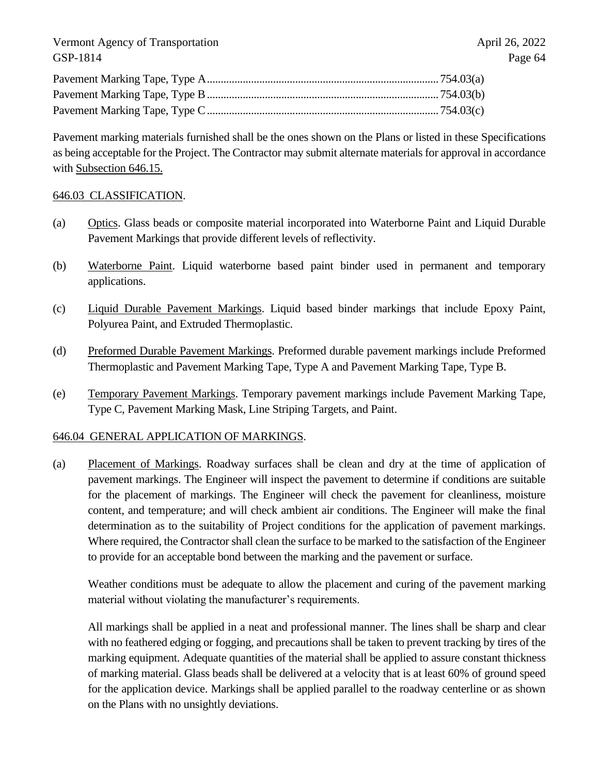Pavement marking materials furnished shall be the ones shown on the Plans or listed in these Specifications as being acceptable for the Project. The Contractor may submit alternate materials for approval in accordance with Subsection 646.15.

## 646.03 CLASSIFICATION.

- (a) Optics. Glass beads or composite material incorporated into Waterborne Paint and Liquid Durable Pavement Markings that provide different levels of reflectivity.
- (b) Waterborne Paint. Liquid waterborne based paint binder used in permanent and temporary applications.
- (c) Liquid Durable Pavement Markings. Liquid based binder markings that include Epoxy Paint, Polyurea Paint, and Extruded Thermoplastic.
- (d) Preformed Durable Pavement Markings. Preformed durable pavement markings include Preformed Thermoplastic and Pavement Marking Tape, Type A and Pavement Marking Tape, Type B.
- (e) Temporary Pavement Markings. Temporary pavement markings include Pavement Marking Tape, Type C, Pavement Marking Mask, Line Striping Targets, and Paint.

## 646.04 GENERAL APPLICATION OF MARKINGS.

(a) Placement of Markings. Roadway surfaces shall be clean and dry at the time of application of pavement markings. The Engineer will inspect the pavement to determine if conditions are suitable for the placement of markings. The Engineer will check the pavement for cleanliness, moisture content, and temperature; and will check ambient air conditions. The Engineer will make the final determination as to the suitability of Project conditions for the application of pavement markings. Where required, the Contractor shall clean the surface to be marked to the satisfaction of the Engineer to provide for an acceptable bond between the marking and the pavement or surface.

Weather conditions must be adequate to allow the placement and curing of the pavement marking material without violating the manufacturer's requirements.

All markings shall be applied in a neat and professional manner. The lines shall be sharp and clear with no feathered edging or fogging, and precautions shall be taken to prevent tracking by tires of the marking equipment. Adequate quantities of the material shall be applied to assure constant thickness of marking material. Glass beads shall be delivered at a velocity that is at least 60% of ground speed for the application device. Markings shall be applied parallel to the roadway centerline or as shown on the Plans with no unsightly deviations.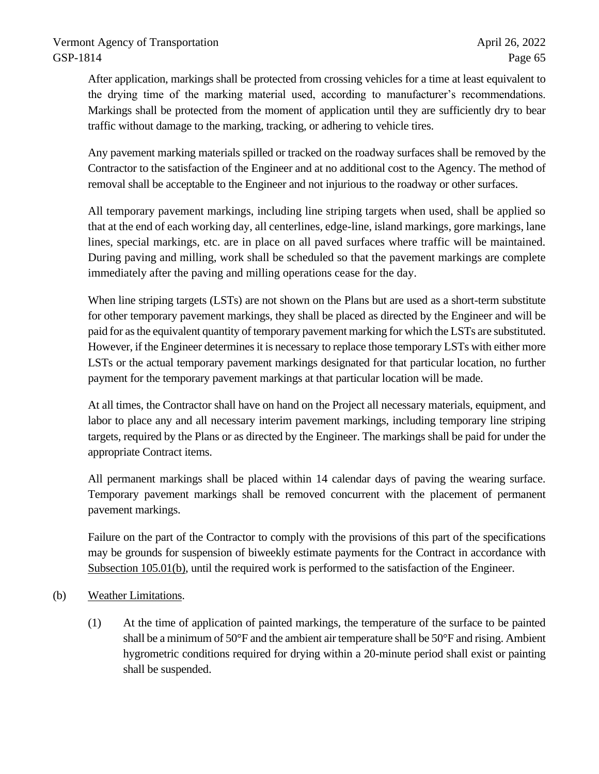After application, markings shall be protected from crossing vehicles for a time at least equivalent to the drying time of the marking material used, according to manufacturer's recommendations. Markings shall be protected from the moment of application until they are sufficiently dry to bear traffic without damage to the marking, tracking, or adhering to vehicle tires.

Any pavement marking materials spilled or tracked on the roadway surfaces shall be removed by the Contractor to the satisfaction of the Engineer and at no additional cost to the Agency. The method of removal shall be acceptable to the Engineer and not injurious to the roadway or other surfaces.

All temporary pavement markings, including line striping targets when used, shall be applied so that at the end of each working day, all centerlines, edge-line, island markings, gore markings, lane lines, special markings, etc. are in place on all paved surfaces where traffic will be maintained. During paving and milling, work shall be scheduled so that the pavement markings are complete immediately after the paving and milling operations cease for the day.

When line striping targets (LSTs) are not shown on the Plans but are used as a short-term substitute for other temporary pavement markings, they shall be placed as directed by the Engineer and will be paid for as the equivalent quantity of temporary pavement marking for which the LSTs are substituted. However, if the Engineer determines it is necessary to replace those temporary LSTs with either more LSTs or the actual temporary pavement markings designated for that particular location, no further payment for the temporary pavement markings at that particular location will be made.

At all times, the Contractor shall have on hand on the Project all necessary materials, equipment, and labor to place any and all necessary interim pavement markings, including temporary line striping targets, required by the Plans or as directed by the Engineer. The markings shall be paid for under the appropriate Contract items.

All permanent markings shall be placed within 14 calendar days of paving the wearing surface. Temporary pavement markings shall be removed concurrent with the placement of permanent pavement markings.

Failure on the part of the Contractor to comply with the provisions of this part of the specifications may be grounds for suspension of biweekly estimate payments for the Contract in accordance with Subsection 105.01(b), until the required work is performed to the satisfaction of the Engineer.

- (b) Weather Limitations.
	- (1) At the time of application of painted markings, the temperature of the surface to be painted shall be a minimum of  $50^{\circ}$ F and the ambient air temperature shall be  $50^{\circ}$ F and rising. Ambient hygrometric conditions required for drying within a 20-minute period shall exist or painting shall be suspended.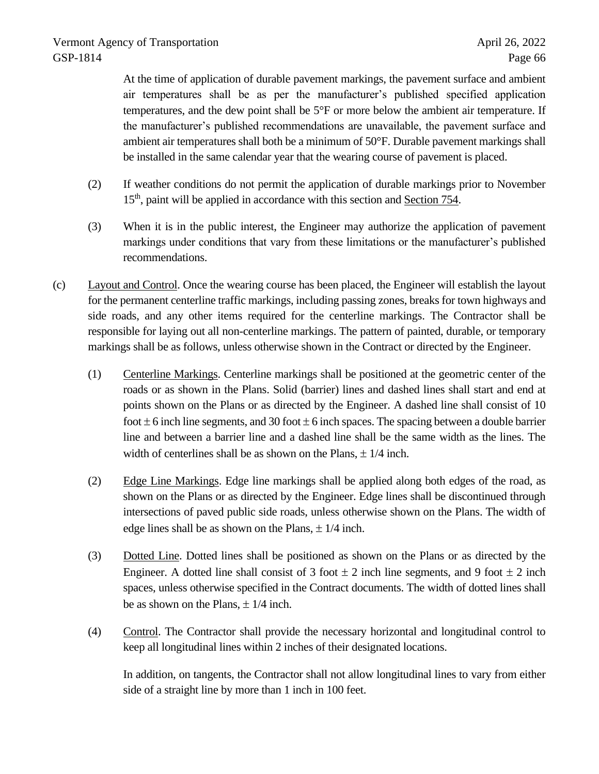At the time of application of durable pavement markings, the pavement surface and ambient air temperatures shall be as per the manufacturer's published specified application temperatures, and the dew point shall be 5°F or more below the ambient air temperature. If the manufacturer's published recommendations are unavailable, the pavement surface and ambient air temperatures shall both be a minimum of 50°F. Durable pavement markings shall be installed in the same calendar year that the wearing course of pavement is placed.

- (2) If weather conditions do not permit the application of durable markings prior to November 15<sup>th</sup>, paint will be applied in accordance with this section and Section 754.
- (3) When it is in the public interest, the Engineer may authorize the application of pavement markings under conditions that vary from these limitations or the manufacturer's published recommendations.
- (c) Layout and Control. Once the wearing course has been placed, the Engineer will establish the layout for the permanent centerline traffic markings, including passing zones, breaks for town highways and side roads, and any other items required for the centerline markings. The Contractor shall be responsible for laying out all non-centerline markings. The pattern of painted, durable, or temporary markings shall be as follows, unless otherwise shown in the Contract or directed by the Engineer.
	- (1) Centerline Markings. Centerline markings shall be positioned at the geometric center of the roads or as shown in the Plans. Solid (barrier) lines and dashed lines shall start and end at points shown on the Plans or as directed by the Engineer. A dashed line shall consist of 10 foot  $\pm$  6 inch line segments, and 30 foot  $\pm$  6 inch spaces. The spacing between a double barrier line and between a barrier line and a dashed line shall be the same width as the lines. The width of centerlines shall be as shown on the Plans,  $\pm$  1/4 inch.
	- (2) Edge Line Markings. Edge line markings shall be applied along both edges of the road, as shown on the Plans or as directed by the Engineer. Edge lines shall be discontinued through intersections of paved public side roads, unless otherwise shown on the Plans. The width of edge lines shall be as shown on the Plans,  $\pm$  1/4 inch.
	- (3) Dotted Line. Dotted lines shall be positioned as shown on the Plans or as directed by the Engineer. A dotted line shall consist of 3 foot  $\pm$  2 inch line segments, and 9 foot  $\pm$  2 inch spaces, unless otherwise specified in the Contract documents. The width of dotted lines shall be as shown on the Plans,  $\pm$  1/4 inch.
	- (4) Control. The Contractor shall provide the necessary horizontal and longitudinal control to keep all longitudinal lines within 2 inches of their designated locations.

In addition, on tangents, the Contractor shall not allow longitudinal lines to vary from either side of a straight line by more than 1 inch in 100 feet.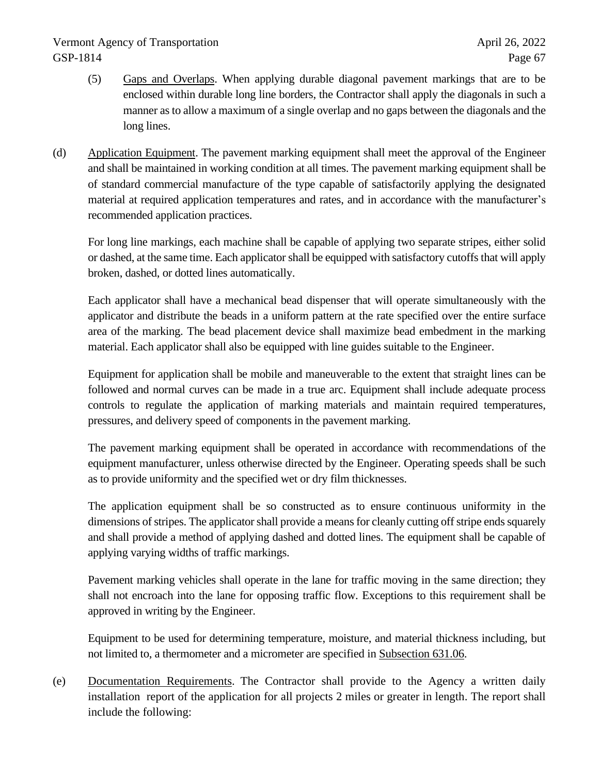- (5) Gaps and Overlaps. When applying durable diagonal pavement markings that are to be enclosed within durable long line borders, the Contractor shall apply the diagonals in such a manner as to allow a maximum of a single overlap and no gaps between the diagonals and the long lines.
- (d) Application Equipment. The pavement marking equipment shall meet the approval of the Engineer and shall be maintained in working condition at all times. The pavement marking equipment shall be of standard commercial manufacture of the type capable of satisfactorily applying the designated material at required application temperatures and rates, and in accordance with the manufacturer's recommended application practices.

For long line markings, each machine shall be capable of applying two separate stripes, either solid or dashed, at the same time. Each applicator shall be equipped with satisfactory cutoffs that will apply broken, dashed, or dotted lines automatically.

Each applicator shall have a mechanical bead dispenser that will operate simultaneously with the applicator and distribute the beads in a uniform pattern at the rate specified over the entire surface area of the marking. The bead placement device shall maximize bead embedment in the marking material. Each applicator shall also be equipped with line guides suitable to the Engineer.

Equipment for application shall be mobile and maneuverable to the extent that straight lines can be followed and normal curves can be made in a true arc. Equipment shall include adequate process controls to regulate the application of marking materials and maintain required temperatures, pressures, and delivery speed of components in the pavement marking.

The pavement marking equipment shall be operated in accordance with recommendations of the equipment manufacturer, unless otherwise directed by the Engineer. Operating speeds shall be such as to provide uniformity and the specified wet or dry film thicknesses.

The application equipment shall be so constructed as to ensure continuous uniformity in the dimensions of stripes. The applicator shall provide a means for cleanly cutting off stripe ends squarely and shall provide a method of applying dashed and dotted lines. The equipment shall be capable of applying varying widths of traffic markings.

Pavement marking vehicles shall operate in the lane for traffic moving in the same direction; they shall not encroach into the lane for opposing traffic flow. Exceptions to this requirement shall be approved in writing by the Engineer.

Equipment to be used for determining temperature, moisture, and material thickness including, but not limited to, a thermometer and a micrometer are specified in Subsection 631.06.

(e) Documentation Requirements. The Contractor shall provide to the Agency a written daily installation report of the application for all projects 2 miles or greater in length. The report shall include the following: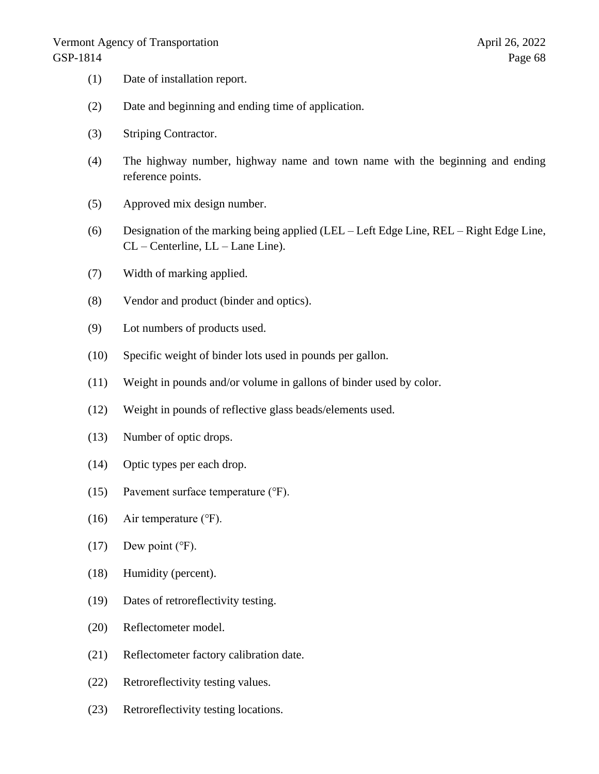- (1) Date of installation report.
- (2) Date and beginning and ending time of application.
- (3) Striping Contractor.
- (4) The highway number, highway name and town name with the beginning and ending reference points.
- (5) Approved mix design number.
- (6) Designation of the marking being applied (LEL Left Edge Line, REL Right Edge Line, CL – Centerline, LL – Lane Line).
- (7) Width of marking applied.
- (8) Vendor and product (binder and optics).
- (9) Lot numbers of products used.
- (10) Specific weight of binder lots used in pounds per gallon.
- (11) Weight in pounds and/or volume in gallons of binder used by color.
- (12) Weight in pounds of reflective glass beads/elements used.
- (13) Number of optic drops.
- (14) Optic types per each drop.
- (15) Pavement surface temperature (℉).
- (16) Air temperature  $(°F)$ .
- $(17)$  Dew point ( $\degree$ F).
- (18) Humidity (percent).
- (19) Dates of retroreflectivity testing.
- (20) Reflectometer model.
- (21) Reflectometer factory calibration date.
- (22) Retroreflectivity testing values.
- (23) Retroreflectivity testing locations.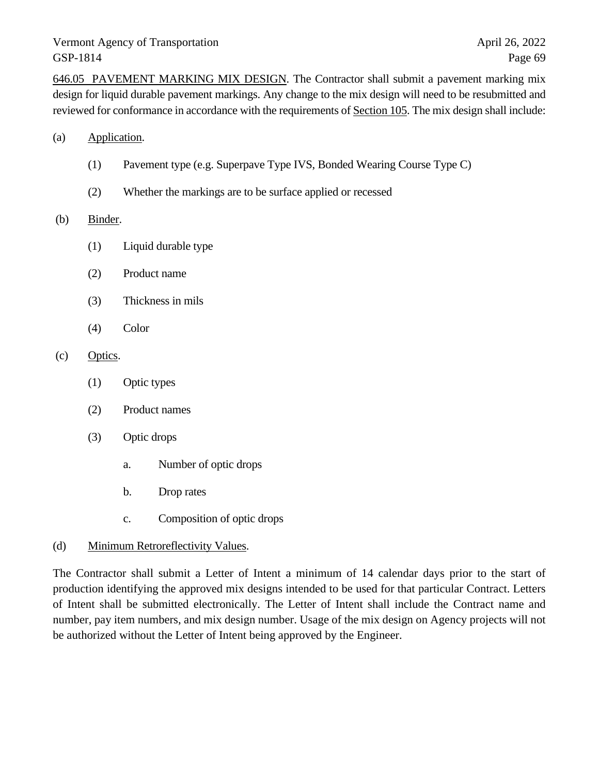646.05 PAVEMENT MARKING MIX DESIGN. The Contractor shall submit a pavement marking mix design for liquid durable pavement markings. Any change to the mix design will need to be resubmitted and reviewed for conformance in accordance with the requirements of Section 105. The mix design shall include:

- (a) Application.
	- (1) Pavement type (e.g. Superpave Type IVS, Bonded Wearing Course Type C)
	- (2) Whether the markings are to be surface applied or recessed

#### (b) Binder.

- (1) Liquid durable type
- (2) Product name
- (3) Thickness in mils
- (4) Color

### (c) Optics.

- (1) Optic types
- (2) Product names
- (3) Optic drops
	- a. Number of optic drops
	- b. Drop rates
	- c. Composition of optic drops

#### (d) Minimum Retroreflectivity Values.

The Contractor shall submit a Letter of Intent a minimum of 14 calendar days prior to the start of production identifying the approved mix designs intended to be used for that particular Contract. Letters of Intent shall be submitted electronically. The Letter of Intent shall include the Contract name and number, pay item numbers, and mix design number. Usage of the mix design on Agency projects will not be authorized without the Letter of Intent being approved by the Engineer.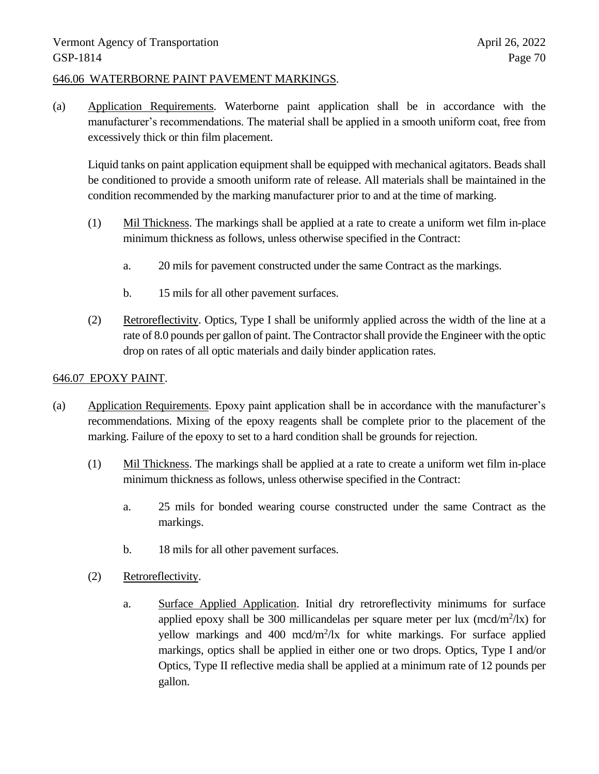## 646.06 WATERBORNE PAINT PAVEMENT MARKINGS.

(a) Application Requirements. Waterborne paint application shall be in accordance with the manufacturer's recommendations. The material shall be applied in a smooth uniform coat, free from excessively thick or thin film placement.

Liquid tanks on paint application equipment shall be equipped with mechanical agitators. Beads shall be conditioned to provide a smooth uniform rate of release. All materials shall be maintained in the condition recommended by the marking manufacturer prior to and at the time of marking.

- (1) Mil Thickness. The markings shall be applied at a rate to create a uniform wet film in-place minimum thickness as follows, unless otherwise specified in the Contract:
	- a. 20 mils for pavement constructed under the same Contract as the markings.
	- b. 15 mils for all other pavement surfaces.
- (2) Retroreflectivity. Optics, Type I shall be uniformly applied across the width of the line at a rate of 8.0 pounds per gallon of paint. The Contractor shall provide the Engineer with the optic drop on rates of all optic materials and daily binder application rates.

## 646.07 EPOXY PAINT.

- (a) Application Requirements. Epoxy paint application shall be in accordance with the manufacturer's recommendations. Mixing of the epoxy reagents shall be complete prior to the placement of the marking. Failure of the epoxy to set to a hard condition shall be grounds for rejection.
	- (1) Mil Thickness. The markings shall be applied at a rate to create a uniform wet film in-place minimum thickness as follows, unless otherwise specified in the Contract:
		- a. 25 mils for bonded wearing course constructed under the same Contract as the markings.
		- b. 18 mils for all other pavement surfaces.
	- (2) Retroreflectivity.
		- a. Surface Applied Application. Initial dry retroreflectivity minimums for surface applied epoxy shall be 300 millicandelas per square meter per lux  $(mcd/m^2/lx)$  for yellow markings and 400 mcd/m<sup>2</sup>/lx for white markings. For surface applied markings, optics shall be applied in either one or two drops. Optics, Type I and/or Optics, Type II reflective media shall be applied at a minimum rate of 12 pounds per gallon.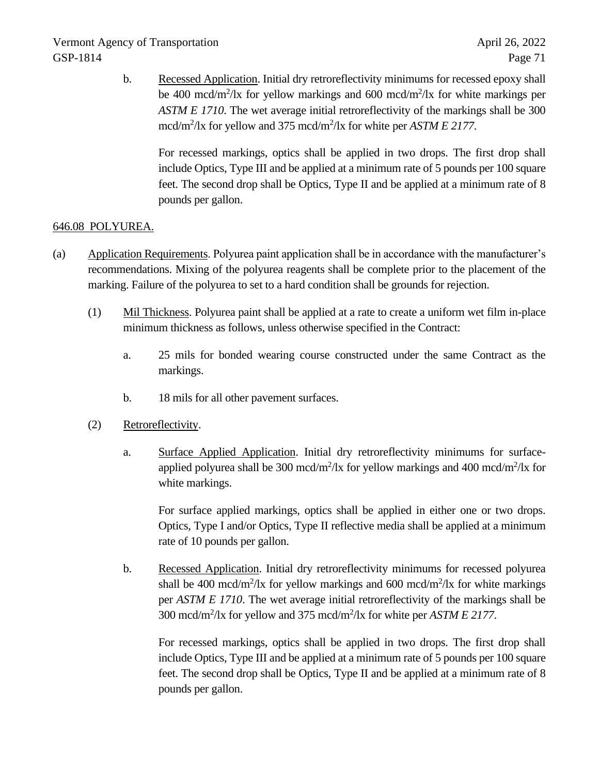b. Recessed Application. Initial dry retroreflectivity minimums for recessed epoxy shall be 400 mcd/m<sup>2</sup>/lx for yellow markings and 600 mcd/m<sup>2</sup>/lx for white markings per *ASTM E 1710*. The wet average initial retroreflectivity of the markings shall be 300 mcd/m<sup>2</sup>/lx for yellow and 375 mcd/m<sup>2</sup>/lx for white per *ASTM E 2177*.

For recessed markings, optics shall be applied in two drops. The first drop shall include Optics, Type III and be applied at a minimum rate of 5 pounds per 100 square feet. The second drop shall be Optics, Type II and be applied at a minimum rate of 8 pounds per gallon.

# 646.08 POLYUREA.

- (a) Application Requirements. Polyurea paint application shall be in accordance with the manufacturer's recommendations. Mixing of the polyurea reagents shall be complete prior to the placement of the marking. Failure of the polyurea to set to a hard condition shall be grounds for rejection.
	- (1) Mil Thickness. Polyurea paint shall be applied at a rate to create a uniform wet film in-place minimum thickness as follows, unless otherwise specified in the Contract:
		- a. 25 mils for bonded wearing course constructed under the same Contract as the markings.
		- b. 18 mils for all other pavement surfaces.
	- (2) Retroreflectivity.
		- a. Surface Applied Application. Initial dry retroreflectivity minimums for surfaceapplied polyurea shall be 300 mcd/m<sup>2</sup>/lx for yellow markings and 400 mcd/m<sup>2</sup>/lx for white markings.

For surface applied markings, optics shall be applied in either one or two drops. Optics, Type I and/or Optics, Type II reflective media shall be applied at a minimum rate of 10 pounds per gallon.

b. Recessed Application. Initial dry retroreflectivity minimums for recessed polyurea shall be 400 mcd/m<sup>2</sup>/lx for yellow markings and 600 mcd/m<sup>2</sup>/lx for white markings per *ASTM E 1710*. The wet average initial retroreflectivity of the markings shall be 300 mcd/m<sup>2</sup> /lx for yellow and 375 mcd/m<sup>2</sup> /lx for white per *ASTM E 2177*.

For recessed markings, optics shall be applied in two drops. The first drop shall include Optics, Type III and be applied at a minimum rate of 5 pounds per 100 square feet. The second drop shall be Optics, Type II and be applied at a minimum rate of 8 pounds per gallon.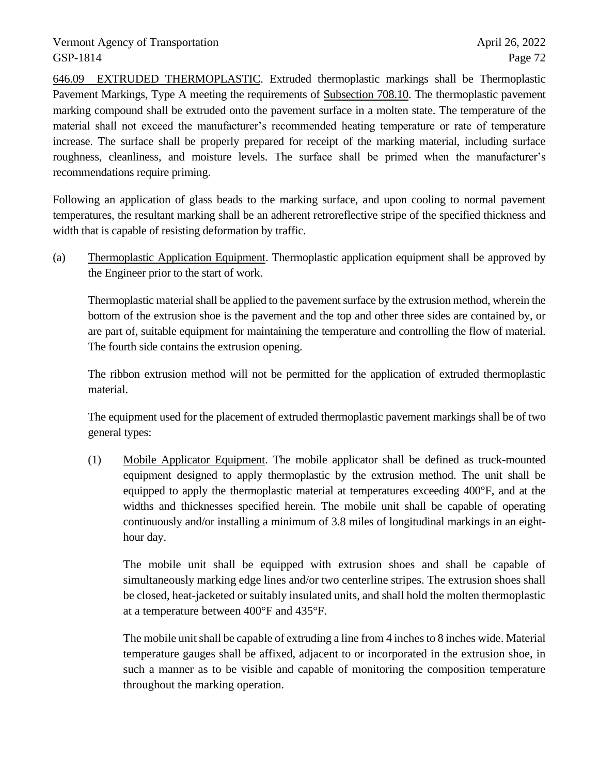646.09 EXTRUDED THERMOPLASTIC. Extruded thermoplastic markings shall be Thermoplastic Pavement Markings, Type A meeting the requirements of Subsection 708.10. The thermoplastic pavement marking compound shall be extruded onto the pavement surface in a molten state. The temperature of the material shall not exceed the manufacturer's recommended heating temperature or rate of temperature increase. The surface shall be properly prepared for receipt of the marking material, including surface roughness, cleanliness, and moisture levels. The surface shall be primed when the manufacturer's recommendations require priming.

Following an application of glass beads to the marking surface, and upon cooling to normal pavement temperatures, the resultant marking shall be an adherent retroreflective stripe of the specified thickness and width that is capable of resisting deformation by traffic.

(a) Thermoplastic Application Equipment. Thermoplastic application equipment shall be approved by the Engineer prior to the start of work.

Thermoplastic material shall be applied to the pavement surface by the extrusion method, wherein the bottom of the extrusion shoe is the pavement and the top and other three sides are contained by, or are part of, suitable equipment for maintaining the temperature and controlling the flow of material. The fourth side contains the extrusion opening.

The ribbon extrusion method will not be permitted for the application of extruded thermoplastic material.

The equipment used for the placement of extruded thermoplastic pavement markings shall be of two general types:

(1) Mobile Applicator Equipment. The mobile applicator shall be defined as truck-mounted equipment designed to apply thermoplastic by the extrusion method. The unit shall be equipped to apply the thermoplastic material at temperatures exceeding 400°F, and at the widths and thicknesses specified herein. The mobile unit shall be capable of operating continuously and/or installing a minimum of 3.8 miles of longitudinal markings in an eighthour day.

The mobile unit shall be equipped with extrusion shoes and shall be capable of simultaneously marking edge lines and/or two centerline stripes. The extrusion shoes shall be closed, heat-jacketed or suitably insulated units, and shall hold the molten thermoplastic at a temperature between 400°F and 435°F.

The mobile unit shall be capable of extruding a line from 4 inches to 8 inches wide. Material temperature gauges shall be affixed, adjacent to or incorporated in the extrusion shoe, in such a manner as to be visible and capable of monitoring the composition temperature throughout the marking operation.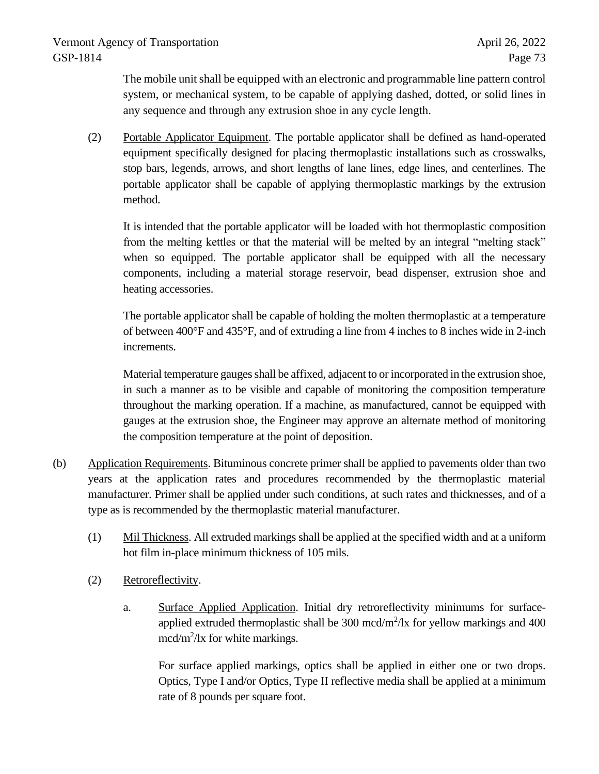The mobile unit shall be equipped with an electronic and programmable line pattern control system, or mechanical system, to be capable of applying dashed, dotted, or solid lines in any sequence and through any extrusion shoe in any cycle length.

(2) Portable Applicator Equipment. The portable applicator shall be defined as hand-operated equipment specifically designed for placing thermoplastic installations such as crosswalks, stop bars, legends, arrows, and short lengths of lane lines, edge lines, and centerlines. The portable applicator shall be capable of applying thermoplastic markings by the extrusion method.

It is intended that the portable applicator will be loaded with hot thermoplastic composition from the melting kettles or that the material will be melted by an integral "melting stack" when so equipped. The portable applicator shall be equipped with all the necessary components, including a material storage reservoir, bead dispenser, extrusion shoe and heating accessories.

The portable applicator shall be capable of holding the molten thermoplastic at a temperature of between 400°F and 435°F, and of extruding a line from 4 inches to 8 inches wide in 2-inch increments.

Material temperature gauges shall be affixed, adjacent to or incorporated in the extrusion shoe, in such a manner as to be visible and capable of monitoring the composition temperature throughout the marking operation. If a machine, as manufactured, cannot be equipped with gauges at the extrusion shoe, the Engineer may approve an alternate method of monitoring the composition temperature at the point of deposition.

- (b) Application Requirements. Bituminous concrete primer shall be applied to pavements older than two years at the application rates and procedures recommended by the thermoplastic material manufacturer. Primer shall be applied under such conditions, at such rates and thicknesses, and of a type as is recommended by the thermoplastic material manufacturer.
	- (1) Mil Thickness. All extruded markings shall be applied at the specified width and at a uniform hot film in-place minimum thickness of 105 mils.
	- (2) Retroreflectivity.
		- a. Surface Applied Application. Initial dry retroreflectivity minimums for surfaceapplied extruded thermoplastic shall be  $300 \text{ mod/m}^2/\text{lx}$  for yellow markings and  $400$ mcd/m<sup>2</sup>/lx for white markings.

For surface applied markings, optics shall be applied in either one or two drops. Optics, Type I and/or Optics, Type II reflective media shall be applied at a minimum rate of 8 pounds per square foot.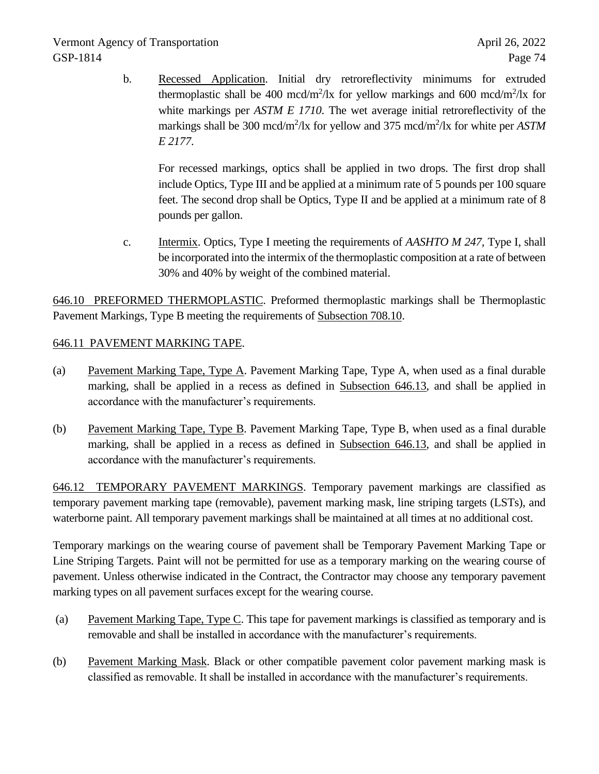b. Recessed Application. Initial dry retroreflectivity minimums for extruded thermoplastic shall be 400 mcd/m<sup>2</sup>/lx for yellow markings and 600 mcd/m<sup>2</sup>/lx for white markings per *ASTM E 1710*. The wet average initial retroreflectivity of the markings shall be 300 mcd/m<sup>2</sup>/lx for yellow and 375 mcd/m<sup>2</sup>/lx for white per *ASTM E 2177*.

For recessed markings, optics shall be applied in two drops. The first drop shall include Optics, Type III and be applied at a minimum rate of 5 pounds per 100 square feet. The second drop shall be Optics, Type II and be applied at a minimum rate of 8 pounds per gallon.

c. Intermix. Optics, Type I meeting the requirements of *AASHTO M 247,* Type I, shall be incorporated into the intermix of the thermoplastic composition at a rate of between 30% and 40% by weight of the combined material.

646.10 PREFORMED THERMOPLASTIC. Preformed thermoplastic markings shall be Thermoplastic Pavement Markings, Type B meeting the requirements of Subsection 708.10.

# 646.11 PAVEMENT MARKING TAPE.

- (a) Pavement Marking Tape, Type A. Pavement Marking Tape, Type A, when used as a final durable marking, shall be applied in a recess as defined in Subsection 646.13, and shall be applied in accordance with the manufacturer's requirements.
- (b) Pavement Marking Tape, Type B. Pavement Marking Tape, Type B, when used as a final durable marking, shall be applied in a recess as defined in Subsection 646.13, and shall be applied in accordance with the manufacturer's requirements.

646.12 TEMPORARY PAVEMENT MARKINGS. Temporary pavement markings are classified as temporary pavement marking tape (removable), pavement marking mask, line striping targets (LSTs), and waterborne paint. All temporary pavement markings shall be maintained at all times at no additional cost.

Temporary markings on the wearing course of pavement shall be Temporary Pavement Marking Tape or Line Striping Targets. Paint will not be permitted for use as a temporary marking on the wearing course of pavement. Unless otherwise indicated in the Contract, the Contractor may choose any temporary pavement marking types on all pavement surfaces except for the wearing course.

- (a) Pavement Marking Tape, Type C. This tape for pavement markings is classified as temporary and is removable and shall be installed in accordance with the manufacturer's requirements.
- (b) Pavement Marking Mask. Black or other compatible pavement color pavement marking mask is classified as removable. It shall be installed in accordance with the manufacturer's requirements.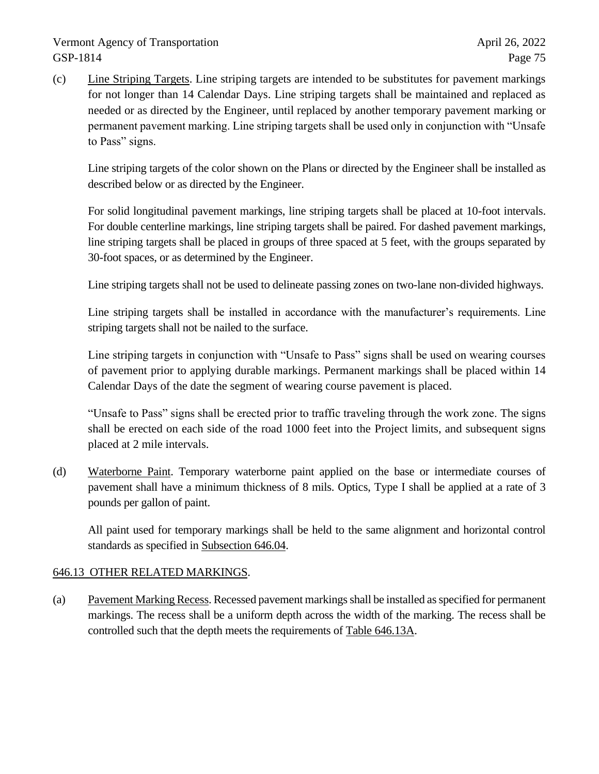(c) Line Striping Targets. Line striping targets are intended to be substitutes for pavement markings for not longer than 14 Calendar Days. Line striping targets shall be maintained and replaced as needed or as directed by the Engineer, until replaced by another temporary pavement marking or permanent pavement marking. Line striping targets shall be used only in conjunction with "Unsafe to Pass" signs.

Line striping targets of the color shown on the Plans or directed by the Engineer shall be installed as described below or as directed by the Engineer.

For solid longitudinal pavement markings, line striping targets shall be placed at 10-foot intervals. For double centerline markings, line striping targets shall be paired. For dashed pavement markings, line striping targets shall be placed in groups of three spaced at 5 feet, with the groups separated by 30-foot spaces, or as determined by the Engineer.

Line striping targets shall not be used to delineate passing zones on two-lane non-divided highways.

Line striping targets shall be installed in accordance with the manufacturer's requirements. Line striping targets shall not be nailed to the surface.

Line striping targets in conjunction with "Unsafe to Pass" signs shall be used on wearing courses of pavement prior to applying durable markings. Permanent markings shall be placed within 14 Calendar Days of the date the segment of wearing course pavement is placed.

"Unsafe to Pass" signs shall be erected prior to traffic traveling through the work zone. The signs shall be erected on each side of the road 1000 feet into the Project limits, and subsequent signs placed at 2 mile intervals.

(d) Waterborne Paint. Temporary waterborne paint applied on the base or intermediate courses of pavement shall have a minimum thickness of 8 mils. Optics, Type I shall be applied at a rate of 3 pounds per gallon of paint.

All paint used for temporary markings shall be held to the same alignment and horizontal control standards as specified in Subsection 646.04.

# 646.13 OTHER RELATED MARKINGS.

(a) Pavement Marking Recess. Recessed pavement markings shall be installed as specified for permanent markings. The recess shall be a uniform depth across the width of the marking. The recess shall be controlled such that the depth meets the requirements of Table 646.13A.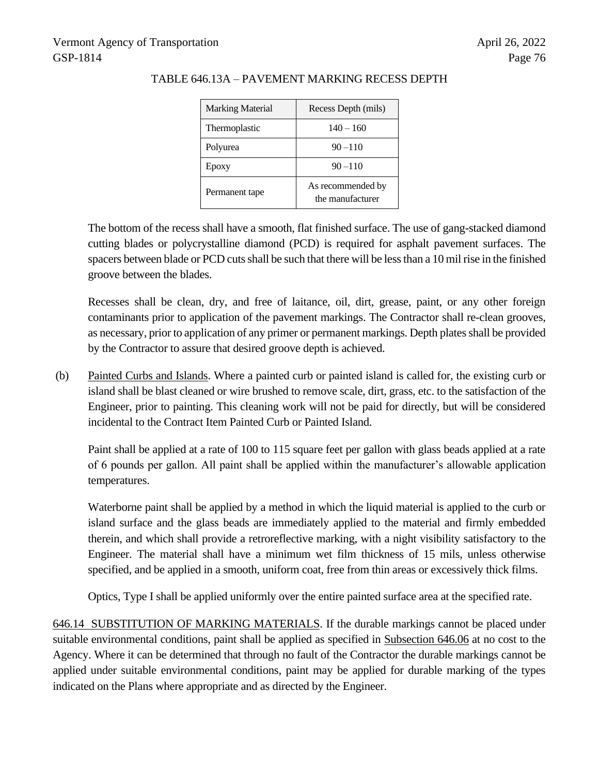| Marking Material | Recess Depth (mils)                   |  |  |
|------------------|---------------------------------------|--|--|
| Thermoplastic    | $140 - 160$                           |  |  |
| Polyurea         | $90 - 110$                            |  |  |
| Epoxy            | $90 - 110$                            |  |  |
| Permanent tape   | As recommended by<br>the manufacturer |  |  |

#### TABLE 646.13A – PAVEMENT MARKING RECESS DEPTH

The bottom of the recess shall have a smooth, flat finished surface. The use of gang-stacked diamond cutting blades or polycrystalline diamond (PCD) is required for asphalt pavement surfaces. The spacers between blade or PCD cuts shall be such that there will be less than a 10 mil rise in the finished groove between the blades.

Recesses shall be clean, dry, and free of laitance, oil, dirt, grease, paint, or any other foreign contaminants prior to application of the pavement markings. The Contractor shall re-clean grooves, as necessary, prior to application of any primer or permanent markings. Depth plates shall be provided by the Contractor to assure that desired groove depth is achieved.

(b) Painted Curbs and Islands. Where a painted curb or painted island is called for, the existing curb or island shall be blast cleaned or wire brushed to remove scale, dirt, grass, etc. to the satisfaction of the Engineer, prior to painting. This cleaning work will not be paid for directly, but will be considered incidental to the Contract Item Painted Curb or Painted Island.

Paint shall be applied at a rate of 100 to 115 square feet per gallon with glass beads applied at a rate of 6 pounds per gallon. All paint shall be applied within the manufacturer's allowable application temperatures.

Waterborne paint shall be applied by a method in which the liquid material is applied to the curb or island surface and the glass beads are immediately applied to the material and firmly embedded therein, and which shall provide a retroreflective marking, with a night visibility satisfactory to the Engineer. The material shall have a minimum wet film thickness of 15 mils, unless otherwise specified, and be applied in a smooth, uniform coat, free from thin areas or excessively thick films.

Optics, Type I shall be applied uniformly over the entire painted surface area at the specified rate.

646.14 SUBSTITUTION OF MARKING MATERIALS. If the durable markings cannot be placed under suitable environmental conditions, paint shall be applied as specified in Subsection 646.06 at no cost to the Agency. Where it can be determined that through no fault of the Contractor the durable markings cannot be applied under suitable environmental conditions, paint may be applied for durable marking of the types indicated on the Plans where appropriate and as directed by the Engineer.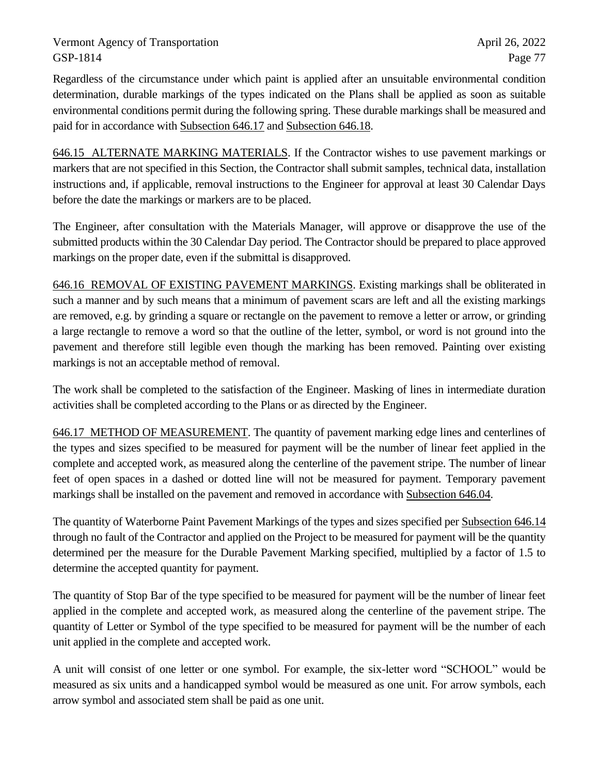Regardless of the circumstance under which paint is applied after an unsuitable environmental condition determination, durable markings of the types indicated on the Plans shall be applied as soon as suitable environmental conditions permit during the following spring. These durable markings shall be measured and paid for in accordance with Subsection 646.17 and Subsection 646.18.

646.15 ALTERNATE MARKING MATERIALS. If the Contractor wishes to use pavement markings or markers that are not specified in this Section, the Contractor shall submit samples, technical data, installation instructions and, if applicable, removal instructions to the Engineer for approval at least 30 Calendar Days before the date the markings or markers are to be placed.

The Engineer, after consultation with the Materials Manager, will approve or disapprove the use of the submitted products within the 30 Calendar Day period. The Contractor should be prepared to place approved markings on the proper date, even if the submittal is disapproved.

646.16 REMOVAL OF EXISTING PAVEMENT MARKINGS. Existing markings shall be obliterated in such a manner and by such means that a minimum of pavement scars are left and all the existing markings are removed, e.g. by grinding a square or rectangle on the pavement to remove a letter or arrow, or grinding a large rectangle to remove a word so that the outline of the letter, symbol, or word is not ground into the pavement and therefore still legible even though the marking has been removed. Painting over existing markings is not an acceptable method of removal.

The work shall be completed to the satisfaction of the Engineer. Masking of lines in intermediate duration activities shall be completed according to the Plans or as directed by the Engineer.

646.17 METHOD OF MEASUREMENT. The quantity of pavement marking edge lines and centerlines of the types and sizes specified to be measured for payment will be the number of linear feet applied in the complete and accepted work, as measured along the centerline of the pavement stripe. The number of linear feet of open spaces in a dashed or dotted line will not be measured for payment. Temporary pavement markings shall be installed on the pavement and removed in accordance with Subsection 646.04.

The quantity of Waterborne Paint Pavement Markings of the types and sizes specified per Subsection 646.14 through no fault of the Contractor and applied on the Project to be measured for payment will be the quantity determined per the measure for the Durable Pavement Marking specified, multiplied by a factor of 1.5 to determine the accepted quantity for payment.

The quantity of Stop Bar of the type specified to be measured for payment will be the number of linear feet applied in the complete and accepted work, as measured along the centerline of the pavement stripe. The quantity of Letter or Symbol of the type specified to be measured for payment will be the number of each unit applied in the complete and accepted work.

A unit will consist of one letter or one symbol. For example, the six-letter word "SCHOOL" would be measured as six units and a handicapped symbol would be measured as one unit. For arrow symbols, each arrow symbol and associated stem shall be paid as one unit.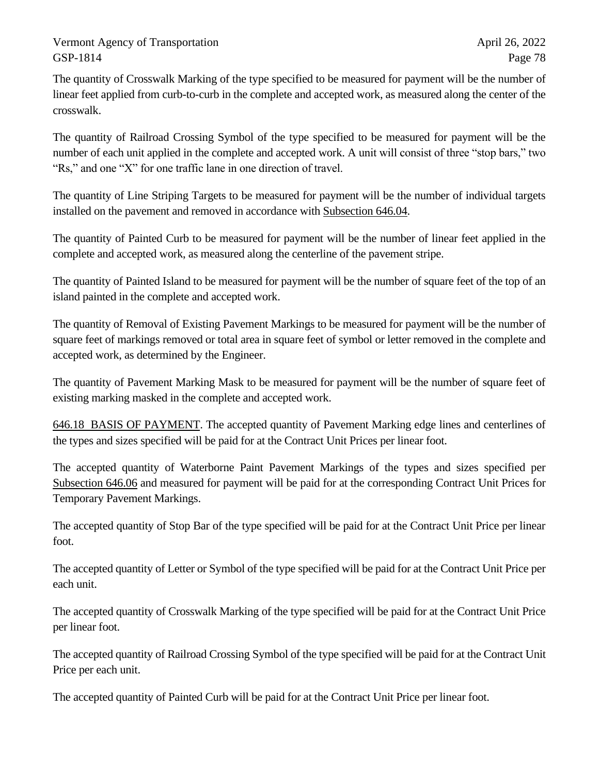The quantity of Crosswalk Marking of the type specified to be measured for payment will be the number of linear feet applied from curb-to-curb in the complete and accepted work, as measured along the center of the crosswalk.

The quantity of Railroad Crossing Symbol of the type specified to be measured for payment will be the number of each unit applied in the complete and accepted work. A unit will consist of three "stop bars," two "Rs," and one "X" for one traffic lane in one direction of travel.

The quantity of Line Striping Targets to be measured for payment will be the number of individual targets installed on the pavement and removed in accordance with Subsection 646.04.

The quantity of Painted Curb to be measured for payment will be the number of linear feet applied in the complete and accepted work, as measured along the centerline of the pavement stripe.

The quantity of Painted Island to be measured for payment will be the number of square feet of the top of an island painted in the complete and accepted work.

The quantity of Removal of Existing Pavement Markings to be measured for payment will be the number of square feet of markings removed or total area in square feet of symbol or letter removed in the complete and accepted work, as determined by the Engineer.

The quantity of Pavement Marking Mask to be measured for payment will be the number of square feet of existing marking masked in the complete and accepted work.

646.18 BASIS OF PAYMENT. The accepted quantity of Pavement Marking edge lines and centerlines of the types and sizes specified will be paid for at the Contract Unit Prices per linear foot.

The accepted quantity of Waterborne Paint Pavement Markings of the types and sizes specified per Subsection 646.06 and measured for payment will be paid for at the corresponding Contract Unit Prices for Temporary Pavement Markings.

The accepted quantity of Stop Bar of the type specified will be paid for at the Contract Unit Price per linear foot.

The accepted quantity of Letter or Symbol of the type specified will be paid for at the Contract Unit Price per each unit.

The accepted quantity of Crosswalk Marking of the type specified will be paid for at the Contract Unit Price per linear foot.

The accepted quantity of Railroad Crossing Symbol of the type specified will be paid for at the Contract Unit Price per each unit.

The accepted quantity of Painted Curb will be paid for at the Contract Unit Price per linear foot.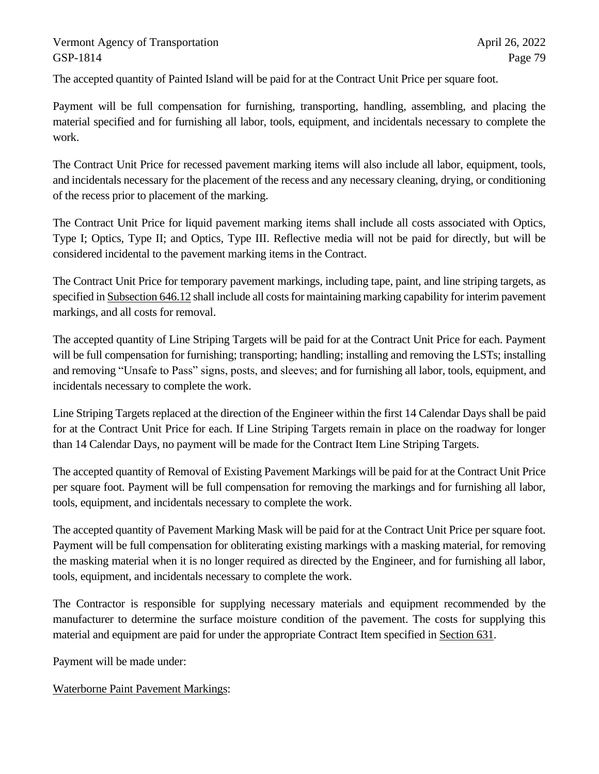The accepted quantity of Painted Island will be paid for at the Contract Unit Price per square foot.

Payment will be full compensation for furnishing, transporting, handling, assembling, and placing the material specified and for furnishing all labor, tools, equipment, and incidentals necessary to complete the work.

The Contract Unit Price for recessed pavement marking items will also include all labor, equipment, tools, and incidentals necessary for the placement of the recess and any necessary cleaning, drying, or conditioning of the recess prior to placement of the marking.

The Contract Unit Price for liquid pavement marking items shall include all costs associated with Optics, Type I; Optics, Type II; and Optics, Type III. Reflective media will not be paid for directly, but will be considered incidental to the pavement marking items in the Contract.

The Contract Unit Price for temporary pavement markings, including tape, paint, and line striping targets, as specified in Subsection 646.12 shall include all costs for maintaining marking capability for interim pavement markings, and all costs for removal.

The accepted quantity of Line Striping Targets will be paid for at the Contract Unit Price for each. Payment will be full compensation for furnishing; transporting; handling; installing and removing the LSTs; installing and removing "Unsafe to Pass" signs, posts, and sleeves; and for furnishing all labor, tools, equipment, and incidentals necessary to complete the work.

Line Striping Targets replaced at the direction of the Engineer within the first 14 Calendar Days shall be paid for at the Contract Unit Price for each. If Line Striping Targets remain in place on the roadway for longer than 14 Calendar Days, no payment will be made for the Contract Item Line Striping Targets.

The accepted quantity of Removal of Existing Pavement Markings will be paid for at the Contract Unit Price per square foot. Payment will be full compensation for removing the markings and for furnishing all labor, tools, equipment, and incidentals necessary to complete the work.

The accepted quantity of Pavement Marking Mask will be paid for at the Contract Unit Price per square foot. Payment will be full compensation for obliterating existing markings with a masking material, for removing the masking material when it is no longer required as directed by the Engineer, and for furnishing all labor, tools, equipment, and incidentals necessary to complete the work.

The Contractor is responsible for supplying necessary materials and equipment recommended by the manufacturer to determine the surface moisture condition of the pavement. The costs for supplying this material and equipment are paid for under the appropriate Contract Item specified in Section 631.

Payment will be made under:

Waterborne Paint Pavement Markings: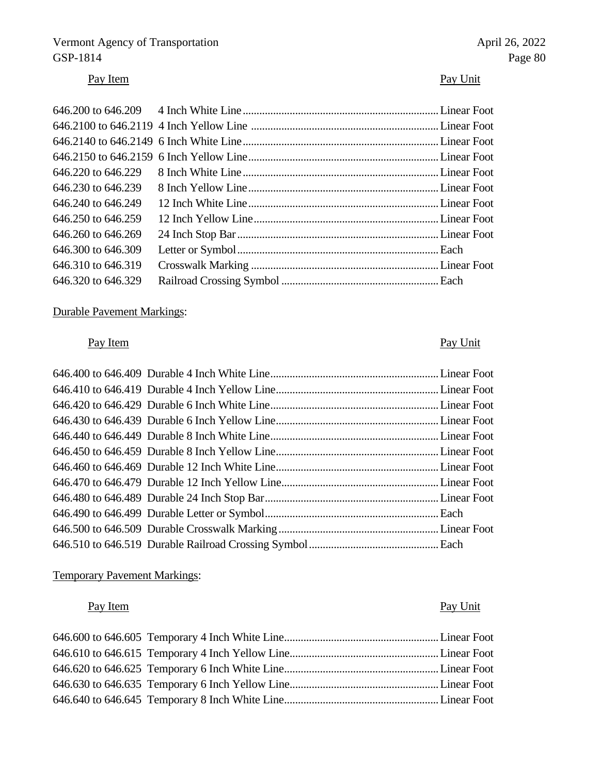# Vermont Agency of Transportation April 26, 2022<br>
GSP-1814 Page 80 GSP-1814 Page 80

# Pay Item Pay Unit

| $646.220$ to $646.229$ |  |
|------------------------|--|
| 646,230 to 646,239     |  |
| 646,240 to 646,249     |  |
| 646.250 to 646.259     |  |
| 646.260 to 646.269     |  |
| 646.300 to 646.309     |  |
| 646.310 to 646.319     |  |
| 646.320 to 646.329     |  |

# Durable Pavement Markings:

# Pay Item Pay Unit

## Temporary Pavement Markings:

# Pay Item Pay Unit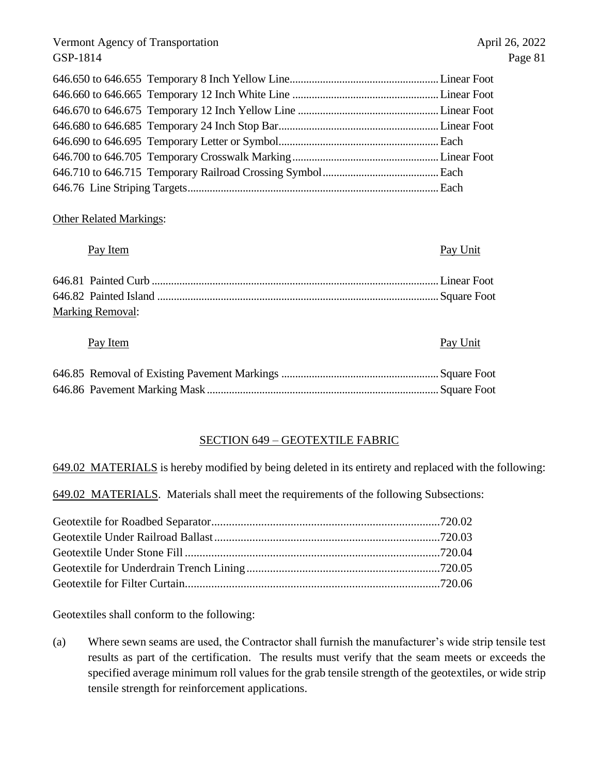#### Other Related Markings:

### Pay Item Pay Unit

| <b>Marking Removal:</b> |  |
|-------------------------|--|

#### Pay Item Pay Unit

#### SECTION 649 – GEOTEXTILE FABRIC

649.02 MATERIALS is hereby modified by being deleted in its entirety and replaced with the following:

649.02 MATERIALS. Materials shall meet the requirements of the following Subsections:

Geotextiles shall conform to the following:

(a) Where sewn seams are used, the Contractor shall furnish the manufacturer's wide strip tensile test results as part of the certification. The results must verify that the seam meets or exceeds the specified average minimum roll values for the grab tensile strength of the geotextiles, or wide strip tensile strength for reinforcement applications.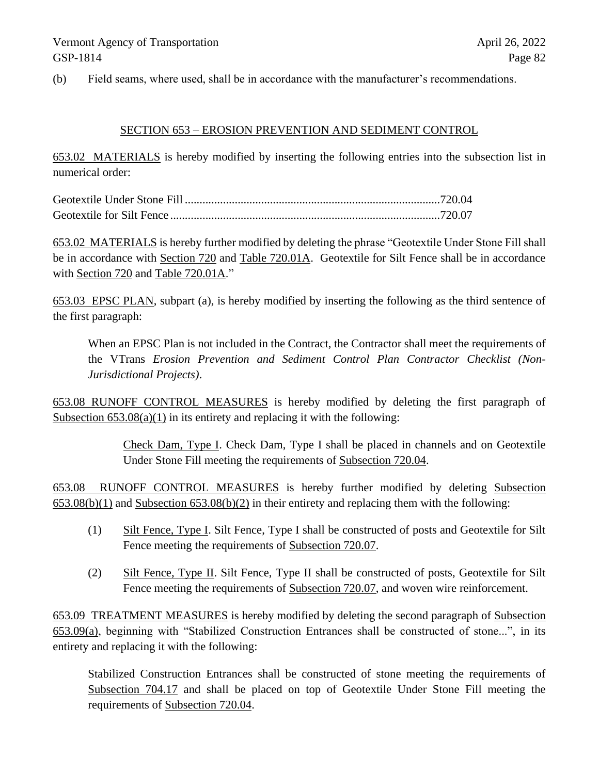(b) Field seams, where used, shall be in accordance with the manufacturer's recommendations.

#### SECTION 653 – EROSION PREVENTION AND SEDIMENT CONTROL

653.02 MATERIALS is hereby modified by inserting the following entries into the subsection list in numerical order:

653.02 MATERIALS is hereby further modified by deleting the phrase "Geotextile Under Stone Fill shall be in accordance with Section 720 and Table 720.01A. Geotextile for Silt Fence shall be in accordance with Section 720 and Table 720.01A."

653.03 EPSC PLAN, subpart (a), is hereby modified by inserting the following as the third sentence of the first paragraph:

When an EPSC Plan is not included in the Contract, the Contractor shall meet the requirements of the VTrans *Erosion Prevention and Sediment Control Plan Contractor Checklist (Non-Jurisdictional Projects)*.

653.08 RUNOFF CONTROL MEASURES is hereby modified by deleting the first paragraph of Subsection  $653.08(a)(1)$  in its entirety and replacing it with the following:

> Check Dam, Type I. Check Dam, Type I shall be placed in channels and on Geotextile Under Stone Fill meeting the requirements of Subsection 720.04.

653.08 RUNOFF CONTROL MEASURES is hereby further modified by deleting Subsection 653.08(b)(1) and Subsection 653.08(b)(2) in their entirety and replacing them with the following:

- (1) Silt Fence, Type I. Silt Fence, Type I shall be constructed of posts and Geotextile for Silt Fence meeting the requirements of Subsection 720.07.
- (2) Silt Fence, Type II. Silt Fence, Type II shall be constructed of posts, Geotextile for Silt Fence meeting the requirements of Subsection 720.07, and woven wire reinforcement.

653.09 TREATMENT MEASURES is hereby modified by deleting the second paragraph of Subsection 653.09(a), beginning with "Stabilized Construction Entrances shall be constructed of stone...", in its entirety and replacing it with the following:

Stabilized Construction Entrances shall be constructed of stone meeting the requirements of Subsection 704.17 and shall be placed on top of Geotextile Under Stone Fill meeting the requirements of Subsection 720.04.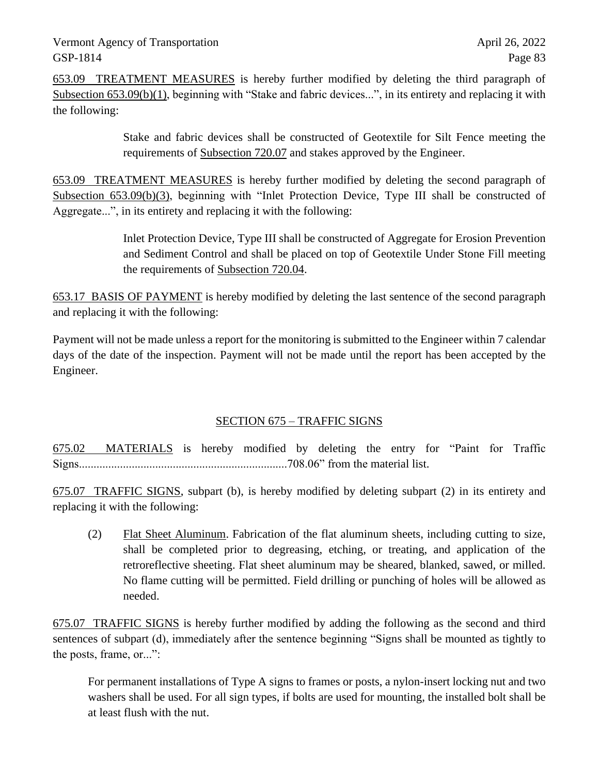653.09 TREATMENT MEASURES is hereby further modified by deleting the third paragraph of Subsection 653.09(b)(1), beginning with "Stake and fabric devices...", in its entirety and replacing it with the following:

> Stake and fabric devices shall be constructed of Geotextile for Silt Fence meeting the requirements of Subsection 720.07 and stakes approved by the Engineer.

653.09 TREATMENT MEASURES is hereby further modified by deleting the second paragraph of Subsection 653.09(b)(3), beginning with "Inlet Protection Device, Type III shall be constructed of Aggregate...", in its entirety and replacing it with the following:

> Inlet Protection Device, Type III shall be constructed of Aggregate for Erosion Prevention and Sediment Control and shall be placed on top of Geotextile Under Stone Fill meeting the requirements of Subsection 720.04.

653.17 BASIS OF PAYMENT is hereby modified by deleting the last sentence of the second paragraph and replacing it with the following:

Payment will not be made unless a report for the monitoring is submitted to the Engineer within 7 calendar days of the date of the inspection. Payment will not be made until the report has been accepted by the Engineer.

### SECTION 675 – TRAFFIC SIGNS

675.02 MATERIALS is hereby modified by deleting the entry for "Paint for Traffic Signs.......................................................................708.06" from the material list.

675.07 TRAFFIC SIGNS, subpart (b), is hereby modified by deleting subpart (2) in its entirety and replacing it with the following:

(2) Flat Sheet Aluminum. Fabrication of the flat aluminum sheets, including cutting to size, shall be completed prior to degreasing, etching, or treating, and application of the retroreflective sheeting. Flat sheet aluminum may be sheared, blanked, sawed, or milled. No flame cutting will be permitted. Field drilling or punching of holes will be allowed as needed.

675.07 TRAFFIC SIGNS is hereby further modified by adding the following as the second and third sentences of subpart (d), immediately after the sentence beginning "Signs shall be mounted as tightly to the posts, frame, or...":

For permanent installations of Type A signs to frames or posts, a nylon-insert locking nut and two washers shall be used. For all sign types, if bolts are used for mounting, the installed bolt shall be at least flush with the nut.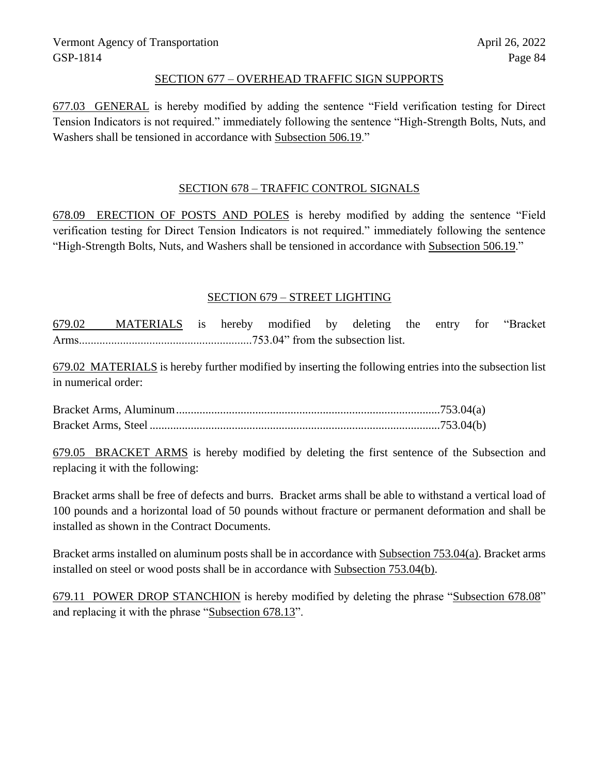#### SECTION 677 – OVERHEAD TRAFFIC SIGN SUPPORTS

677.03 GENERAL is hereby modified by adding the sentence "Field verification testing for Direct Tension Indicators is not required." immediately following the sentence "High-Strength Bolts, Nuts, and Washers shall be tensioned in accordance with Subsection 506.19."

#### SECTION 678 – TRAFFIC CONTROL SIGNALS

678.09 ERECTION OF POSTS AND POLES is hereby modified by adding the sentence "Field verification testing for Direct Tension Indicators is not required." immediately following the sentence "High-Strength Bolts, Nuts, and Washers shall be tensioned in accordance with Subsection 506.19."

#### SECTION 679 – STREET LIGHTING

679.02 MATERIALS is hereby modified by deleting the entry for "Bracket Arms...........................................................753.04" from the subsection list.

679.02 MATERIALS is hereby further modified by inserting the following entries into the subsection list in numerical order:

Bracket Arms, Aluminum..........................................................................................753.04(a) Bracket Arms, Steel ...................................................................................................753.04(b)

679.05 BRACKET ARMS is hereby modified by deleting the first sentence of the Subsection and replacing it with the following:

Bracket arms shall be free of defects and burrs. Bracket arms shall be able to withstand a vertical load of 100 pounds and a horizontal load of 50 pounds without fracture or permanent deformation and shall be installed as shown in the Contract Documents.

Bracket arms installed on aluminum posts shall be in accordance with Subsection 753.04(a). Bracket arms installed on steel or wood posts shall be in accordance with Subsection 753.04(b).

679.11 POWER DROP STANCHION is hereby modified by deleting the phrase "Subsection 678.08" and replacing it with the phrase "Subsection 678.13".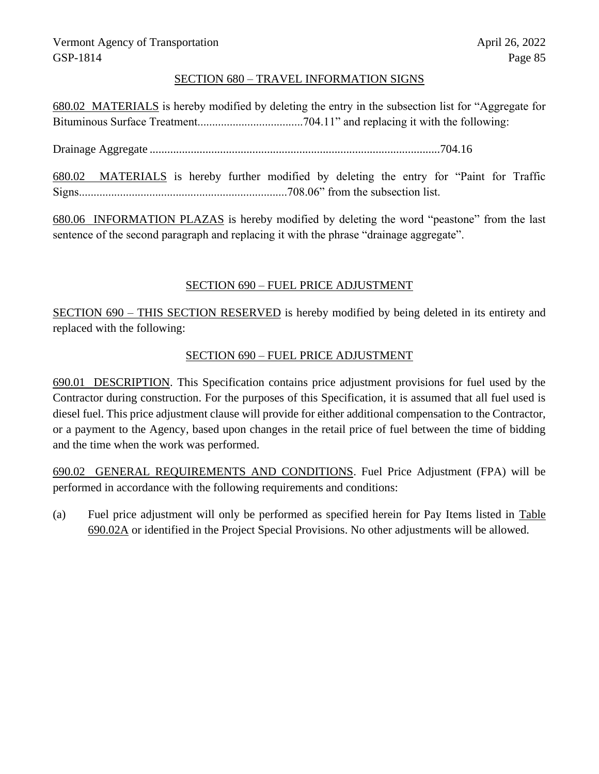#### SECTION 680 – TRAVEL INFORMATION SIGNS

680.02 MATERIALS is hereby modified by deleting the entry in the subsection list for "Aggregate for Bituminous Surface Treatment....................................704.11" and replacing it with the following:

Drainage Aggregate ...................................................................................................704.16

680.02 MATERIALS is hereby further modified by deleting the entry for "Paint for Traffic Signs.......................................................................708.06" from the subsection list.

680.06 INFORMATION PLAZAS is hereby modified by deleting the word "peastone" from the last sentence of the second paragraph and replacing it with the phrase "drainage aggregate".

#### SECTION 690 – FUEL PRICE ADJUSTMENT

SECTION 690 – THIS SECTION RESERVED is hereby modified by being deleted in its entirety and replaced with the following:

#### SECTION 690 – FUEL PRICE ADJUSTMENT

690.01 DESCRIPTION. This Specification contains price adjustment provisions for fuel used by the Contractor during construction. For the purposes of this Specification, it is assumed that all fuel used is diesel fuel. This price adjustment clause will provide for either additional compensation to the Contractor, or a payment to the Agency, based upon changes in the retail price of fuel between the time of bidding and the time when the work was performed.

690.02 GENERAL REQUIREMENTS AND CONDITIONS. Fuel Price Adjustment (FPA) will be performed in accordance with the following requirements and conditions:

(a) Fuel price adjustment will only be performed as specified herein for Pay Items listed in Table 690.02A or identified in the Project Special Provisions. No other adjustments will be allowed.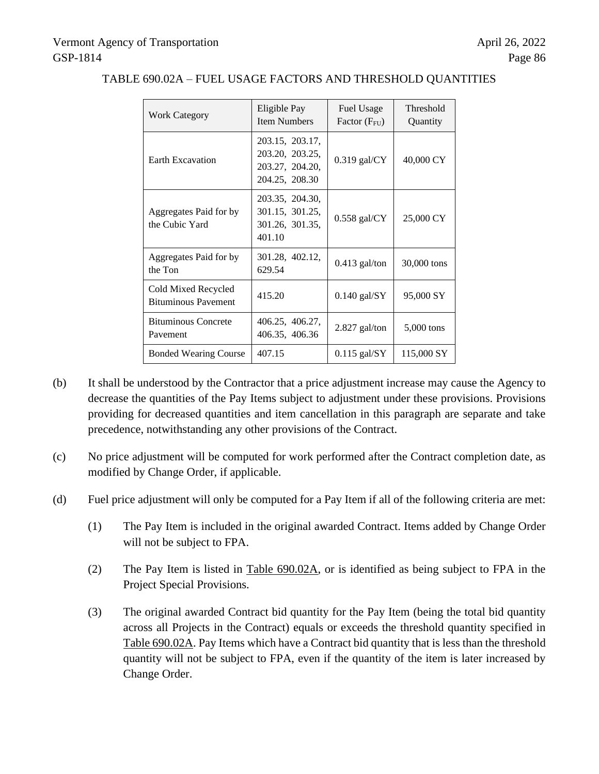| <b>Work Category</b>                              | Eligible Pay<br><b>Item Numbers</b>                                     | <b>Fuel Usage</b><br>Factor (F <sub>FU</sub> ) | Threshold<br>Quantity |
|---------------------------------------------------|-------------------------------------------------------------------------|------------------------------------------------|-----------------------|
| <b>Earth Excavation</b>                           | 203.15, 203.17,<br>203.20, 203.25,<br>203.27, 204.20,<br>204.25, 208.30 | $0.319$ gal/CY                                 | 40,000 CY             |
| Aggregates Paid for by<br>the Cubic Yard          | 203.35, 204.30,<br>301.15, 301.25,<br>301.26, 301.35,<br>401.10         | $0.558$ gal/CY                                 | 25,000 CY             |
| Aggregates Paid for by<br>the Ton                 | 301.28, 402.12,<br>629.54                                               | $0.413$ gal/ton                                | 30,000 tons           |
| Cold Mixed Recycled<br><b>Bituminous Pavement</b> | 415.20                                                                  | $0.140$ gal/SY                                 | 95,000 SY             |
| <b>Bituminous Concrete</b><br>Pavement            | 406.25, 406.27,<br>406.35, 406.36                                       | $2.827$ gal/ton                                | $5,000$ tons          |
| <b>Bonded Wearing Course</b>                      | 407.15                                                                  | $0.115$ gal/SY                                 | 115,000 SY            |

#### TABLE 690.02A – FUEL USAGE FACTORS AND THRESHOLD QUANTITIES

- (b) It shall be understood by the Contractor that a price adjustment increase may cause the Agency to decrease the quantities of the Pay Items subject to adjustment under these provisions. Provisions providing for decreased quantities and item cancellation in this paragraph are separate and take precedence, notwithstanding any other provisions of the Contract.
- (c) No price adjustment will be computed for work performed after the Contract completion date, as modified by Change Order, if applicable.
- (d) Fuel price adjustment will only be computed for a Pay Item if all of the following criteria are met:
	- (1) The Pay Item is included in the original awarded Contract. Items added by Change Order will not be subject to FPA.
	- (2) The Pay Item is listed in Table 690.02A, or is identified as being subject to FPA in the Project Special Provisions.
	- (3) The original awarded Contract bid quantity for the Pay Item (being the total bid quantity across all Projects in the Contract) equals or exceeds the threshold quantity specified in Table 690.02A. Pay Items which have a Contract bid quantity that is less than the threshold quantity will not be subject to FPA, even if the quantity of the item is later increased by Change Order.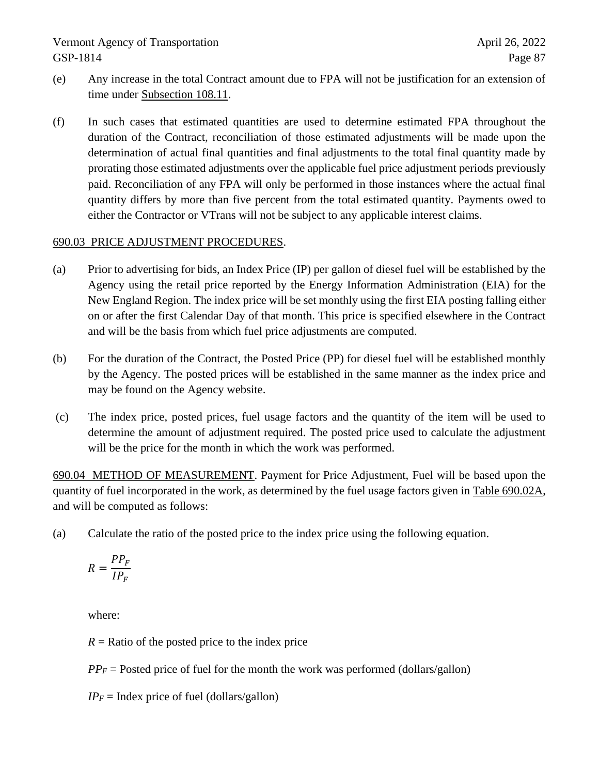- (e) Any increase in the total Contract amount due to FPA will not be justification for an extension of time under Subsection 108.11.
- (f) In such cases that estimated quantities are used to determine estimated FPA throughout the duration of the Contract, reconciliation of those estimated adjustments will be made upon the determination of actual final quantities and final adjustments to the total final quantity made by prorating those estimated adjustments over the applicable fuel price adjustment periods previously paid. Reconciliation of any FPA will only be performed in those instances where the actual final quantity differs by more than five percent from the total estimated quantity. Payments owed to either the Contractor or VTrans will not be subject to any applicable interest claims.

#### 690.03 PRICE ADJUSTMENT PROCEDURES.

- (a) Prior to advertising for bids, an Index Price (IP) per gallon of diesel fuel will be established by the Agency using the retail price reported by the Energy Information Administration (EIA) for the New England Region. The index price will be set monthly using the first EIA posting falling either on or after the first Calendar Day of that month. This price is specified elsewhere in the Contract and will be the basis from which fuel price adjustments are computed.
- (b) For the duration of the Contract, the Posted Price (PP) for diesel fuel will be established monthly by the Agency. The posted prices will be established in the same manner as the index price and may be found on the Agency website.
- (c) The index price, posted prices, fuel usage factors and the quantity of the item will be used to determine the amount of adjustment required. The posted price used to calculate the adjustment will be the price for the month in which the work was performed.

690.04 METHOD OF MEASUREMENT. Payment for Price Adjustment, Fuel will be based upon the quantity of fuel incorporated in the work, as determined by the fuel usage factors given in Table 690.02A, and will be computed as follows:

(a) Calculate the ratio of the posted price to the index price using the following equation.

$$
R = \frac{PP_F}{IP_F}
$$

where:

 $R =$ Ratio of the posted price to the index price

 $PP_F$  = Posted price of fuel for the month the work was performed (dollars/gallon)

 $IP_F$  = Index price of fuel (dollars/gallon)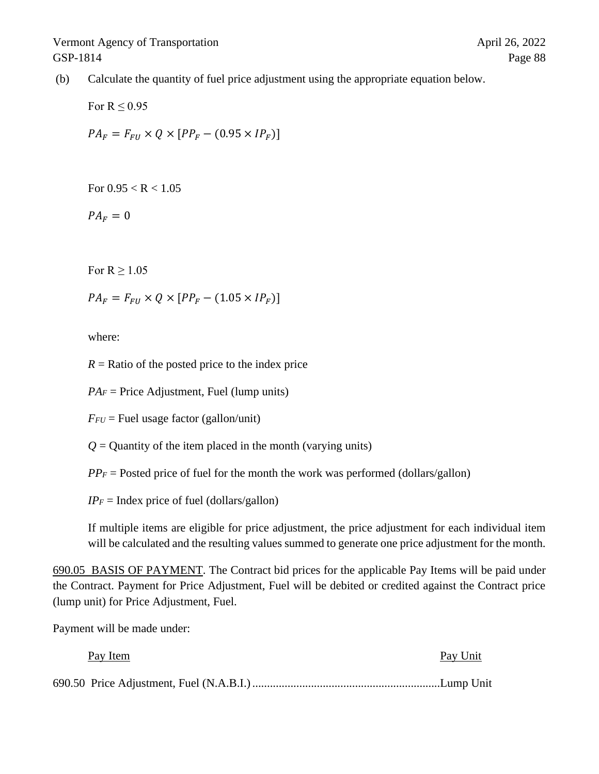(b) Calculate the quantity of fuel price adjustment using the appropriate equation below.

For  $R \leq 0.95$  $PA_F = F_{FI} \times Q \times [PP_F - (0.95 \times IP_F)]$ 

For  $0.95 < R < 1.05$ 

 $PA_F = 0$ 

For  $R > 1.05$ 

 $PA_F = F_{FI} \times Q \times [PP_F - (1.05 \times IP_F)]$ 

where:

 $R =$ Ratio of the posted price to the index price

 $PA<sub>F</sub>$  = Price Adjustment, Fuel (lump units)

 $F_{FU}$  = Fuel usage factor (gallon/unit)

 $Q =$  Quantity of the item placed in the month (varying units)

 $PP_F$  = Posted price of fuel for the month the work was performed (dollars/gallon)

 $IP_F$  = Index price of fuel (dollars/gallon)

If multiple items are eligible for price adjustment, the price adjustment for each individual item will be calculated and the resulting values summed to generate one price adjustment for the month.

690.05 BASIS OF PAYMENT. The Contract bid prices for the applicable Pay Items will be paid under the Contract. Payment for Price Adjustment, Fuel will be debited or credited against the Contract price (lump unit) for Price Adjustment, Fuel.

Payment will be made under:

| Pay Item | Pay Unit |
|----------|----------|
|          |          |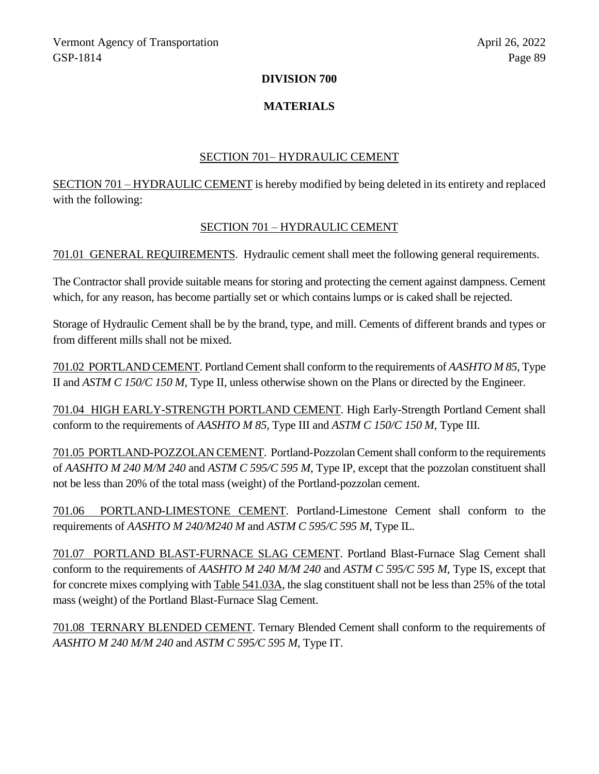#### **DIVISION 700**

#### **MATERIALS**

#### SECTION 701– HYDRAULIC CEMENT

SECTION 701 – HYDRAULIC CEMENT is hereby modified by being deleted in its entirety and replaced with the following:

#### SECTION 701 – HYDRAULIC CEMENT

701.01 GENERAL REQUIREMENTS. Hydraulic cement shall meet the following general requirements.

The Contractor shall provide suitable means for storing and protecting the cement against dampness. Cement which, for any reason, has become partially set or which contains lumps or is caked shall be rejected.

Storage of Hydraulic Cement shall be by the brand, type, and mill. Cements of different brands and types or from different mills shall not be mixed.

701.02 PORTLAND CEMENT. Portland Cement shall conform to the requirements of *AASHTO M 85*, Type II and *ASTM C 150/C 150 M,* Type II, unless otherwise shown on the Plans or directed by the Engineer.

701.04 HIGH EARLY-STRENGTH PORTLAND CEMENT. High Early-Strength Portland Cement shall conform to the requirements of *AASHTO M 85,* Type III and *ASTM C 150/C 150 M,* Type III*.*

701.05 PORTLAND-POZZOLAN CEMENT. Portland-Pozzolan Cement shall conform to the requirements of *AASHTO M 240 M/M 240* and *ASTM C 595/C 595 M*, Type IP, except that the pozzolan constituent shall not be less than 20% of the total mass (weight) of the Portland-pozzolan cement.

701.06 PORTLAND-LIMESTONE CEMENT. Portland-Limestone Cement shall conform to the requirements of *AASHTO M 240/M240 M* and *ASTM C 595/C 595 M*, Type IL.

701.07 PORTLAND BLAST-FURNACE SLAG CEMENT. Portland Blast-Furnace Slag Cement shall conform to the requirements of *AASHTO M 240 M/M 240* and *ASTM C 595/C 595 M*, Type IS, except that for concrete mixes complying with Table 541.03A, the slag constituent shall not be less than 25% of the total mass (weight) of the Portland Blast-Furnace Slag Cement.

701.08 TERNARY BLENDED CEMENT. Ternary Blended Cement shall conform to the requirements of *AASHTO M 240 M/M 240* and *ASTM C 595/C 595 M*, Type IT.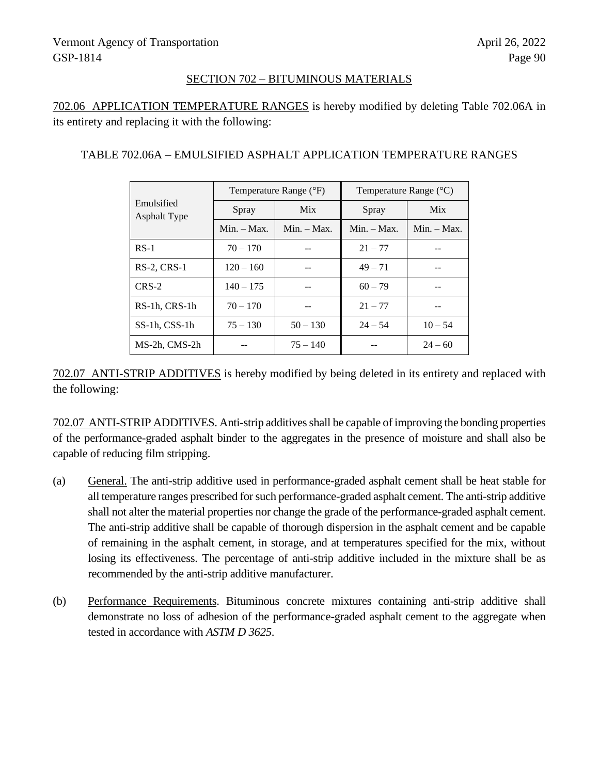#### SECTION 702 – BITUMINOUS MATERIALS

702.06 APPLICATION TEMPERATURE RANGES is hereby modified by deleting Table 702.06A in its entirety and replacing it with the following:

#### TABLE 702.06A – EMULSIFIED ASPHALT APPLICATION TEMPERATURE RANGES

| Emulsified<br><b>Asphalt Type</b> | Temperature Range (°F) |               | Temperature Range $({}^{\circ}C)$ |               |
|-----------------------------------|------------------------|---------------|-----------------------------------|---------------|
|                                   | Spray                  | <b>Mix</b>    | Spray                             | <b>Mix</b>    |
|                                   | $Min. - Max.$          | $Min. - Max.$ | $Min. - Max.$                     | $Min. - Max.$ |
| $RS-1$                            | $70 - 170$             |               | $21 - 77$                         |               |
| $RS-2$ , $CRS-1$                  | $120 - 160$            |               | $49 - 71$                         |               |
| $CRS-2$                           | $140 - 175$            |               | $60 - 79$                         |               |
| RS-1h, CRS-1h                     | $70 - 170$             |               | $21 - 77$                         |               |
| SS-1h, CSS-1h                     | $75 - 130$             | $50 - 130$    | $24 - 54$                         | $10 - 54$     |
| MS-2h, CMS-2h                     |                        | $75 - 140$    |                                   | $24 - 60$     |

702.07 ANTI-STRIP ADDITIVES is hereby modified by being deleted in its entirety and replaced with the following:

702.07 ANTI-STRIP ADDITIVES. Anti-strip additives shall be capable of improving the bonding properties of the performance-graded asphalt binder to the aggregates in the presence of moisture and shall also be capable of reducing film stripping.

- (a) General. The anti-strip additive used in performance-graded asphalt cement shall be heat stable for all temperature ranges prescribed for such performance-graded asphalt cement. The anti-strip additive shall not alter the material properties nor change the grade of the performance-graded asphalt cement. The anti-strip additive shall be capable of thorough dispersion in the asphalt cement and be capable of remaining in the asphalt cement, in storage, and at temperatures specified for the mix, without losing its effectiveness. The percentage of anti-strip additive included in the mixture shall be as recommended by the anti-strip additive manufacturer.
- (b) Performance Requirements. Bituminous concrete mixtures containing anti-strip additive shall demonstrate no loss of adhesion of the performance-graded asphalt cement to the aggregate when tested in accordance with *ASTM D 3625*.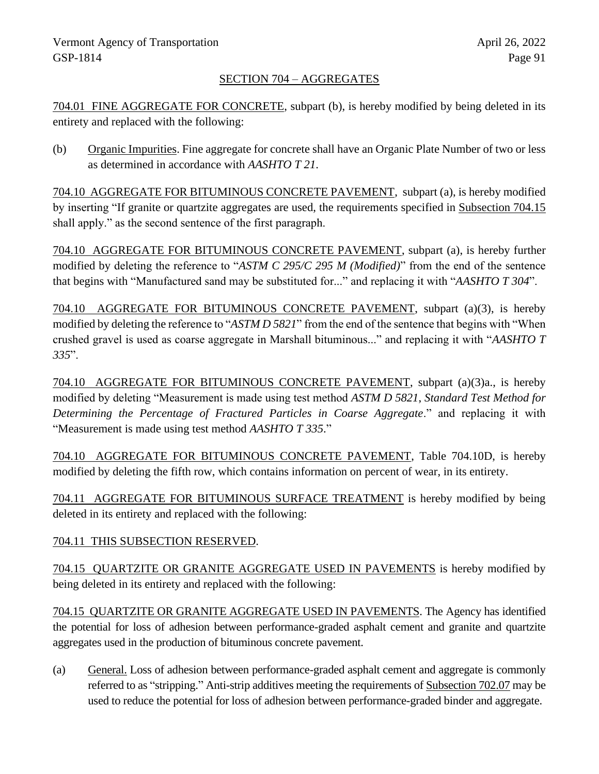### SECTION 704 – AGGREGATES

704.01 FINE AGGREGATE FOR CONCRETE, subpart (b), is hereby modified by being deleted in its entirety and replaced with the following:

(b) Organic Impurities. Fine aggregate for concrete shall have an Organic Plate Number of two or less as determined in accordance with *AASHTO T 21*.

704.10 AGGREGATE FOR BITUMINOUS CONCRETE PAVEMENT, subpart (a), is hereby modified by inserting "If granite or quartzite aggregates are used, the requirements specified in Subsection 704.15 shall apply." as the second sentence of the first paragraph.

704.10 AGGREGATE FOR BITUMINOUS CONCRETE PAVEMENT, subpart (a), is hereby further modified by deleting the reference to "*ASTM C 295/C 295 M (Modified)*" from the end of the sentence that begins with "Manufactured sand may be substituted for..." and replacing it with "*AASHTO T 304*".

704.10 AGGREGATE FOR BITUMINOUS CONCRETE PAVEMENT, subpart (a)(3), is hereby modified by deleting the reference to "*ASTM D 5821*" from the end of the sentence that begins with "When crushed gravel is used as coarse aggregate in Marshall bituminous..." and replacing it with "*AASHTO T 335*".

704.10 AGGREGATE FOR BITUMINOUS CONCRETE PAVEMENT, subpart (a)(3)a., is hereby modified by deleting "Measurement is made using test method *ASTM D 5821*, *Standard Test Method for Determining the Percentage of Fractured Particles in Coarse Aggregate*." and replacing it with "Measurement is made using test method *AASHTO T 335*."

704.10 AGGREGATE FOR BITUMINOUS CONCRETE PAVEMENT, Table 704.10D, is hereby modified by deleting the fifth row, which contains information on percent of wear, in its entirety.

704.11 AGGREGATE FOR BITUMINOUS SURFACE TREATMENT is hereby modified by being deleted in its entirety and replaced with the following:

# 704.11 THIS SUBSECTION RESERVED.

704.15 QUARTZITE OR GRANITE AGGREGATE USED IN PAVEMENTS is hereby modified by being deleted in its entirety and replaced with the following:

704.15 QUARTZITE OR GRANITE AGGREGATE USED IN PAVEMENTS. The Agency has identified the potential for loss of adhesion between performance-graded asphalt cement and granite and quartzite aggregates used in the production of bituminous concrete pavement.

(a) General. Loss of adhesion between performance-graded asphalt cement and aggregate is commonly referred to as "stripping." Anti-strip additives meeting the requirements of Subsection 702.07 may be used to reduce the potential for loss of adhesion between performance-graded binder and aggregate.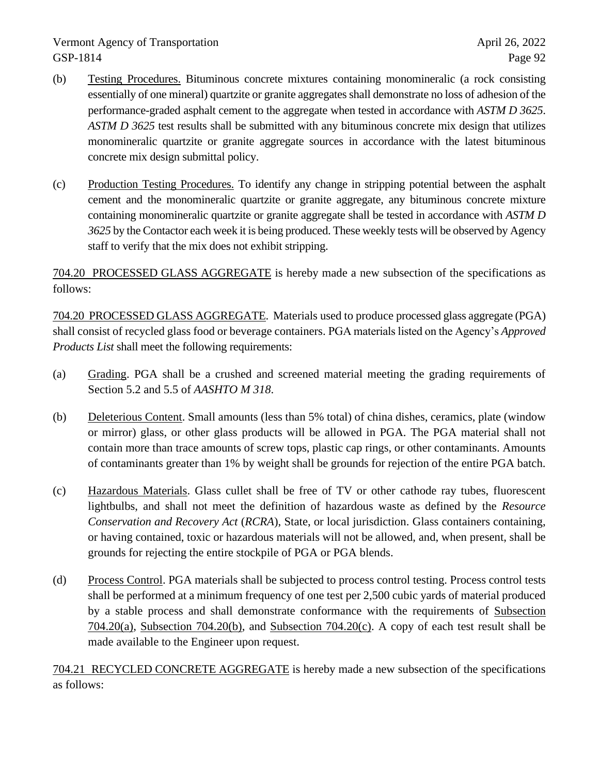- (b) Testing Procedures. Bituminous concrete mixtures containing monomineralic (a rock consisting essentially of one mineral) quartzite or granite aggregates shall demonstrate no loss of adhesion of the performance-graded asphalt cement to the aggregate when tested in accordance with *ASTM D 3625*. *ASTM D 3625* test results shall be submitted with any bituminous concrete mix design that utilizes monomineralic quartzite or granite aggregate sources in accordance with the latest bituminous concrete mix design submittal policy.
- (c) Production Testing Procedures. To identify any change in stripping potential between the asphalt cement and the monomineralic quartzite or granite aggregate, any bituminous concrete mixture containing monomineralic quartzite or granite aggregate shall be tested in accordance with *ASTM D 3625* by the Contactor each week it is being produced. These weekly tests will be observed by Agency staff to verify that the mix does not exhibit stripping.

704.20 PROCESSED GLASS AGGREGATE is hereby made a new subsection of the specifications as follows:

704.20 PROCESSED GLASS AGGREGATE. Materials used to produce processed glass aggregate (PGA) shall consist of recycled glass food or beverage containers. PGA materials listed on the Agency's *Approved Products List* shall meet the following requirements:

- (a) Grading. PGA shall be a crushed and screened material meeting the grading requirements of Section 5.2 and 5.5 of *AASHTO M 318*.
- (b) Deleterious Content. Small amounts (less than 5% total) of china dishes, ceramics, plate (window or mirror) glass, or other glass products will be allowed in PGA. The PGA material shall not contain more than trace amounts of screw tops, plastic cap rings, or other contaminants. Amounts of contaminants greater than 1% by weight shall be grounds for rejection of the entire PGA batch.
- (c) Hazardous Materials. Glass cullet shall be free of TV or other cathode ray tubes, fluorescent lightbulbs, and shall not meet the definition of hazardous waste as defined by the *Resource Conservation and Recovery Act* (*RCRA*), State, or local jurisdiction. Glass containers containing, or having contained, toxic or hazardous materials will not be allowed, and, when present, shall be grounds for rejecting the entire stockpile of PGA or PGA blends.
- (d) Process Control. PGA materials shall be subjected to process control testing. Process control tests shall be performed at a minimum frequency of one test per 2,500 cubic yards of material produced by a stable process and shall demonstrate conformance with the requirements of Subsection 704.20(a), Subsection 704.20(b), and Subsection 704.20(c). A copy of each test result shall be made available to the Engineer upon request.

704.21 RECYCLED CONCRETE AGGREGATE is hereby made a new subsection of the specifications as follows: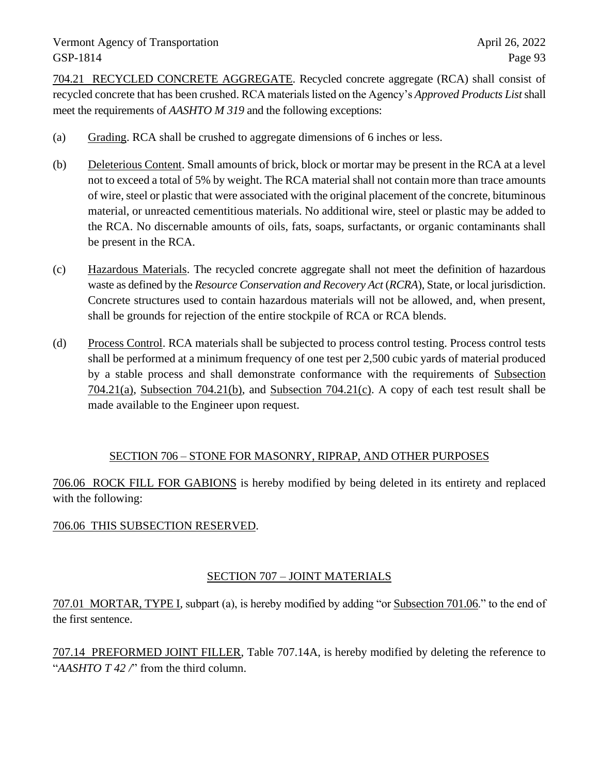704.21 RECYCLED CONCRETE AGGREGATE. Recycled concrete aggregate (RCA) shall consist of recycled concrete that has been crushed. RCA materials listed on the Agency's *Approved Products List*shall meet the requirements of *AASHTO M 319* and the following exceptions:

- (a) Grading. RCA shall be crushed to aggregate dimensions of 6 inches or less.
- (b) Deleterious Content. Small amounts of brick, block or mortar may be present in the RCA at a level not to exceed a total of 5% by weight. The RCA material shall not contain more than trace amounts of wire, steel or plastic that were associated with the original placement of the concrete, bituminous material, or unreacted cementitious materials. No additional wire, steel or plastic may be added to the RCA. No discernable amounts of oils, fats, soaps, surfactants, or organic contaminants shall be present in the RCA.
- (c) Hazardous Materials. The recycled concrete aggregate shall not meet the definition of hazardous waste as defined by the *Resource Conservation and Recovery Act* (*RCRA*), State, or local jurisdiction. Concrete structures used to contain hazardous materials will not be allowed, and, when present, shall be grounds for rejection of the entire stockpile of RCA or RCA blends.
- (d) Process Control. RCA materials shall be subjected to process control testing. Process control tests shall be performed at a minimum frequency of one test per 2,500 cubic yards of material produced by a stable process and shall demonstrate conformance with the requirements of Subsection 704.21(a), Subsection 704.21(b), and Subsection 704.21(c). A copy of each test result shall be made available to the Engineer upon request.

### SECTION 706 – STONE FOR MASONRY, RIPRAP, AND OTHER PURPOSES

706.06 ROCK FILL FOR GABIONS is hereby modified by being deleted in its entirety and replaced with the following:

### 706.06 THIS SUBSECTION RESERVED.

### SECTION 707 – JOINT MATERIALS

707.01 MORTAR, TYPE I, subpart (a), is hereby modified by adding "or Subsection 701.06." to the end of the first sentence.

707.14 PREFORMED JOINT FILLER, Table 707.14A, is hereby modified by deleting the reference to "*AASHTO T 42 /*" from the third column.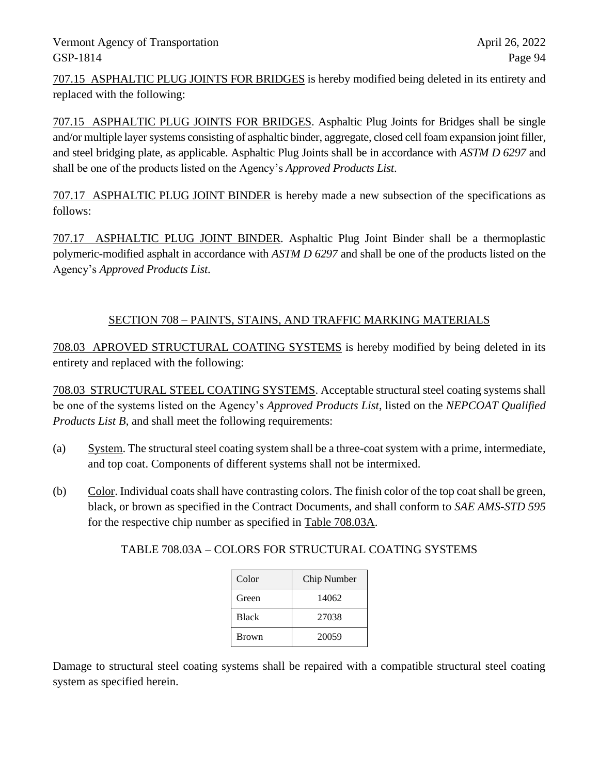707.15 ASPHALTIC PLUG JOINTS FOR BRIDGES is hereby modified being deleted in its entirety and replaced with the following:

707.15 ASPHALTIC PLUG JOINTS FOR BRIDGES. Asphaltic Plug Joints for Bridges shall be single and/or multiple layer systems consisting of asphaltic binder, aggregate, closed cell foam expansion joint filler, and steel bridging plate, as applicable. Asphaltic Plug Joints shall be in accordance with *ASTM D 6297* and shall be one of the products listed on the Agency's *Approved Products List*.

707.17 ASPHALTIC PLUG JOINT BINDER is hereby made a new subsection of the specifications as follows:

707.17 ASPHALTIC PLUG JOINT BINDER. Asphaltic Plug Joint Binder shall be a thermoplastic polymeric-modified asphalt in accordance with *ASTM D 6297* and shall be one of the products listed on the Agency's *Approved Products List*.

# SECTION 708 – PAINTS, STAINS, AND TRAFFIC MARKING MATERIALS

708.03 APROVED STRUCTURAL COATING SYSTEMS is hereby modified by being deleted in its entirety and replaced with the following:

708.03 STRUCTURAL STEEL COATING SYSTEMS. Acceptable structural steel coating systems shall be one of the systems listed on the Agency's *Approved Products List*, listed on the *NEPCOAT Qualified Products List B*, and shall meet the following requirements:

- (a) System. The structural steel coating system shall be a three-coat system with a prime, intermediate, and top coat. Components of different systems shall not be intermixed.
- (b) Color. Individual coats shall have contrasting colors. The finish color of the top coat shall be green, black, or brown as specified in the Contract Documents, and shall conform to *SAE AMS-STD 595* for the respective chip number as specified in Table 708.03A.

| Color        | Chip Number |
|--------------|-------------|
| Green        | 14062       |
| <b>Black</b> | 27038       |
| <b>Brown</b> | 20059       |

TABLE 708.03A – COLORS FOR STRUCTURAL COATING SYSTEMS

Damage to structural steel coating systems shall be repaired with a compatible structural steel coating system as specified herein.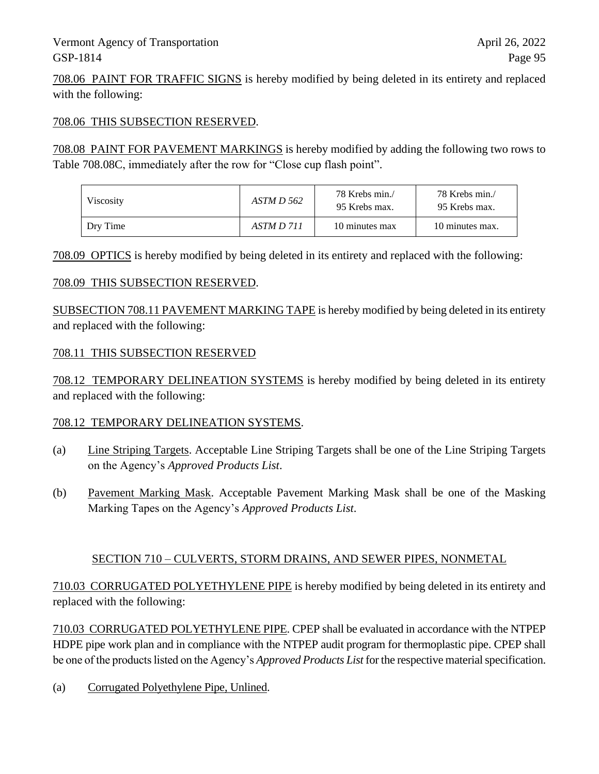708.06 PAINT FOR TRAFFIC SIGNS is hereby modified by being deleted in its entirety and replaced with the following:

#### 708.06 THIS SUBSECTION RESERVED.

708.08 PAINT FOR PAVEMENT MARKINGS is hereby modified by adding the following two rows to Table 708.08C, immediately after the row for "Close cup flash point".

| Viscosity | ASTM D 562 | 78 Krebs min./<br>95 Krebs max. | 78 Krebs min./<br>95 Krebs max. |
|-----------|------------|---------------------------------|---------------------------------|
| Dry Time  | ASTM D 711 | 10 minutes max                  | 10 minutes max.                 |

708.09 OPTICS is hereby modified by being deleted in its entirety and replaced with the following:

#### 708.09 THIS SUBSECTION RESERVED.

SUBSECTION 708.11 PAVEMENT MARKING TAPE is hereby modified by being deleted in its entirety and replaced with the following:

#### 708.11 THIS SUBSECTION RESERVED

708.12 TEMPORARY DELINEATION SYSTEMS is hereby modified by being deleted in its entirety and replaced with the following:

#### 708.12 TEMPORARY DELINEATION SYSTEMS.

- (a) Line Striping Targets. Acceptable Line Striping Targets shall be one of the Line Striping Targets on the Agency's *Approved Products List*.
- (b) Pavement Marking Mask. Acceptable Pavement Marking Mask shall be one of the Masking Marking Tapes on the Agency's *Approved Products List*.

#### SECTION 710 – CULVERTS, STORM DRAINS, AND SEWER PIPES, NONMETAL

710.03 CORRUGATED POLYETHYLENE PIPE is hereby modified by being deleted in its entirety and replaced with the following:

710.03 CORRUGATED POLYETHYLENE PIPE. CPEP shall be evaluated in accordance with the NTPEP HDPE pipe work plan and in compliance with the NTPEP audit program for thermoplastic pipe. CPEP shall be one of the products listed on the Agency's *Approved Products List* for the respective material specification.

(a) Corrugated Polyethylene Pipe, Unlined.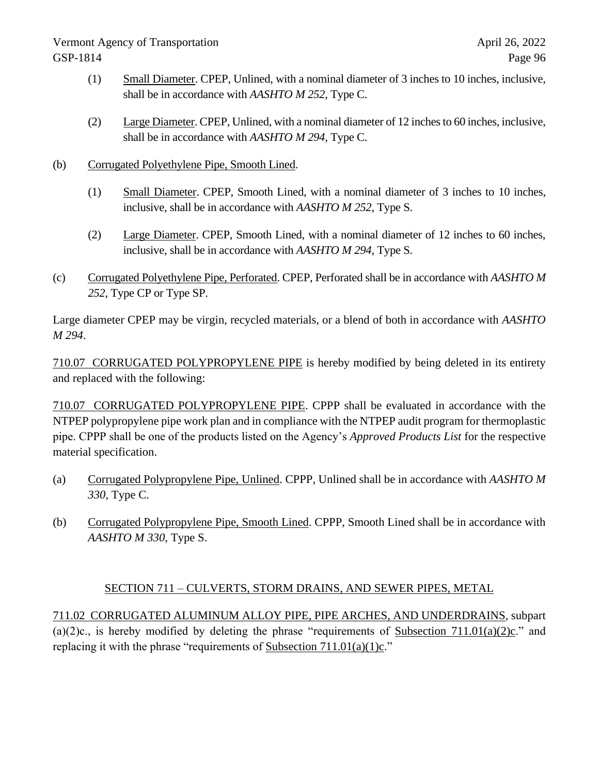- (1) Small Diameter. CPEP, Unlined, with a nominal diameter of 3 inches to 10 inches, inclusive, shall be in accordance with *AASHTO M 252*, Type C.
- (2) Large Diameter. CPEP, Unlined, with a nominal diameter of 12 inches to 60 inches, inclusive, shall be in accordance with *AASHTO M 294*, Type C.
- (b) Corrugated Polyethylene Pipe, Smooth Lined.
	- (1) Small Diameter. CPEP, Smooth Lined, with a nominal diameter of 3 inches to 10 inches, inclusive, shall be in accordance with *AASHTO M 252*, Type S.
	- (2) Large Diameter. CPEP, Smooth Lined, with a nominal diameter of 12 inches to 60 inches, inclusive, shall be in accordance with *AASHTO M 294*, Type S.
- (c) Corrugated Polyethylene Pipe, Perforated. CPEP, Perforated shall be in accordance with *AASHTO M 252*, Type CP or Type SP.

Large diameter CPEP may be virgin, recycled materials, or a blend of both in accordance with *AASHTO M 294*.

710.07 CORRUGATED POLYPROPYLENE PIPE is hereby modified by being deleted in its entirety and replaced with the following:

710.07 CORRUGATED POLYPROPYLENE PIPE. CPPP shall be evaluated in accordance with the NTPEP polypropylene pipe work plan and in compliance with the NTPEP audit program for thermoplastic pipe. CPPP shall be one of the products listed on the Agency's *Approved Products List* for the respective material specification.

- (a) Corrugated Polypropylene Pipe, Unlined. CPPP, Unlined shall be in accordance with *AASHTO M 330*, Type C.
- (b) Corrugated Polypropylene Pipe, Smooth Lined. CPPP, Smooth Lined shall be in accordance with *AASHTO M 330*, Type S.

# SECTION 711 – CULVERTS, STORM DRAINS, AND SEWER PIPES, METAL

711.02 CORRUGATED ALUMINUM ALLOY PIPE, PIPE ARCHES, AND UNDERDRAINS, subpart (a)(2)c., is hereby modified by deleting the phrase "requirements of Subsection 711.01(a)(2)c." and replacing it with the phrase "requirements of Subsection  $711.01(a)(1)c$ ."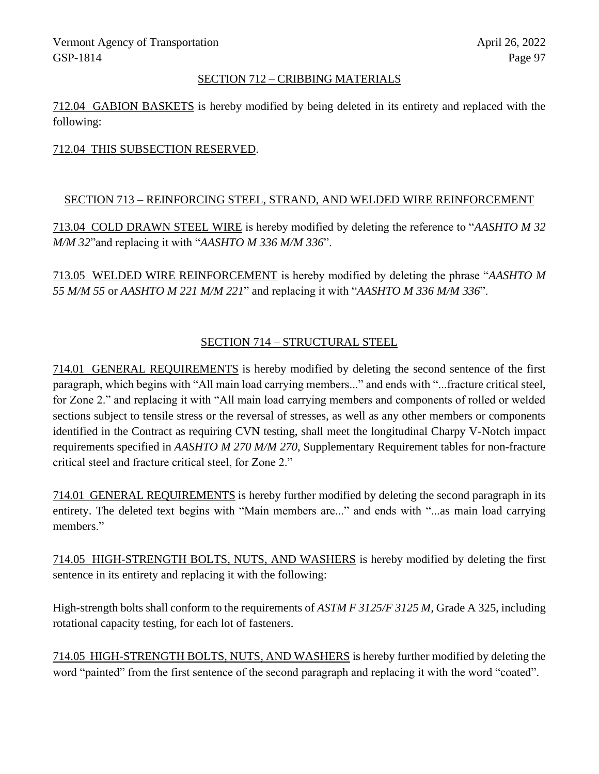#### SECTION 712 – CRIBBING MATERIALS

712.04 GABION BASKETS is hereby modified by being deleted in its entirety and replaced with the following:

#### 712.04 THIS SUBSECTION RESERVED.

#### SECTION 713 – REINFORCING STEEL, STRAND, AND WELDED WIRE REINFORCEMENT

713.04 COLD DRAWN STEEL WIRE is hereby modified by deleting the reference to "*AASHTO M 32 M/M 32*"and replacing it with "*AASHTO M 336 M/M 336*".

713.05 WELDED WIRE REINFORCEMENT is hereby modified by deleting the phrase "*AASHTO M 55 M/M 55* or *AASHTO M 221 M/M 221*" and replacing it with "*AASHTO M 336 M/M 336*".

# SECTION 714 – STRUCTURAL STEEL

714.01 GENERAL REQUIREMENTS is hereby modified by deleting the second sentence of the first paragraph, which begins with "All main load carrying members..." and ends with "...fracture critical steel, for Zone 2." and replacing it with "All main load carrying members and components of rolled or welded sections subject to tensile stress or the reversal of stresses, as well as any other members or components identified in the Contract as requiring CVN testing, shall meet the longitudinal Charpy V-Notch impact requirements specified in *AASHTO M 270 M/M 270*, Supplementary Requirement tables for non-fracture critical steel and fracture critical steel, for Zone 2."

714.01 GENERAL REQUIREMENTS is hereby further modified by deleting the second paragraph in its entirety. The deleted text begins with "Main members are..." and ends with "...as main load carrying members."

714.05 HIGH-STRENGTH BOLTS, NUTS, AND WASHERS is hereby modified by deleting the first sentence in its entirety and replacing it with the following:

High-strength bolts shall conform to the requirements of *ASTM F 3125/F 3125 M,* Grade A 325, including rotational capacity testing, for each lot of fasteners.

714.05 HIGH-STRENGTH BOLTS, NUTS, AND WASHERS is hereby further modified by deleting the word "painted" from the first sentence of the second paragraph and replacing it with the word "coated".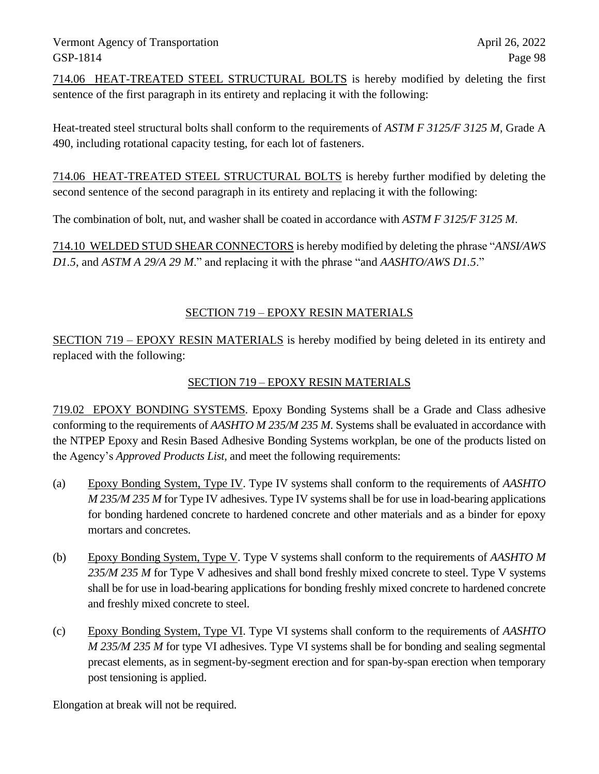714.06 HEAT-TREATED STEEL STRUCTURAL BOLTS is hereby modified by deleting the first sentence of the first paragraph in its entirety and replacing it with the following:

Heat-treated steel structural bolts shall conform to the requirements of *ASTM F 3125/F 3125 M,* Grade A 490, including rotational capacity testing, for each lot of fasteners.

714.06 HEAT-TREATED STEEL STRUCTURAL BOLTS is hereby further modified by deleting the second sentence of the second paragraph in its entirety and replacing it with the following:

The combination of bolt, nut, and washer shall be coated in accordance with *ASTM F 3125/F 3125 M*.

714.10 WELDED STUD SHEAR CONNECTORS is hereby modified by deleting the phrase "*ANSI/AWS D1.5*, and *ASTM A 29/A 29 M*." and replacing it with the phrase "and *AASHTO/AWS D1.5*."

### SECTION 719 – EPOXY RESIN MATERIALS

SECTION 719 – EPOXY RESIN MATERIALS is hereby modified by being deleted in its entirety and replaced with the following:

### SECTION 719 – EPOXY RESIN MATERIALS

719.02 EPOXY BONDING SYSTEMS. Epoxy Bonding Systems shall be a Grade and Class adhesive conforming to the requirements of *AASHTO M 235/M 235 M*. Systems shall be evaluated in accordance with the NTPEP Epoxy and Resin Based Adhesive Bonding Systems workplan, be one of the products listed on the Agency's *Approved Products List,* and meet the following requirements:

- (a) Epoxy Bonding System, Type IV. Type IV systems shall conform to the requirements of *AASHTO M 235/M 235 M* for Type IV adhesives. Type IV systems shall be for use in load-bearing applications for bonding hardened concrete to hardened concrete and other materials and as a binder for epoxy mortars and concretes.
- (b) Epoxy Bonding System, Type V. Type V systems shall conform to the requirements of *AASHTO M 235/M 235 M* for Type V adhesives and shall bond freshly mixed concrete to steel. Type V systems shall be for use in load-bearing applications for bonding freshly mixed concrete to hardened concrete and freshly mixed concrete to steel.
- (c) Epoxy Bonding System, Type VI. Type VI systems shall conform to the requirements of *AASHTO M 235/M 235 M* for type VI adhesives. Type VI systems shall be for bonding and sealing segmental precast elements, as in segment-by-segment erection and for span-by-span erection when temporary post tensioning is applied.

Elongation at break will not be required.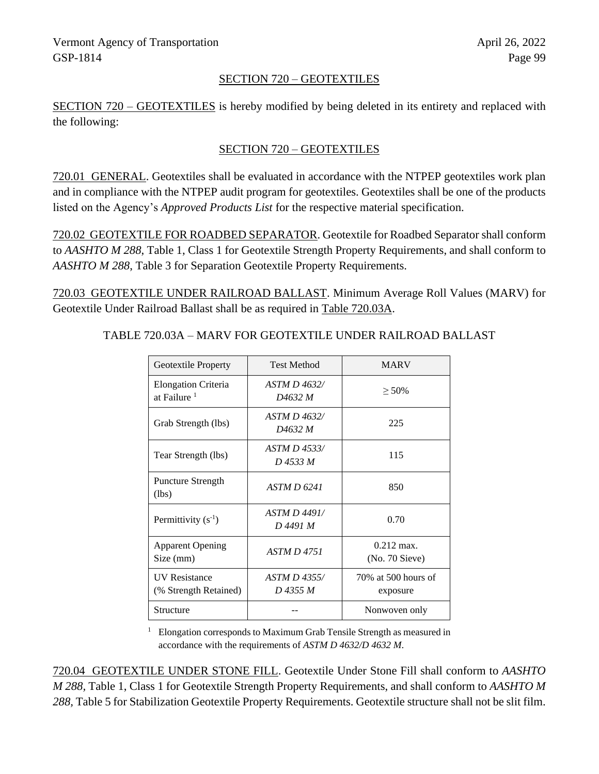#### SECTION 720 – GEOTEXTILES

SECTION 720 – GEOTEXTILES is hereby modified by being deleted in its entirety and replaced with the following:

### SECTION 720 – GEOTEXTILES

720.01 GENERAL. Geotextiles shall be evaluated in accordance with the NTPEP geotextiles work plan and in compliance with the NTPEP audit program for geotextiles. Geotextiles shall be one of the products listed on the Agency's *Approved Products List* for the respective material specification.

720.02 GEOTEXTILE FOR ROADBED SEPARATOR. Geotextile for Roadbed Separator shall conform to *AASHTO M 288*, Table 1, Class 1 for Geotextile Strength Property Requirements, and shall conform to *AASHTO M 288*, Table 3 for Separation Geotextile Property Requirements.

720.03 GEOTEXTILE UNDER RAILROAD BALLAST. Minimum Average Roll Values (MARV) for Geotextile Under Railroad Ballast shall be as required in Table 720.03A.

| Geotextile Property                                   | <b>Test Method</b>                         | <b>MARV</b>                             |
|-------------------------------------------------------|--------------------------------------------|-----------------------------------------|
| <b>Elongation Criteria</b><br>at Failure <sup>1</sup> | ASTM D 4632/<br>D4632 M                    | $> 50\%$                                |
| Grab Strength (lbs)                                   | <i>ASTM D 4632/</i><br>D <sub>4632</sub> M | 225                                     |
| Tear Strength (lbs)                                   | ASTM D 4533/<br>D 4533 M                   | 115                                     |
| <b>Puncture Strength</b><br>(lbs)                     | ASTM D 6241                                | 850                                     |
| Permittivity $(s^{-1})$                               | ASTM D 4491/<br>D 4491 M                   | 0.70                                    |
| <b>Apparent Opening</b><br>Size (mm)                  | <b>ASTM D 4751</b>                         | $0.212 \text{ max}$ .<br>(No. 70 Sieve) |
| <b>UV</b> Resistance<br>(% Strength Retained)         | ASTM D 4355/<br>D 4355 M                   | 70% at 500 hours of<br>exposure         |
| Structure                                             |                                            | Nonwoven only                           |

TABLE 720.03A – MARV FOR GEOTEXTILE UNDER RAILROAD BALLAST

<sup>1</sup> Elongation corresponds to Maximum Grab Tensile Strength as measured in accordance with the requirements of *ASTM D 4632/D 4632 M*.

720.04 GEOTEXTILE UNDER STONE FILL. Geotextile Under Stone Fill shall conform to *AASHTO M 288,* Table 1, Class 1 for Geotextile Strength Property Requirements, and shall conform to *AASHTO M 288,* Table 5 for Stabilization Geotextile Property Requirements. Geotextile structure shall not be slit film.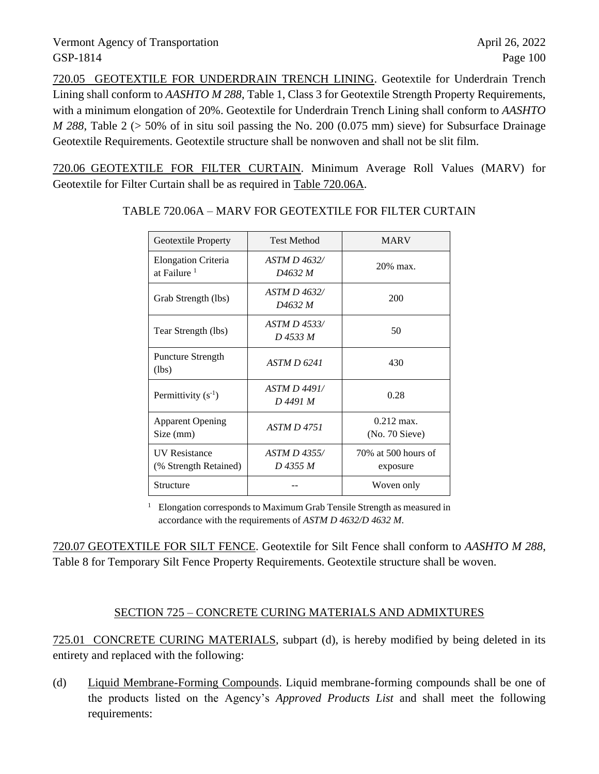720.05 GEOTEXTILE FOR UNDERDRAIN TRENCH LINING. Geotextile for Underdrain Trench Lining shall conform to *AASHTO M 288*, Table 1, Class 3 for Geotextile Strength Property Requirements, with a minimum elongation of 20%. Geotextile for Underdrain Trench Lining shall conform to *AASHTO M 288*, Table 2 (> 50% of in situ soil passing the No. 200 (0.075 mm) sieve) for Subsurface Drainage Geotextile Requirements. Geotextile structure shall be nonwoven and shall not be slit film.

720.06 GEOTEXTILE FOR FILTER CURTAIN. Minimum Average Roll Values (MARV) for Geotextile for Filter Curtain shall be as required in Table 720.06A.

| Geotextile Property                                   | <b>Test Method</b>             | <b>MARV</b>                             |
|-------------------------------------------------------|--------------------------------|-----------------------------------------|
| <b>Elongation Criteria</b><br>at Failure <sup>1</sup> | ASTM D 4632/<br>D4632 M        | 20% max.                                |
| Grab Strength (lbs)                                   | <i>ASTM D 4632/</i><br>D4632 M | 200                                     |
| Tear Strength (lbs)                                   | ASTM D 4533/<br>D 4533 M       | 50                                      |
| Puncture Strength<br>(lbs)                            | ASTM D 6241                    | 430                                     |
| Permittivity $(s^{-1})$                               | ASTM D 4491/<br>D 4491 M       | 0.28                                    |
| <b>Apparent Opening</b><br>Size (mm)                  | <b>ASTM D 4751</b>             | $0.212 \text{ max}$ .<br>(No. 70 Sieve) |
| <b>IIV Resistance</b><br>(% Strength Retained)        | $ASTM D$ 4355/<br>D 4355 M     | 70% at 500 hours of<br>exposure         |
| Structure                                             |                                | Woven only                              |

#### TABLE 720.06A – MARV FOR GEOTEXTILE FOR FILTER CURTAIN

<sup>1</sup> Elongation corresponds to Maximum Grab Tensile Strength as measured in accordance with the requirements of *ASTM D 4632/D 4632 M*.

720.07 GEOTEXTILE FOR SILT FENCE. Geotextile for Silt Fence shall conform to *AASHTO M 288*, Table 8 for Temporary Silt Fence Property Requirements. Geotextile structure shall be woven.

### SECTION 725 – CONCRETE CURING MATERIALS AND ADMIXTURES

725.01 CONCRETE CURING MATERIALS, subpart (d), is hereby modified by being deleted in its entirety and replaced with the following:

(d) Liquid Membrane-Forming Compounds. Liquid membrane-forming compounds shall be one of the products listed on the Agency's *Approved Products List* and shall meet the following requirements: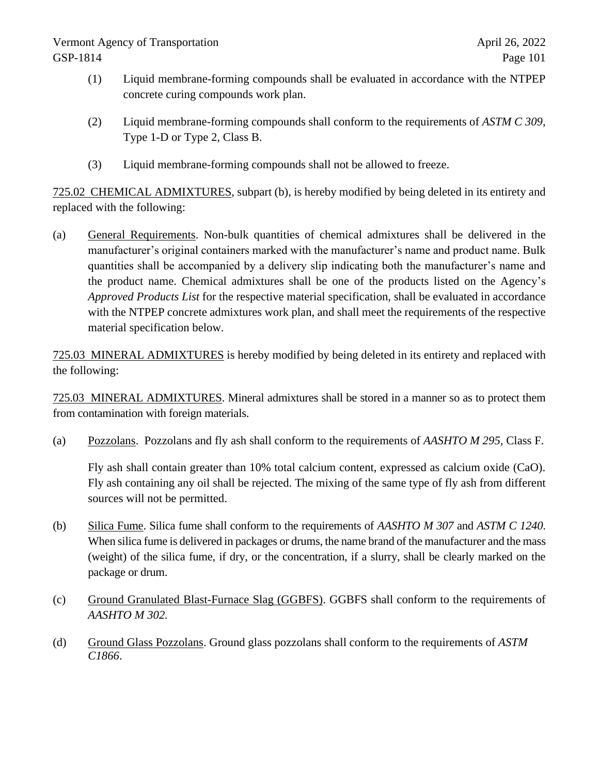- (1) Liquid membrane-forming compounds shall be evaluated in accordance with the NTPEP concrete curing compounds work plan.
- (2) Liquid membrane-forming compounds shall conform to the requirements of *ASTM C 309*, Type 1-D or Type 2, Class B.
- (3) Liquid membrane-forming compounds shall not be allowed to freeze.

725.02 CHEMICAL ADMIXTURES, subpart (b), is hereby modified by being deleted in its entirety and replaced with the following:

(a) General Requirements. Non-bulk quantities of chemical admixtures shall be delivered in the manufacturer's original containers marked with the manufacturer's name and product name. Bulk quantities shall be accompanied by a delivery slip indicating both the manufacturer's name and the product name. Chemical admixtures shall be one of the products listed on the Agency's *Approved Products List* for the respective material specification, shall be evaluated in accordance with the NTPEP concrete admixtures work plan, and shall meet the requirements of the respective material specification below.

725.03 MINERAL ADMIXTURES is hereby modified by being deleted in its entirety and replaced with the following:

725.03 MINERAL ADMIXTURES. Mineral admixtures shall be stored in a manner so as to protect them from contamination with foreign materials.

(a) Pozzolans. Pozzolans and fly ash shall conform to the requirements of *AASHTO M 295,* Class F.

Fly ash shall contain greater than 10% total calcium content, expressed as calcium oxide (CaO). Fly ash containing any oil shall be rejected. The mixing of the same type of fly ash from different sources will not be permitted.

- (b) Silica Fume. Silica fume shall conform to the requirements of *AASHTO M 307* and *ASTM C 1240*. When silica fume is delivered in packages or drums, the name brand of the manufacturer and the mass (weight) of the silica fume, if dry, or the concentration, if a slurry, shall be clearly marked on the package or drum.
- (c) Ground Granulated Blast-Furnace Slag (GGBFS). GGBFS shall conform to the requirements of *AASHTO M 302.*
- (d) Ground Glass Pozzolans. Ground glass pozzolans shall conform to the requirements of *ASTM C1866*.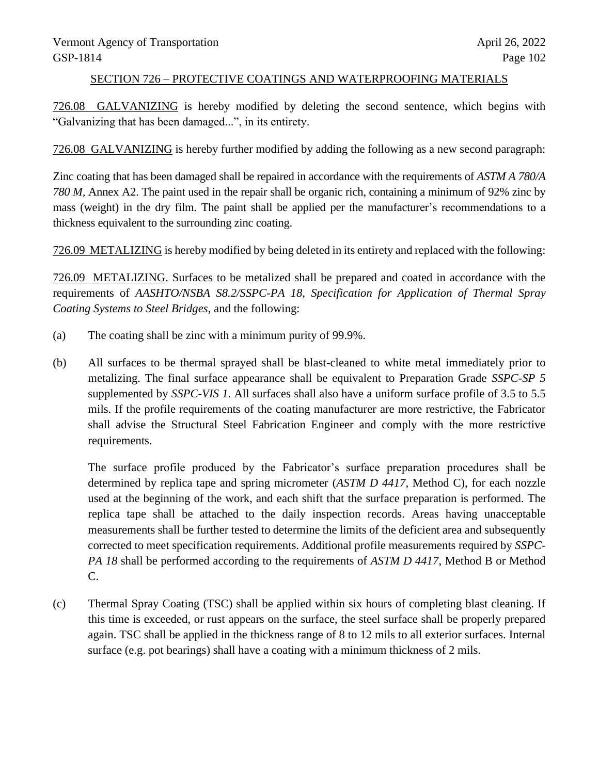#### SECTION 726 – PROTECTIVE COATINGS AND WATERPROOFING MATERIALS

726.08 GALVANIZING is hereby modified by deleting the second sentence, which begins with "Galvanizing that has been damaged...", in its entirety.

726.08 GALVANIZING is hereby further modified by adding the following as a new second paragraph:

Zinc coating that has been damaged shall be repaired in accordance with the requirements of *ASTM A 780/A 780 M,* Annex A2. The paint used in the repair shall be organic rich, containing a minimum of 92% zinc by mass (weight) in the dry film. The paint shall be applied per the manufacturer's recommendations to a thickness equivalent to the surrounding zinc coating.

726.09 METALIZING is hereby modified by being deleted in its entirety and replaced with the following:

726.09 METALIZING. Surfaces to be metalized shall be prepared and coated in accordance with the requirements of *AASHTO/NSBA S8.2/SSPC-PA 18, Specification for Application of Thermal Spray Coating Systems to Steel Bridges*, and the following:

- (a) The coating shall be zinc with a minimum purity of 99.9%.
- (b) All surfaces to be thermal sprayed shall be blast-cleaned to white metal immediately prior to metalizing. The final surface appearance shall be equivalent to Preparation Grade *SSPC-SP 5* supplemented by *SSPC-VIS 1*. All surfaces shall also have a uniform surface profile of 3.5 to 5.5 mils. If the profile requirements of the coating manufacturer are more restrictive, the Fabricator shall advise the Structural Steel Fabrication Engineer and comply with the more restrictive requirements.

The surface profile produced by the Fabricator's surface preparation procedures shall be determined by replica tape and spring micrometer (*ASTM D 4417*, Method C), for each nozzle used at the beginning of the work, and each shift that the surface preparation is performed. The replica tape shall be attached to the daily inspection records. Areas having unacceptable measurements shall be further tested to determine the limits of the deficient area and subsequently corrected to meet specification requirements. Additional profile measurements required by *SSPC-PA 18* shall be performed according to the requirements of *ASTM D 4417*, Method B or Method C.

(c) Thermal Spray Coating (TSC) shall be applied within six hours of completing blast cleaning. If this time is exceeded, or rust appears on the surface, the steel surface shall be properly prepared again. TSC shall be applied in the thickness range of 8 to 12 mils to all exterior surfaces. Internal surface (e.g. pot bearings) shall have a coating with a minimum thickness of 2 mils.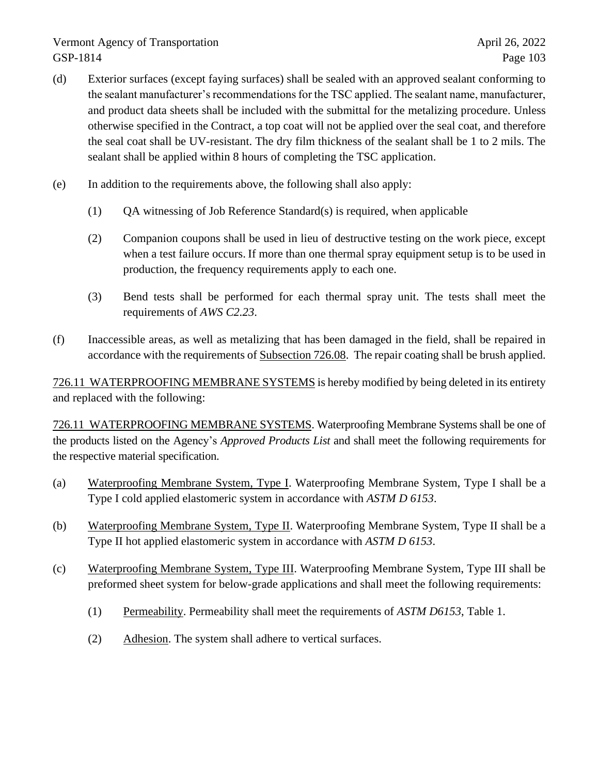- (d) Exterior surfaces (except faying surfaces) shall be sealed with an approved sealant conforming to the sealant manufacturer's recommendations for the TSC applied. The sealant name, manufacturer, and product data sheets shall be included with the submittal for the metalizing procedure. Unless otherwise specified in the Contract, a top coat will not be applied over the seal coat, and therefore the seal coat shall be UV-resistant. The dry film thickness of the sealant shall be 1 to 2 mils. The sealant shall be applied within 8 hours of completing the TSC application.
- (e) In addition to the requirements above, the following shall also apply:
	- (1)  $OA$  witnessing of Job Reference Standard(s) is required, when applicable
	- (2) Companion coupons shall be used in lieu of destructive testing on the work piece, except when a test failure occurs. If more than one thermal spray equipment setup is to be used in production, the frequency requirements apply to each one.
	- (3) Bend tests shall be performed for each thermal spray unit. The tests shall meet the requirements of *AWS C2.23*.
- (f) Inaccessible areas, as well as metalizing that has been damaged in the field, shall be repaired in accordance with the requirements of Subsection 726.08. The repair coating shall be brush applied.

726.11 WATERPROOFING MEMBRANE SYSTEMS is hereby modified by being deleted in its entirety and replaced with the following:

726.11 WATERPROOFING MEMBRANE SYSTEMS. Waterproofing Membrane Systems shall be one of the products listed on the Agency's *Approved Products List* and shall meet the following requirements for the respective material specification.

- (a) Waterproofing Membrane System, Type I. Waterproofing Membrane System, Type I shall be a Type I cold applied elastomeric system in accordance with *ASTM D 6153*.
- (b) Waterproofing Membrane System, Type II. Waterproofing Membrane System, Type II shall be a Type II hot applied elastomeric system in accordance with *ASTM D 6153*.
- (c) Waterproofing Membrane System, Type III. Waterproofing Membrane System, Type III shall be preformed sheet system for below-grade applications and shall meet the following requirements:
	- (1) Permeability. Permeability shall meet the requirements of *ASTM D6153*, Table 1.
	- (2) Adhesion. The system shall adhere to vertical surfaces.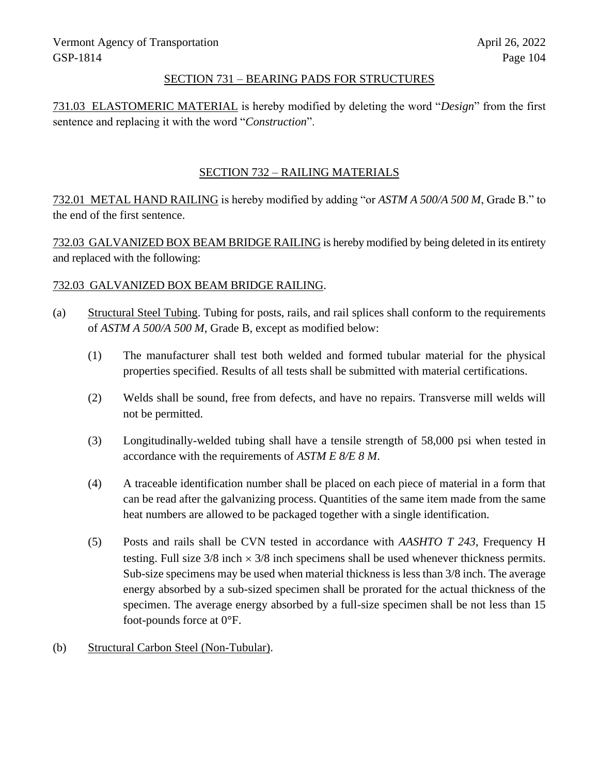#### SECTION 731 – BEARING PADS FOR STRUCTURES

731.03 ELASTOMERIC MATERIAL is hereby modified by deleting the word "*Design*" from the first sentence and replacing it with the word "*Construction*".

#### SECTION 732 – RAILING MATERIALS

732.01 METAL HAND RAILING is hereby modified by adding "or *ASTM A 500/A 500 M*, Grade B." to the end of the first sentence.

732.03 GALVANIZED BOX BEAM BRIDGE RAILING is hereby modified by being deleted in its entirety and replaced with the following:

#### 732.03 GALVANIZED BOX BEAM BRIDGE RAILING.

- (a) Structural Steel Tubing. Tubing for posts, rails, and rail splices shall conform to the requirements of *ASTM A 500/A 500 M,* Grade B, except as modified below:
	- (1) The manufacturer shall test both welded and formed tubular material for the physical properties specified. Results of all tests shall be submitted with material certifications.
	- (2) Welds shall be sound, free from defects, and have no repairs. Transverse mill welds will not be permitted.
	- (3) Longitudinally-welded tubing shall have a tensile strength of 58,000 psi when tested in accordance with the requirements of *ASTM E 8/E 8 M*.
	- (4) A traceable identification number shall be placed on each piece of material in a form that can be read after the galvanizing process. Quantities of the same item made from the same heat numbers are allowed to be packaged together with a single identification.
	- (5) Posts and rails shall be CVN tested in accordance with *AASHTO T 243*, Frequency H testing. Full size  $3/8$  inch  $\times$   $3/8$  inch specimens shall be used whenever thickness permits. Sub-size specimens may be used when material thickness is less than 3/8 inch. The average energy absorbed by a sub-sized specimen shall be prorated for the actual thickness of the specimen. The average energy absorbed by a full-size specimen shall be not less than 15 foot-pounds force at 0°F.
- (b) Structural Carbon Steel (Non-Tubular).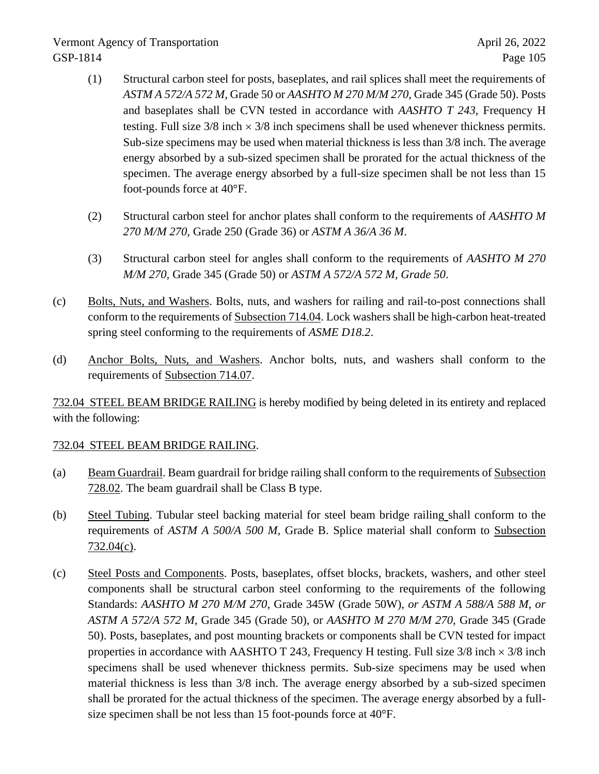- (1) Structural carbon steel for posts, baseplates, and rail splices shall meet the requirements of *ASTM A 572/A 572 M,* Grade 50 or *AASHTO M 270 M/M 270,* Grade 345 (Grade 50). Posts and baseplates shall be CVN tested in accordance with *AASHTO T 243*, Frequency H testing. Full size  $3/8$  inch  $\times$   $3/8$  inch specimens shall be used whenever thickness permits. Sub-size specimens may be used when material thickness is less than 3/8 inch. The average energy absorbed by a sub-sized specimen shall be prorated for the actual thickness of the specimen. The average energy absorbed by a full-size specimen shall be not less than 15 foot-pounds force at 40°F.
- (2) Structural carbon steel for anchor plates shall conform to the requirements of *AASHTO M 270 M/M 270,* Grade 250 (Grade 36) or *ASTM A 36/A 36 M*.
- (3) Structural carbon steel for angles shall conform to the requirements of *AASHTO M 270 M/M 270,* Grade 345 (Grade 50) or *ASTM A 572/A 572 M, Grade 50*.
- (c) Bolts, Nuts, and Washers. Bolts, nuts, and washers for railing and rail-to-post connections shall conform to the requirements of Subsection 714.04. Lock washers shall be high-carbon heat-treated spring steel conforming to the requirements of *ASME D18.2*.
- (d) Anchor Bolts, Nuts, and Washers. Anchor bolts, nuts, and washers shall conform to the requirements of Subsection 714.07.

732.04 STEEL BEAM BRIDGE RAILING is hereby modified by being deleted in its entirety and replaced with the following:

### 732.04 STEEL BEAM BRIDGE RAILING.

- (a) Beam Guardrail. Beam guardrail for bridge railing shall conform to the requirements of Subsection 728.02. The beam guardrail shall be Class B type.
- (b) Steel Tubing. Tubular steel backing material for steel beam bridge railing shall conform to the requirements of *ASTM A 500/A 500 M,* Grade B. Splice material shall conform to Subsection 732.04(c).
- (c) Steel Posts and Components. Posts, baseplates, offset blocks, brackets, washers, and other steel components shall be structural carbon steel conforming to the requirements of the following Standards: *AASHTO M 270 M/M 270,* Grade 345W (Grade 50W), *or ASTM A 588/A 588 M, or ASTM A 572/A 572 M,* Grade 345 (Grade 50), or *AASHTO M 270 M/M 270,* Grade 345 (Grade 50). Posts, baseplates, and post mounting brackets or components shall be CVN tested for impact properties in accordance with AASHTO T 243, Frequency H testing. Full size  $3/8$  inch  $\times$  3/8 inch specimens shall be used whenever thickness permits. Sub-size specimens may be used when material thickness is less than 3/8 inch. The average energy absorbed by a sub-sized specimen shall be prorated for the actual thickness of the specimen. The average energy absorbed by a fullsize specimen shall be not less than 15 foot-pounds force at 40°F.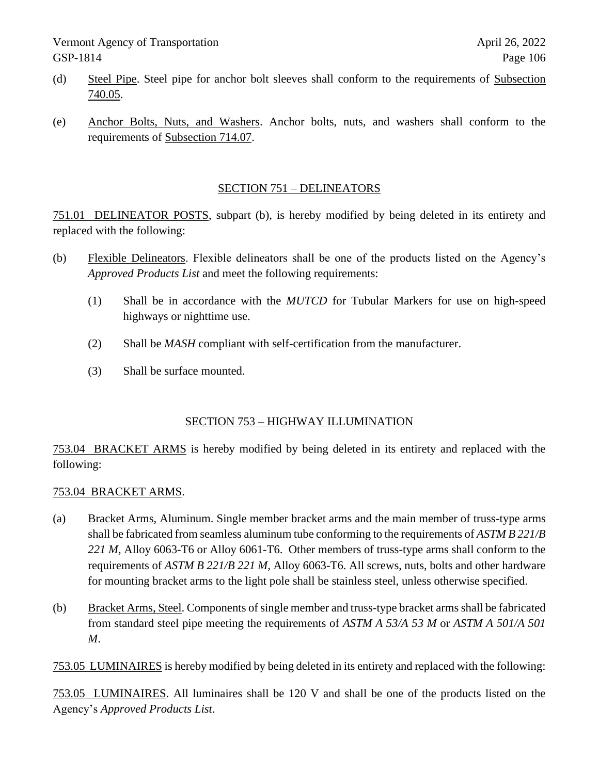- (d) Steel Pipe. Steel pipe for anchor bolt sleeves shall conform to the requirements of Subsection 740.05.
- (e) Anchor Bolts, Nuts, and Washers. Anchor bolts, nuts, and washers shall conform to the requirements of Subsection 714.07.

#### SECTION 751 – DELINEATORS

751.01 DELINEATOR POSTS, subpart (b), is hereby modified by being deleted in its entirety and replaced with the following:

- (b) Flexible Delineators. Flexible delineators shall be one of the products listed on the Agency's *Approved Products List* and meet the following requirements:
	- (1) Shall be in accordance with the *MUTCD* for Tubular Markers for use on high-speed highways or nighttime use.
	- (2) Shall be *MASH* compliant with self-certification from the manufacturer.
	- (3) Shall be surface mounted.

### SECTION 753 – HIGHWAY ILLUMINATION

753.04 BRACKET ARMS is hereby modified by being deleted in its entirety and replaced with the following:

### 753.04 BRACKET ARMS.

- (a) Bracket Arms, Aluminum. Single member bracket arms and the main member of truss-type arms shall be fabricated from seamless aluminum tube conforming to the requirements of *ASTM B 221/B 221 M,* Alloy 6063-T6 or Alloy 6061-T6. Other members of truss-type arms shall conform to the requirements of *ASTM B 221/B 221 M,* Alloy 6063-T6. All screws, nuts, bolts and other hardware for mounting bracket arms to the light pole shall be stainless steel, unless otherwise specified.
- (b) Bracket Arms, Steel. Components of single member and truss-type bracket arms shall be fabricated from standard steel pipe meeting the requirements of *ASTM A 53/A 53 M* or *ASTM A 501/A 501 M*.

753.05 LUMINAIRES is hereby modified by being deleted in its entirety and replaced with the following:

753.05 LUMINAIRES. All luminaires shall be 120 V and shall be one of the products listed on the Agency's *Approved Products List*.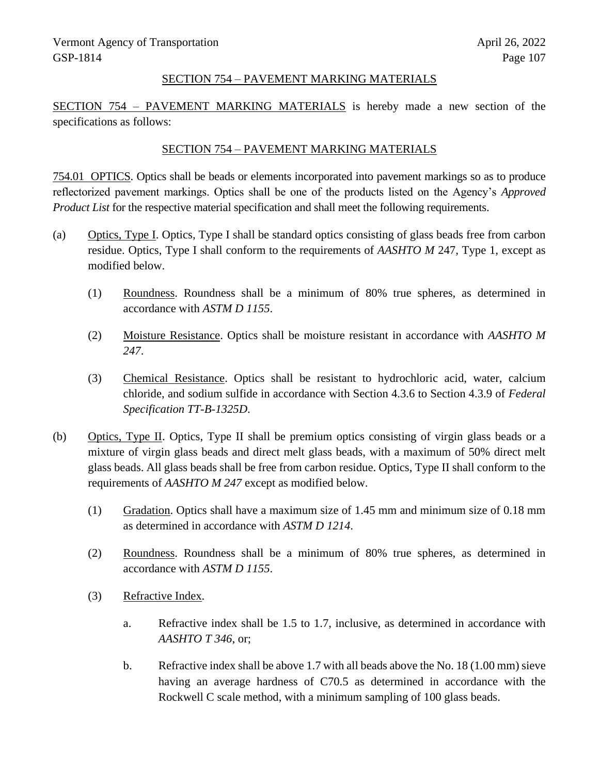#### SECTION 754 – PAVEMENT MARKING MATERIALS

SECTION 754 – PAVEMENT MARKING MATERIALS is hereby made a new section of the specifications as follows:

#### SECTION 754 – PAVEMENT MARKING MATERIALS

754.01 OPTICS. Optics shall be beads or elements incorporated into pavement markings so as to produce reflectorized pavement markings. Optics shall be one of the products listed on the Agency's *Approved Product List* for the respective material specification and shall meet the following requirements.

- (a) Optics, Type I. Optics, Type I shall be standard optics consisting of glass beads free from carbon residue. Optics, Type I shall conform to the requirements of *AASHTO M* 247, Type 1, except as modified below.
	- (1) Roundness. Roundness shall be a minimum of 80% true spheres, as determined in accordance with *ASTM D 1155*.
	- (2) Moisture Resistance. Optics shall be moisture resistant in accordance with *AASHTO M 247*.
	- (3) Chemical Resistance. Optics shall be resistant to hydrochloric acid, water, calcium chloride, and sodium sulfide in accordance with Section 4.3.6 to Section 4.3.9 of *Federal Specification TT-B-1325D*.
- (b) Optics, Type II. Optics, Type II shall be premium optics consisting of virgin glass beads or a mixture of virgin glass beads and direct melt glass beads, with a maximum of 50% direct melt glass beads. All glass beads shall be free from carbon residue. Optics, Type II shall conform to the requirements of *AASHTO M 247* except as modified below.
	- (1) Gradation. Optics shall have a maximum size of 1.45 mm and minimum size of 0.18 mm as determined in accordance with *ASTM D 1214*.
	- (2) Roundness. Roundness shall be a minimum of 80% true spheres, as determined in accordance with *ASTM D 1155*.
	- (3) Refractive Index.
		- a. Refractive index shall be 1.5 to 1.7, inclusive, as determined in accordance with *AASHTO T 346*, or;
		- b. Refractive index shall be above 1.7 with all beads above the No. 18 (1.00 mm) sieve having an average hardness of C70.5 as determined in accordance with the Rockwell C scale method, with a minimum sampling of 100 glass beads.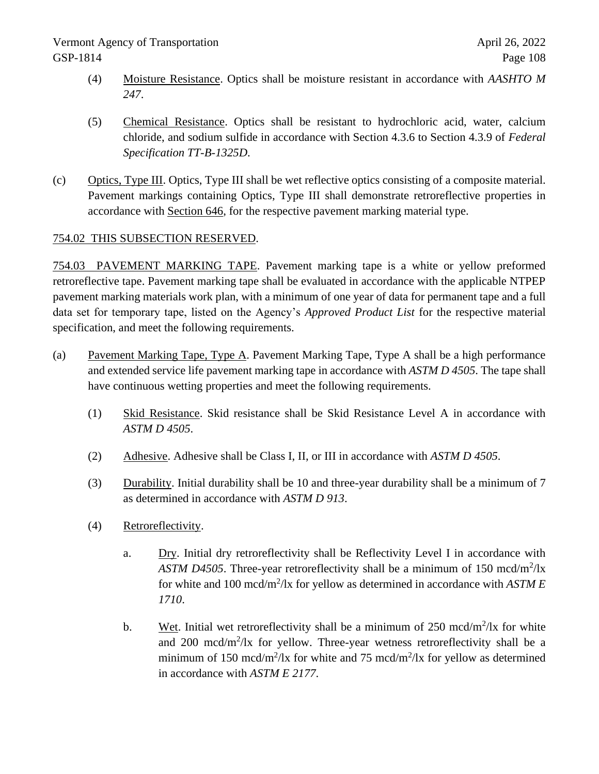- (4) Moisture Resistance. Optics shall be moisture resistant in accordance with *AASHTO M 247*.
- (5) Chemical Resistance. Optics shall be resistant to hydrochloric acid, water, calcium chloride, and sodium sulfide in accordance with Section 4.3.6 to Section 4.3.9 of *Federal Specification TT-B-1325D*.
- (c) Optics, Type III. Optics, Type III shall be wet reflective optics consisting of a composite material. Pavement markings containing Optics, Type III shall demonstrate retroreflective properties in accordance with Section 646, for the respective pavement marking material type.

### 754.02 THIS SUBSECTION RESERVED.

754.03 PAVEMENT MARKING TAPE. Pavement marking tape is a white or yellow preformed retroreflective tape. Pavement marking tape shall be evaluated in accordance with the applicable NTPEP pavement marking materials work plan, with a minimum of one year of data for permanent tape and a full data set for temporary tape, listed on the Agency's *Approved Product List* for the respective material specification, and meet the following requirements.

- (a) Pavement Marking Tape, Type A. Pavement Marking Tape, Type A shall be a high performance and extended service life pavement marking tape in accordance with *ASTM D 4505*. The tape shall have continuous wetting properties and meet the following requirements.
	- (1) Skid Resistance. Skid resistance shall be Skid Resistance Level A in accordance with *ASTM D 4505*.
	- (2) Adhesive. Adhesive shall be Class I, II, or III in accordance with *ASTM D 4505*.
	- (3) Durability. Initial durability shall be 10 and three-year durability shall be a minimum of 7 as determined in accordance with *ASTM D 913*.
	- (4) Retroreflectivity.
		- a. Dry. Initial dry retroreflectivity shall be Reflectivity Level I in accordance with ASTM D4505. Three-year retroreflectivity shall be a minimum of 150 mcd/m<sup>2</sup>/lx for white and 100 mcd/m<sup>2</sup>/lx for yellow as determined in accordance with *ASTM E 1710*.
		- b. Wet. Initial wet retroreflectivity shall be a minimum of  $250 \text{ mod/m}^2/\text{lx}$  for white and  $200 \text{ med/m}^2/\text{lx}$  for yellow. Three-year wetness retroreflectivity shall be a minimum of 150 mcd/m<sup>2</sup>/lx for white and 75 mcd/m<sup>2</sup>/lx for yellow as determined in accordance with *ASTM E 2177*.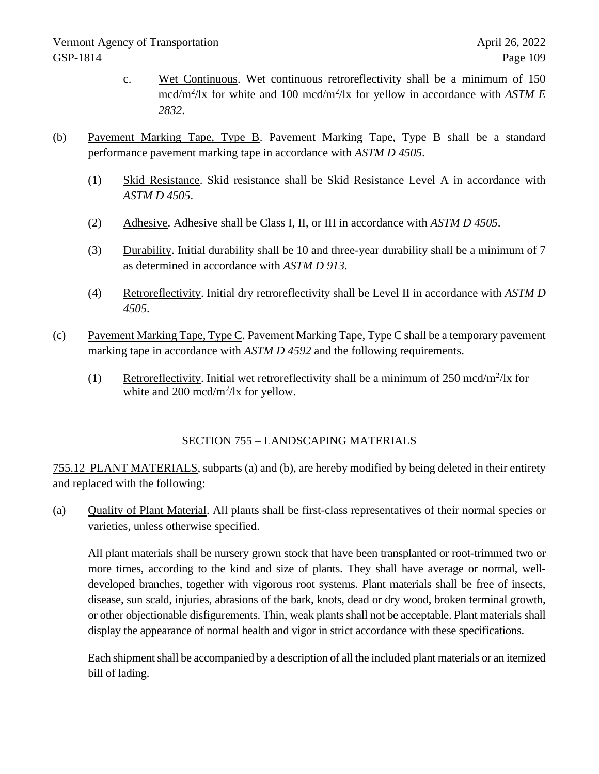- c. Wet Continuous. Wet continuous retroreflectivity shall be a minimum of 150 mcd/m<sup>2</sup>/lx for white and 100 mcd/m<sup>2</sup>/lx for yellow in accordance with *ASTM E 2832*.
- (b) Pavement Marking Tape, Type B. Pavement Marking Tape, Type B shall be a standard performance pavement marking tape in accordance with *ASTM D 4505*.
	- (1) Skid Resistance. Skid resistance shall be Skid Resistance Level A in accordance with *ASTM D 4505*.
	- (2) Adhesive. Adhesive shall be Class I, II, or III in accordance with *ASTM D 4505*.
	- (3) Durability. Initial durability shall be 10 and three-year durability shall be a minimum of 7 as determined in accordance with *ASTM D 913*.
	- (4) Retroreflectivity. Initial dry retroreflectivity shall be Level II in accordance with *ASTM D 4505*.
- (c) Pavement Marking Tape, Type C. Pavement Marking Tape, Type C shall be a temporary pavement marking tape in accordance with *ASTM D 4592* and the following requirements.
	- (1) Retroreflectivity. Initial wet retroreflectivity shall be a minimum of  $250 \text{ mod/m}^2/\text{lx}$  for white and 200 mcd/m<sup>2</sup>/lx for yellow.

## SECTION 755 – LANDSCAPING MATERIALS

755.12 PLANT MATERIALS, subparts (a) and (b), are hereby modified by being deleted in their entirety and replaced with the following:

(a) Quality of Plant Material. All plants shall be first-class representatives of their normal species or varieties, unless otherwise specified.

All plant materials shall be nursery grown stock that have been transplanted or root-trimmed two or more times, according to the kind and size of plants. They shall have average or normal, welldeveloped branches, together with vigorous root systems. Plant materials shall be free of insects, disease, sun scald, injuries, abrasions of the bark, knots, dead or dry wood, broken terminal growth, or other objectionable disfigurements. Thin, weak plants shall not be acceptable. Plant materials shall display the appearance of normal health and vigor in strict accordance with these specifications.

Each shipment shall be accompanied by a description of all the included plant materials or an itemized bill of lading.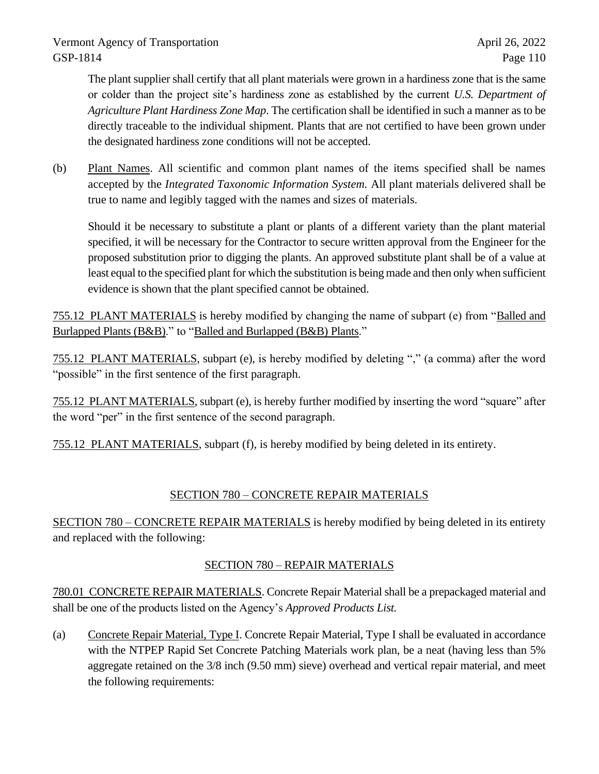Vermont Agency of Transportation April 26, 2022 GSP-1814 Page 110

The plant supplier shall certify that all plant materials were grown in a hardiness zone that is the same or colder than the project site's hardiness zone as established by the current *U.S. Department of Agriculture Plant Hardiness Zone Map*. The certification shall be identified in such a manner as to be directly traceable to the individual shipment. Plants that are not certified to have been grown under the designated hardiness zone conditions will not be accepted.

(b) Plant Names. All scientific and common plant names of the items specified shall be names accepted by the *Integrated Taxonomic Information System.* All plant materials delivered shall be true to name and legibly tagged with the names and sizes of materials.

Should it be necessary to substitute a plant or plants of a different variety than the plant material specified, it will be necessary for the Contractor to secure written approval from the Engineer for the proposed substitution prior to digging the plants. An approved substitute plant shall be of a value at least equal to the specified plant for which the substitution is being made and then only when sufficient evidence is shown that the plant specified cannot be obtained.

755.12 PLANT MATERIALS is hereby modified by changing the name of subpart (e) from "Balled and Burlapped Plants (B&B)." to "Balled and Burlapped (B&B) Plants."

755.12 PLANT MATERIALS, subpart (e), is hereby modified by deleting "," (a comma) after the word "possible" in the first sentence of the first paragraph.

755.12 PLANT MATERIALS, subpart (e), is hereby further modified by inserting the word "square" after the word "per" in the first sentence of the second paragraph.

755.12 PLANT MATERIALS, subpart (f), is hereby modified by being deleted in its entirety.

## SECTION 780 – CONCRETE REPAIR MATERIALS

SECTION 780 – CONCRETE REPAIR MATERIALS is hereby modified by being deleted in its entirety and replaced with the following:

## SECTION 780 – REPAIR MATERIALS

780.01 CONCRETE REPAIR MATERIALS. Concrete Repair Material shall be a prepackaged material and shall be one of the products listed on the Agency's *Approved Products List.*

(a) Concrete Repair Material, Type I. Concrete Repair Material, Type I shall be evaluated in accordance with the NTPEP Rapid Set Concrete Patching Materials work plan, be a neat (having less than 5% aggregate retained on the 3/8 inch (9.50 mm) sieve) overhead and vertical repair material, and meet the following requirements: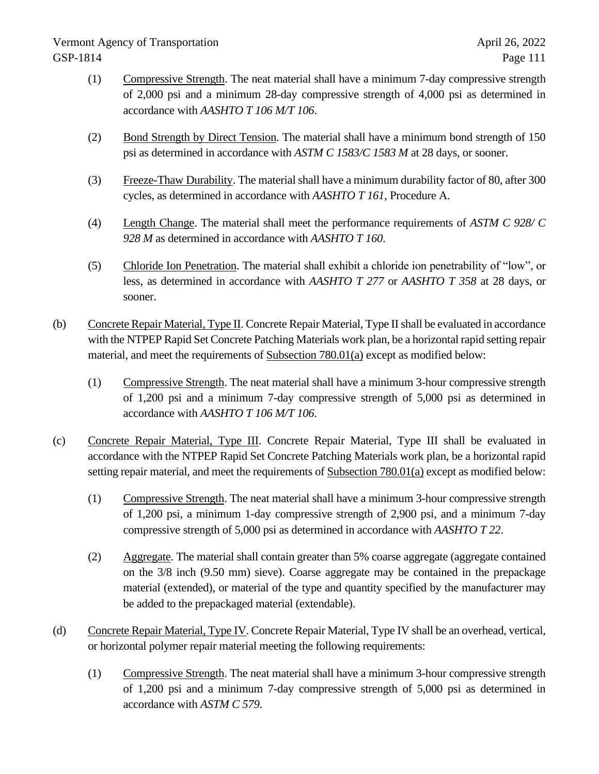# Vermont Agency of Transportation April 26, 2022 GSP-1814 Page 111

- (1) Compressive Strength. The neat material shall have a minimum 7-day compressive strength of 2,000 psi and a minimum 28-day compressive strength of 4,000 psi as determined in accordance with *AASHTO T 106 M/T 106*.
- (2) Bond Strength by Direct Tension. The material shall have a minimum bond strength of 150 psi as determined in accordance with *ASTM C 1583/C 1583 M* at 28 days, or sooner.
- (3) Freeze-Thaw Durability. The material shall have a minimum durability factor of 80, after 300 cycles, as determined in accordance with *AASHTO T 161*, Procedure A.
- (4) Length Change. The material shall meet the performance requirements of *ASTM C 928/ C 928 M* as determined in accordance with *AASHTO T 160*.
- (5) Chloride Ion Penetration. The material shall exhibit a chloride ion penetrability of "low", or less, as determined in accordance with *AASHTO T 277* or *AASHTO T 358* at 28 days, or sooner.
- (b) Concrete Repair Material, Type II. Concrete Repair Material, Type II shall be evaluated in accordance with the NTPEP Rapid Set Concrete Patching Materials work plan, be a horizontal rapid setting repair material, and meet the requirements of Subsection 780.01(a) except as modified below:
	- (1) Compressive Strength. The neat material shall have a minimum 3-hour compressive strength of 1,200 psi and a minimum 7-day compressive strength of 5,000 psi as determined in accordance with *AASHTO T 106 M/T 106*.
- (c) Concrete Repair Material, Type III. Concrete Repair Material, Type III shall be evaluated in accordance with the NTPEP Rapid Set Concrete Patching Materials work plan, be a horizontal rapid setting repair material, and meet the requirements of Subsection 780.01(a) except as modified below:
	- (1) Compressive Strength. The neat material shall have a minimum 3-hour compressive strength of 1,200 psi, a minimum 1-day compressive strength of 2,900 psi, and a minimum 7-day compressive strength of 5,000 psi as determined in accordance with *AASHTO T 22*.
	- (2) Aggregate. The material shall contain greater than 5% coarse aggregate (aggregate contained on the 3/8 inch (9.50 mm) sieve). Coarse aggregate may be contained in the prepackage material (extended), or material of the type and quantity specified by the manufacturer may be added to the prepackaged material (extendable).
- (d) Concrete Repair Material, Type IV. Concrete Repair Material, Type IV shall be an overhead, vertical, or horizontal polymer repair material meeting the following requirements:
	- (1) Compressive Strength. The neat material shall have a minimum 3-hour compressive strength of 1,200 psi and a minimum 7-day compressive strength of 5,000 psi as determined in accordance with *ASTM C 579*.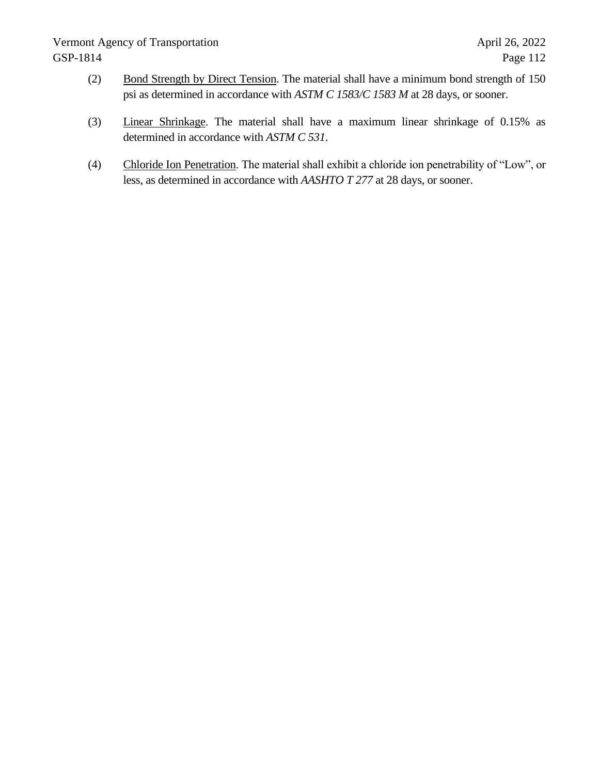## Vermont Agency of Transportation April 26, 2022 GSP-1814 Page 112

- (2) Bond Strength by Direct Tension. The material shall have a minimum bond strength of 150 psi as determined in accordance with *ASTM C 1583/C 1583 M* at 28 days, or sooner.
- (3) Linear Shrinkage. The material shall have a maximum linear shrinkage of 0.15% as determined in accordance with *ASTM C 531*.
- (4) Chloride Ion Penetration. The material shall exhibit a chloride ion penetrability of "Low", or less, as determined in accordance with *AASHTO T 277* at 28 days, or sooner.